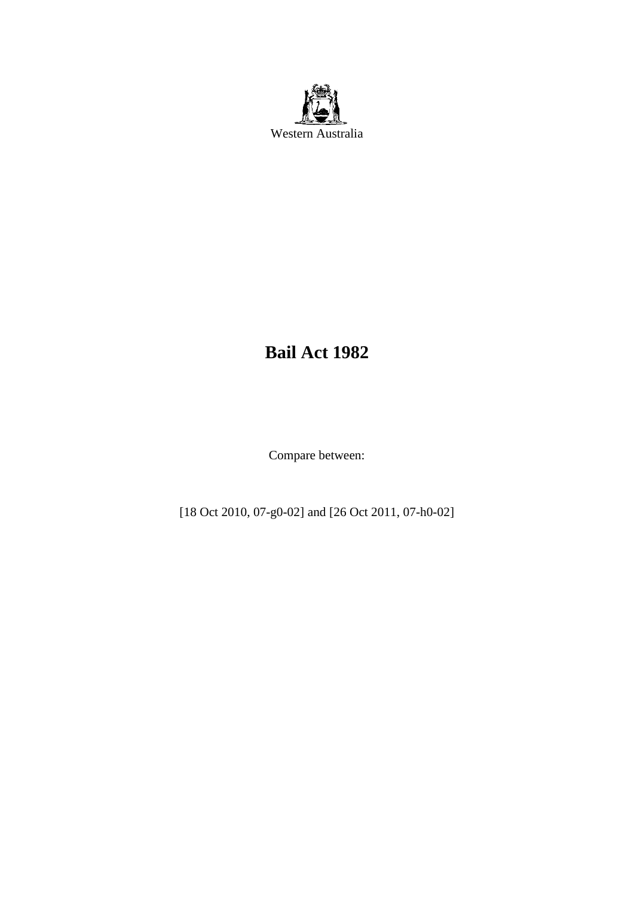

# **Bail Act 1982**

Compare between:

[18 Oct 2010, 07-g0-02] and [26 Oct 2011, 07-h0-02]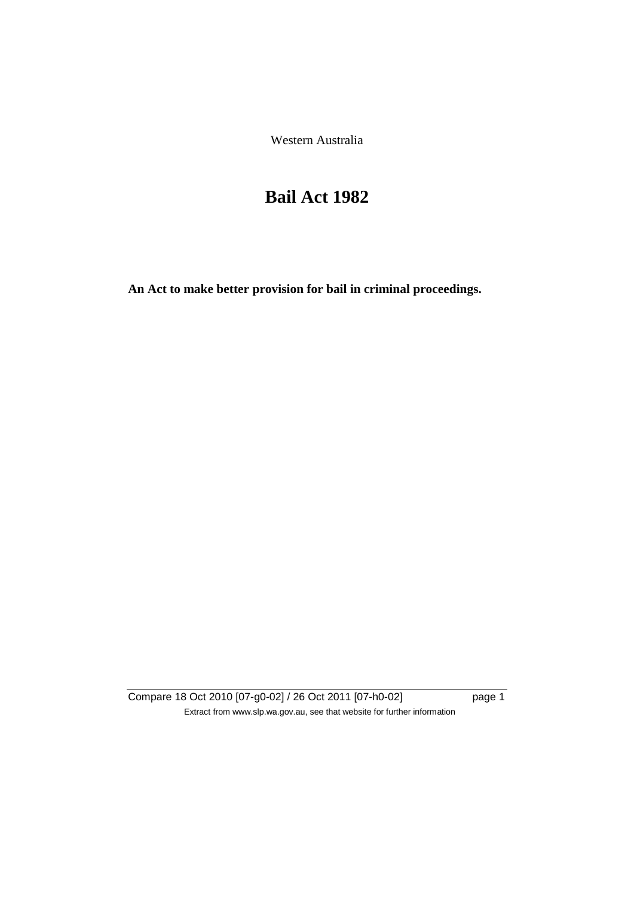Western Australia

# **Bail Act 1982**

**An Act to make better provision for bail in criminal proceedings.** 

Compare 18 Oct 2010 [07-g0-02] / 26 Oct 2011 [07-h0-02] page 1 Extract from www.slp.wa.gov.au, see that website for further information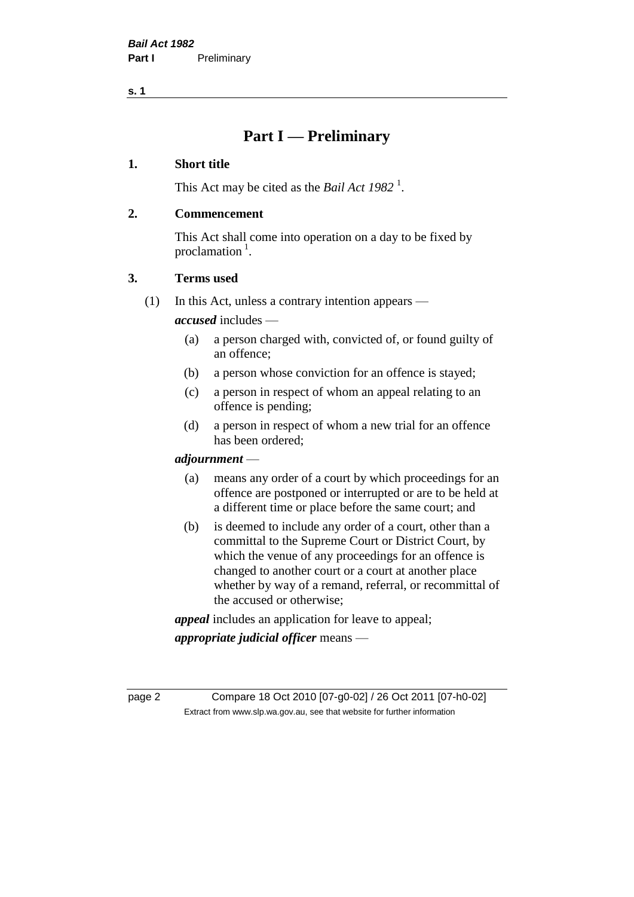**s. 1**

# **Part I — Preliminary**

# **1. Short title**

This Act may be cited as the *Bail Act* 1982<sup>1</sup>.

# **2. Commencement**

This Act shall come into operation on a day to be fixed by proclamation  $<sup>1</sup>$ .</sup>

# **3. Terms used**

(1) In this Act, unless a contrary intention appears —

*accused* includes —

- (a) a person charged with, convicted of, or found guilty of an offence;
- (b) a person whose conviction for an offence is stayed;
- (c) a person in respect of whom an appeal relating to an offence is pending;
- (d) a person in respect of whom a new trial for an offence has been ordered;

#### *adjournment* —

- (a) means any order of a court by which proceedings for an offence are postponed or interrupted or are to be held at a different time or place before the same court; and
- (b) is deemed to include any order of a court, other than a committal to the Supreme Court or District Court, by which the venue of any proceedings for an offence is changed to another court or a court at another place whether by way of a remand, referral, or recommittal of the accused or otherwise;

*appeal* includes an application for leave to appeal;

*appropriate judicial officer* means —

page 2 Compare 18 Oct 2010 [07-g0-02] / 26 Oct 2011 [07-h0-02] Extract from www.slp.wa.gov.au, see that website for further information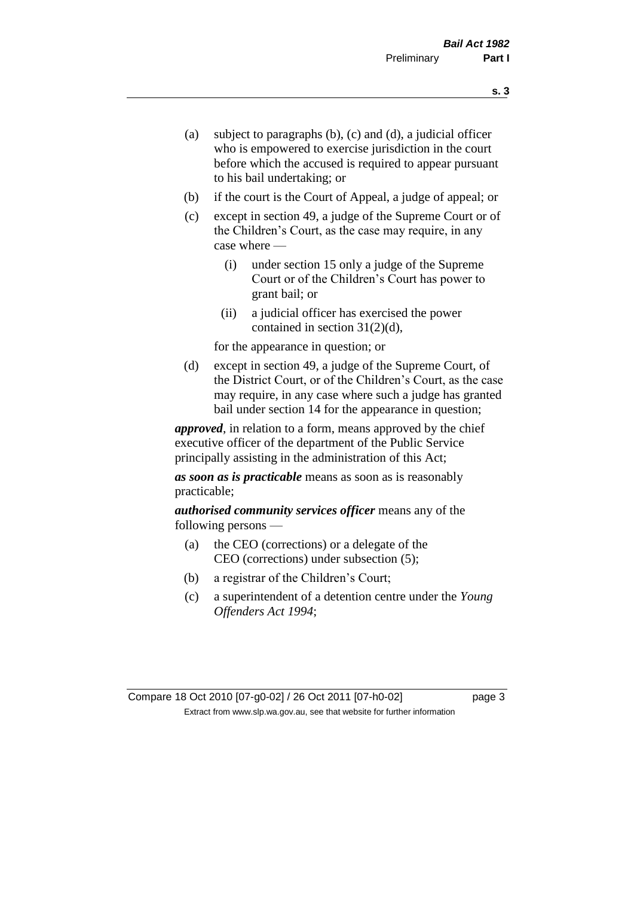- (a) subject to paragraphs (b), (c) and (d), a judicial officer who is empowered to exercise jurisdiction in the court before which the accused is required to appear pursuant to his bail undertaking; or
- (b) if the court is the Court of Appeal, a judge of appeal; or
- (c) except in section 49, a judge of the Supreme Court or of the Children's Court, as the case may require, in any case where —
	- (i) under section 15 only a judge of the Supreme Court or of the Children's Court has power to grant bail; or
	- (ii) a judicial officer has exercised the power contained in section 31(2)(d),

for the appearance in question; or

(d) except in section 49, a judge of the Supreme Court, of the District Court, or of the Children's Court, as the case may require, in any case where such a judge has granted bail under section 14 for the appearance in question;

*approved*, in relation to a form, means approved by the chief executive officer of the department of the Public Service principally assisting in the administration of this Act;

*as soon as is practicable* means as soon as is reasonably practicable;

*authorised community services officer* means any of the following persons —

- (a) the CEO (corrections) or a delegate of the CEO (corrections) under subsection (5);
- (b) a registrar of the Children's Court;
- (c) a superintendent of a detention centre under the *Young Offenders Act 1994*;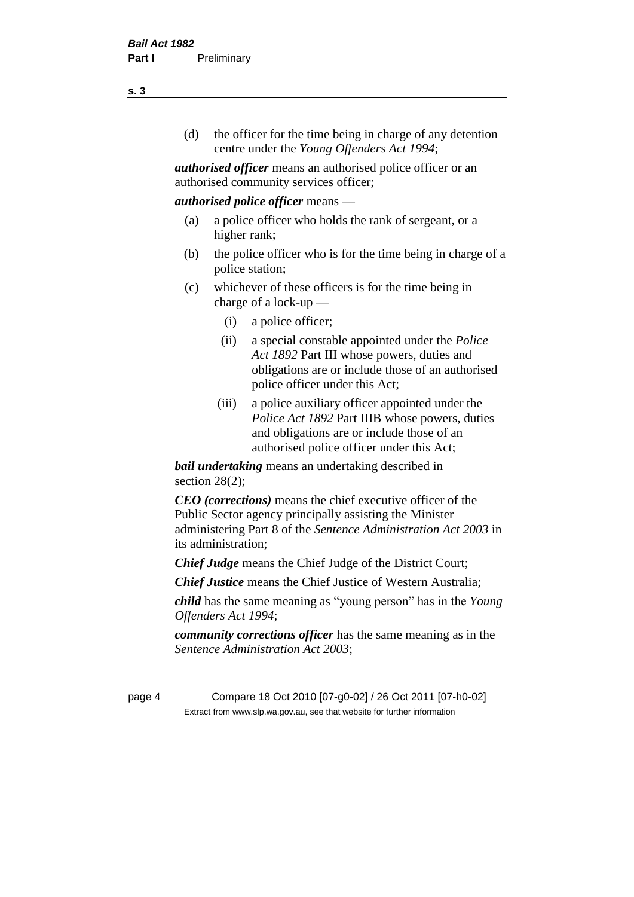(d) the officer for the time being in charge of any detention centre under the *Young Offenders Act 1994*;

*authorised officer* means an authorised police officer or an authorised community services officer;

#### *authorised police officer* means —

- (a) a police officer who holds the rank of sergeant, or a higher rank;
- (b) the police officer who is for the time being in charge of a police station;
- (c) whichever of these officers is for the time being in charge of a lock-up —
	- (i) a police officer;
	- (ii) a special constable appointed under the *Police Act 1892* Part III whose powers, duties and obligations are or include those of an authorised police officer under this Act;
	- (iii) a police auxiliary officer appointed under the *Police Act 1892* Part IIIB whose powers, duties and obligations are or include those of an authorised police officer under this Act;

*bail undertaking* means an undertaking described in section  $28(2)$ ;

*CEO (corrections)* means the chief executive officer of the Public Sector agency principally assisting the Minister administering Part 8 of the *Sentence Administration Act 2003* in its administration;

*Chief Judge* means the Chief Judge of the District Court;

*Chief Justice* means the Chief Justice of Western Australia;

*child* has the same meaning as "young person" has in the *Young Offenders Act 1994*;

*community corrections officer* has the same meaning as in the *Sentence Administration Act 2003*;

page 4 Compare 18 Oct 2010 [07-g0-02] / 26 Oct 2011 [07-h0-02] Extract from www.slp.wa.gov.au, see that website for further information

**s. 3**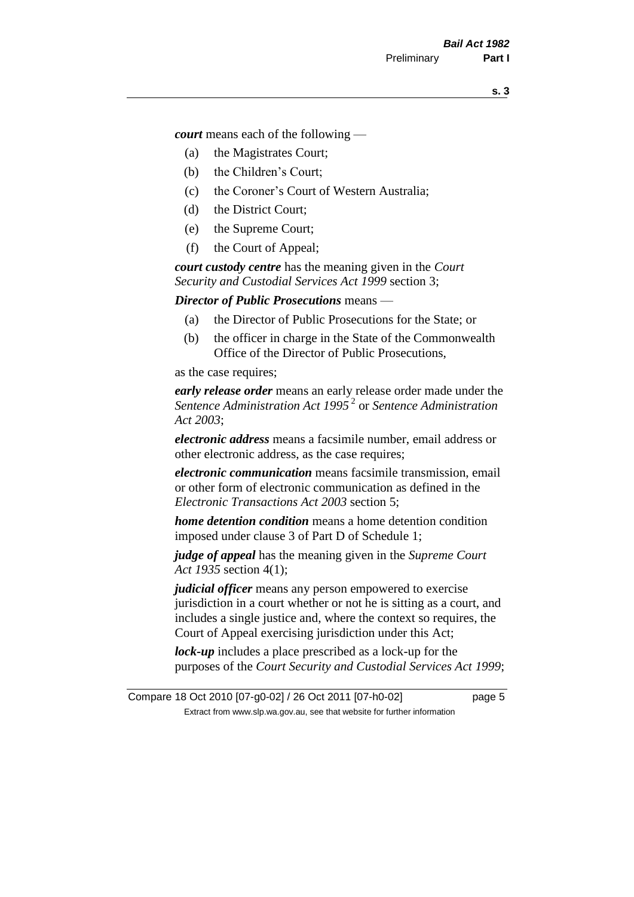*court* means each of the following —

- (a) the Magistrates Court;
- (b) the Children's Court;
- (c) the Coroner's Court of Western Australia;
- (d) the District Court;
- (e) the Supreme Court;
- (f) the Court of Appeal;

*court custody centre* has the meaning given in the *Court Security and Custodial Services Act 1999* section 3;

*Director of Public Prosecutions* means —

- (a) the Director of Public Prosecutions for the State; or
- (b) the officer in charge in the State of the Commonwealth Office of the Director of Public Prosecutions,

as the case requires;

*early release order* means an early release order made under the *Sentence Administration Act 1995* <sup>2</sup> or *Sentence Administration Act 2003*;

*electronic address* means a facsimile number, email address or other electronic address, as the case requires;

*electronic communication* means facsimile transmission, email or other form of electronic communication as defined in the *Electronic Transactions Act 2003* section 5;

*home detention condition* means a home detention condition imposed under clause 3 of Part D of Schedule 1;

*judge of appeal* has the meaning given in the *Supreme Court Act 1935* section 4(1);

*judicial officer* means any person empowered to exercise jurisdiction in a court whether or not he is sitting as a court, and includes a single justice and, where the context so requires, the Court of Appeal exercising jurisdiction under this Act;

*lock-up* includes a place prescribed as a lock-up for the purposes of the *Court Security and Custodial Services Act 1999*;

Compare 18 Oct 2010 [07-g0-02] / 26 Oct 2011 [07-h0-02] page 5 Extract from www.slp.wa.gov.au, see that website for further information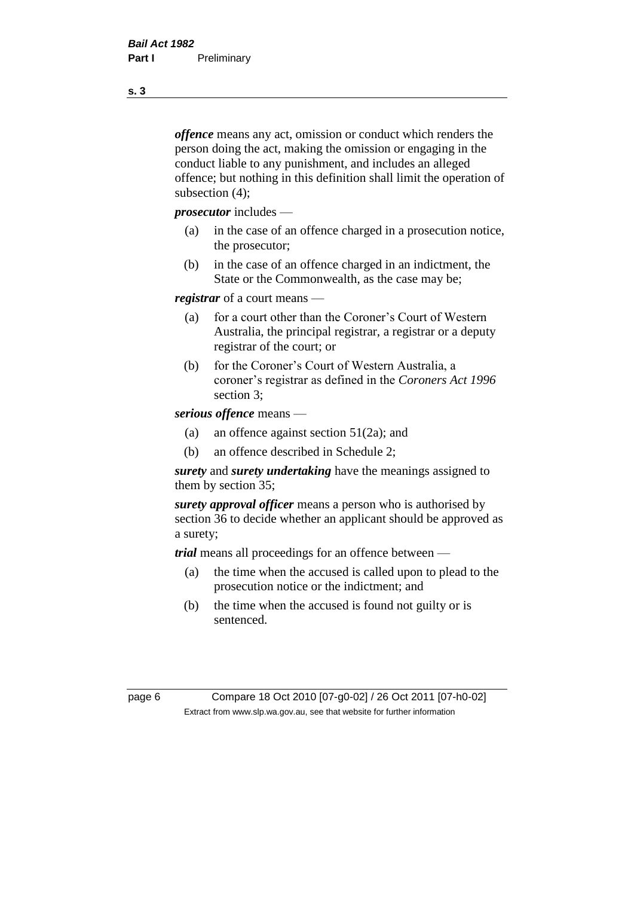*offence* means any act, omission or conduct which renders the person doing the act, making the omission or engaging in the conduct liable to any punishment, and includes an alleged offence; but nothing in this definition shall limit the operation of subsection (4);

*prosecutor* includes —

- (a) in the case of an offence charged in a prosecution notice, the prosecutor;
- (b) in the case of an offence charged in an indictment, the State or the Commonwealth, as the case may be;

*registrar* of a court means —

- (a) for a court other than the Coroner's Court of Western Australia, the principal registrar, a registrar or a deputy registrar of the court; or
- (b) for the Coroner's Court of Western Australia, a coroner's registrar as defined in the *Coroners Act 1996* section 3;

*serious offence* means —

- (a) an offence against section 51(2a); and
- (b) an offence described in Schedule 2;

*surety* and *surety undertaking* have the meanings assigned to them by section 35;

*surety approval officer* means a person who is authorised by section 36 to decide whether an applicant should be approved as a surety;

*trial* means all proceedings for an offence between —

- (a) the time when the accused is called upon to plead to the prosecution notice or the indictment; and
- (b) the time when the accused is found not guilty or is sentenced.

page 6 Compare 18 Oct 2010 [07-g0-02] / 26 Oct 2011 [07-h0-02] Extract from www.slp.wa.gov.au, see that website for further information

**s. 3**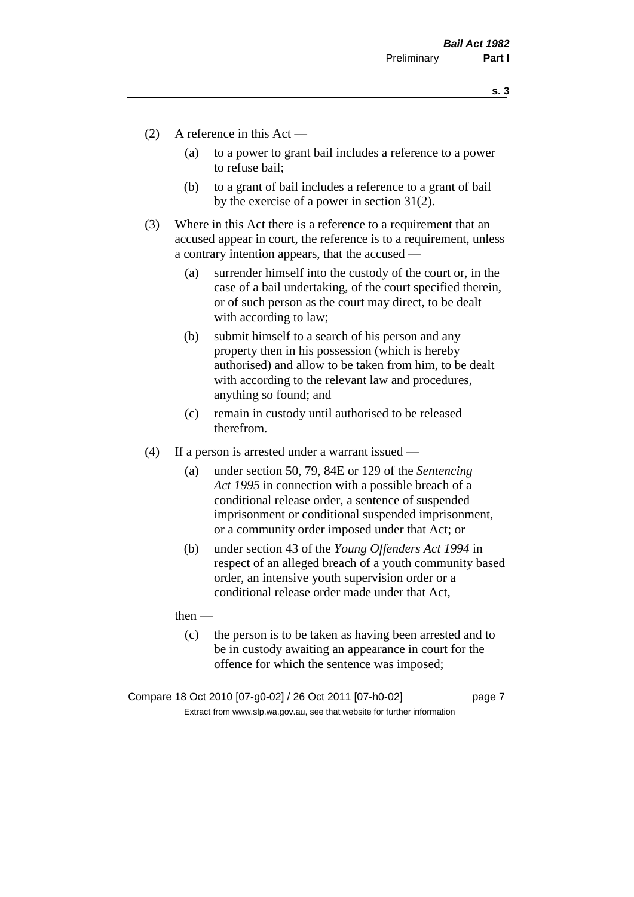**s. 3**

- (2) A reference in this Act
	- (a) to a power to grant bail includes a reference to a power to refuse bail;
	- (b) to a grant of bail includes a reference to a grant of bail by the exercise of a power in section 31(2).
- (3) Where in this Act there is a reference to a requirement that an accused appear in court, the reference is to a requirement, unless a contrary intention appears, that the accused —
	- (a) surrender himself into the custody of the court or, in the case of a bail undertaking, of the court specified therein, or of such person as the court may direct, to be dealt with according to law;
	- (b) submit himself to a search of his person and any property then in his possession (which is hereby authorised) and allow to be taken from him, to be dealt with according to the relevant law and procedures, anything so found; and
	- (c) remain in custody until authorised to be released therefrom.
- (4) If a person is arrested under a warrant issued
	- (a) under section 50, 79, 84E or 129 of the *Sentencing Act 1995* in connection with a possible breach of a conditional release order, a sentence of suspended imprisonment or conditional suspended imprisonment, or a community order imposed under that Act; or
	- (b) under section 43 of the *Young Offenders Act 1994* in respect of an alleged breach of a youth community based order, an intensive youth supervision order or a conditional release order made under that Act,

then —

(c) the person is to be taken as having been arrested and to be in custody awaiting an appearance in court for the offence for which the sentence was imposed;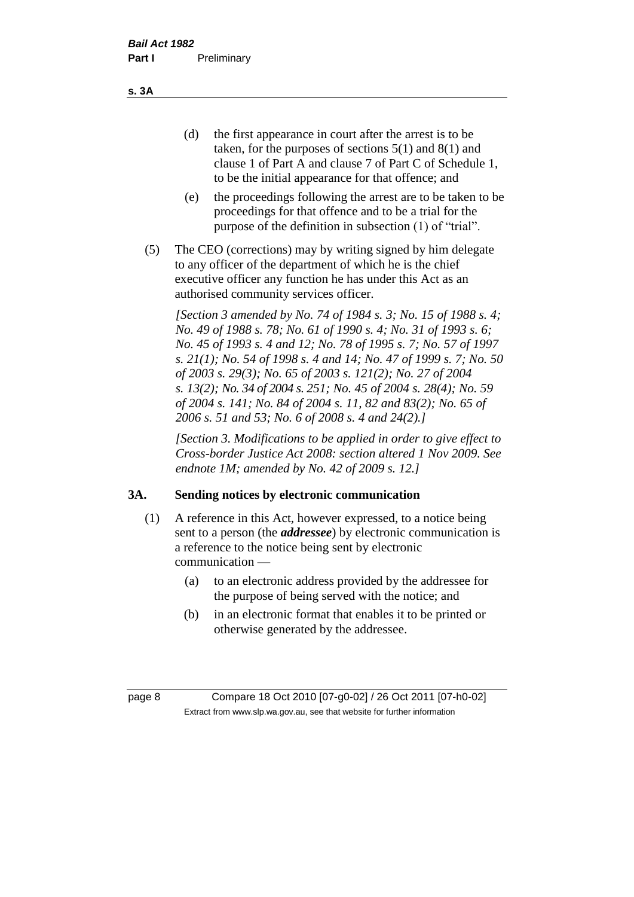(d) the first appearance in court after the arrest is to be taken, for the purposes of sections 5(1) and 8(1) and clause 1 of Part A and clause 7 of Part C of Schedule 1, to be the initial appearance for that offence; and

- (e) the proceedings following the arrest are to be taken to be proceedings for that offence and to be a trial for the purpose of the definition in subsection (1) of "trial".
- (5) The CEO (corrections) may by writing signed by him delegate to any officer of the department of which he is the chief executive officer any function he has under this Act as an authorised community services officer.

*[Section 3 amended by No. 74 of 1984 s. 3; No. 15 of 1988 s. 4; No. 49 of 1988 s. 78; No. 61 of 1990 s. 4; No. 31 of 1993 s. 6; No. 45 of 1993 s. 4 and 12; No. 78 of 1995 s. 7; No. 57 of 1997 s. 21(1); No. 54 of 1998 s. 4 and 14; No. 47 of 1999 s. 7; No. 50 of 2003 s. 29(3); No. 65 of 2003 s. 121(2); No. 27 of 2004 s. 13(2); No. 34 of 2004 s. 251; No. 45 of 2004 s. 28(4); No. 59 of 2004 s. 141; No. 84 of 2004 s. 11, 82 and 83(2); No. 65 of 2006 s. 51 and 53; No. 6 of 2008 s. 4 and 24(2).]* 

*[Section 3. Modifications to be applied in order to give effect to Cross-border Justice Act 2008: section altered 1 Nov 2009. See endnote 1M; amended by No. 42 of 2009 s. 12.]*

#### **3A. Sending notices by electronic communication**

- (1) A reference in this Act, however expressed, to a notice being sent to a person (the *addressee*) by electronic communication is a reference to the notice being sent by electronic communication —
	- (a) to an electronic address provided by the addressee for the purpose of being served with the notice; and
	- (b) in an electronic format that enables it to be printed or otherwise generated by the addressee.

page 8 Compare 18 Oct 2010 [07-g0-02] / 26 Oct 2011 [07-h0-02] Extract from www.slp.wa.gov.au, see that website for further information

**s. 3A**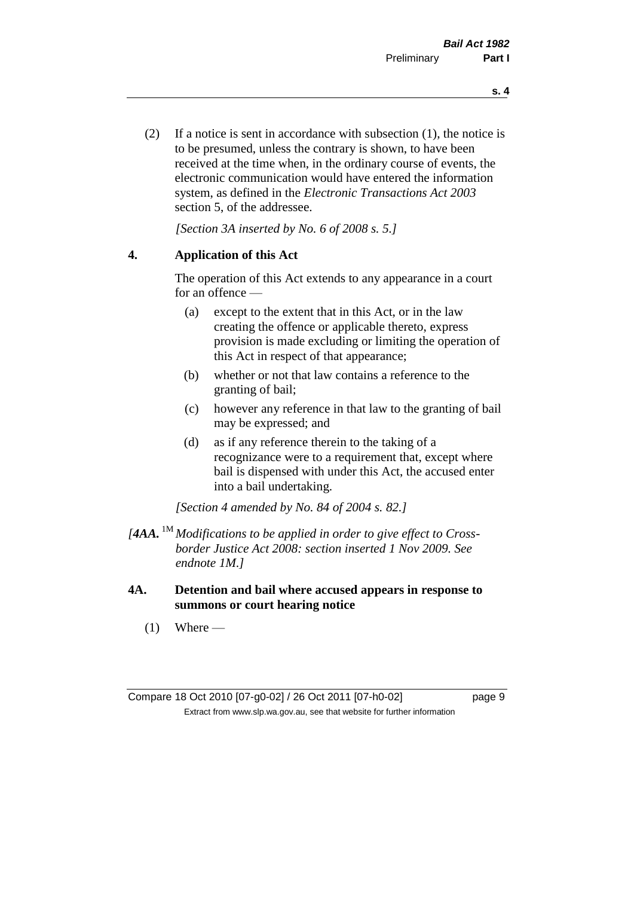(2) If a notice is sent in accordance with subsection (1), the notice is to be presumed, unless the contrary is shown, to have been received at the time when, in the ordinary course of events, the electronic communication would have entered the information system, as defined in the *Electronic Transactions Act 2003* section 5, of the addressee.

*[Section 3A inserted by No. 6 of 2008 s. 5.]*

#### **4. Application of this Act**

The operation of this Act extends to any appearance in a court for an offence —

- (a) except to the extent that in this Act, or in the law creating the offence or applicable thereto, express provision is made excluding or limiting the operation of this Act in respect of that appearance;
- (b) whether or not that law contains a reference to the granting of bail;
- (c) however any reference in that law to the granting of bail may be expressed; and
- (d) as if any reference therein to the taking of a recognizance were to a requirement that, except where bail is dispensed with under this Act, the accused enter into a bail undertaking.

*[Section 4 amended by No. 84 of 2004 s. 82.]*

- *[4AA.* 1M *Modifications to be applied in order to give effect to Crossborder Justice Act 2008: section inserted 1 Nov 2009. See endnote 1M.]*
- **4A. Detention and bail where accused appears in response to summons or court hearing notice**
	- $(1)$  Where —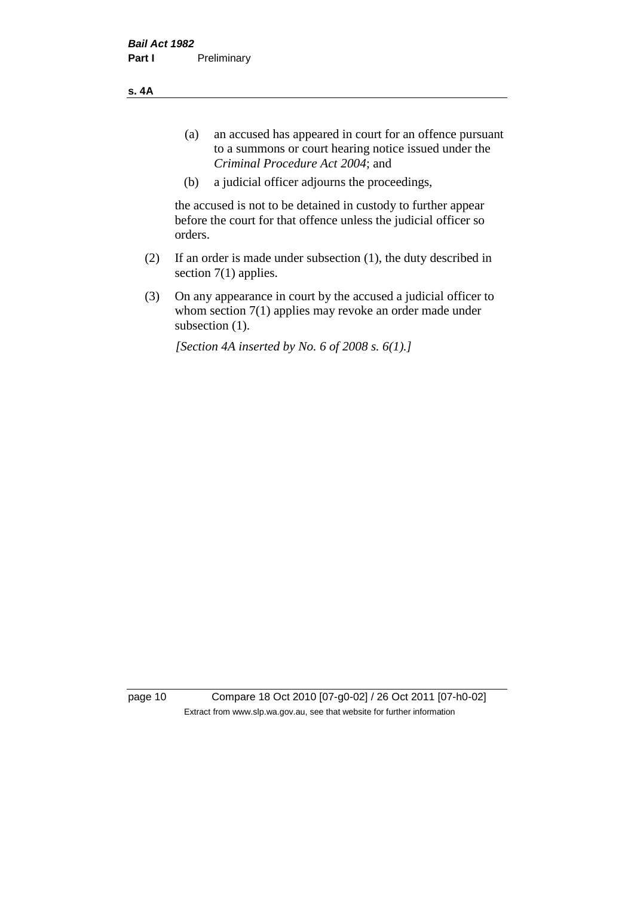**s. 4A**

- (a) an accused has appeared in court for an offence pursuant to a summons or court hearing notice issued under the *Criminal Procedure Act 2004*; and
- (b) a judicial officer adjourns the proceedings,

the accused is not to be detained in custody to further appear before the court for that offence unless the judicial officer so orders.

- (2) If an order is made under subsection (1), the duty described in section 7(1) applies.
- (3) On any appearance in court by the accused a judicial officer to whom section 7(1) applies may revoke an order made under subsection (1).

*[Section 4A inserted by No. 6 of 2008 s. 6(1).]*

page 10 Compare 18 Oct 2010 [07-g0-02] / 26 Oct 2011 [07-h0-02] Extract from www.slp.wa.gov.au, see that website for further information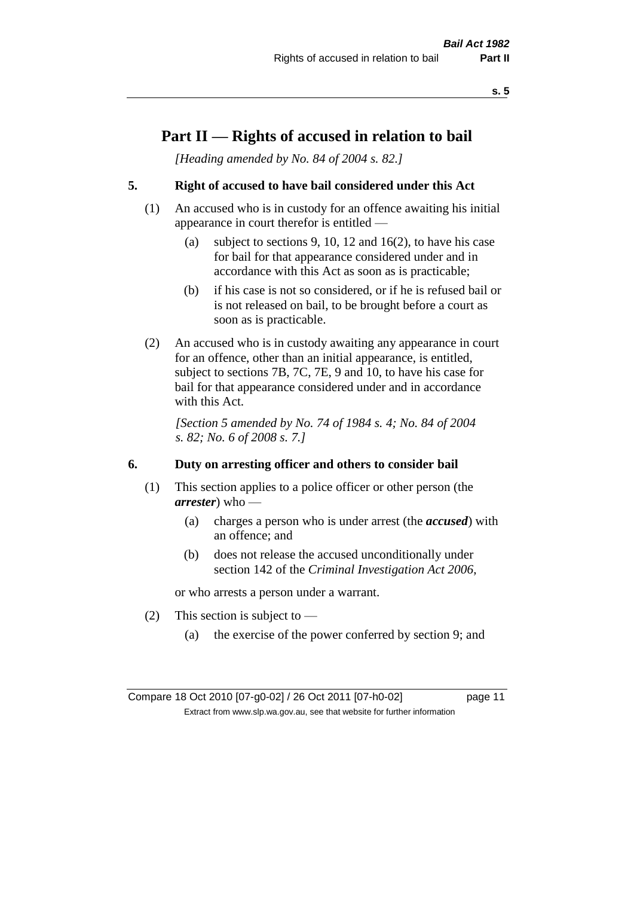# **Part II — Rights of accused in relation to bail**

*[Heading amended by No. 84 of 2004 s. 82.]* 

# **5. Right of accused to have bail considered under this Act**

- (1) An accused who is in custody for an offence awaiting his initial appearance in court therefor is entitled —
	- (a) subject to sections 9, 10, 12 and 16(2), to have his case for bail for that appearance considered under and in accordance with this Act as soon as is practicable;
	- (b) if his case is not so considered, or if he is refused bail or is not released on bail, to be brought before a court as soon as is practicable.
- (2) An accused who is in custody awaiting any appearance in court for an offence, other than an initial appearance, is entitled, subject to sections 7B, 7C, 7E, 9 and 10, to have his case for bail for that appearance considered under and in accordance with this Act.

*[Section 5 amended by No. 74 of 1984 s. 4; No. 84 of 2004 s. 82; No. 6 of 2008 s. 7.]* 

#### **6. Duty on arresting officer and others to consider bail**

- (1) This section applies to a police officer or other person (the *arrester*) who —
	- (a) charges a person who is under arrest (the *accused*) with an offence; and
	- (b) does not release the accused unconditionally under section 142 of the *Criminal Investigation Act 2006*,

or who arrests a person under a warrant.

- (2) This section is subject to  $-$ 
	- (a) the exercise of the power conferred by section 9; and

Compare 18 Oct 2010 [07-g0-02] / 26 Oct 2011 [07-h0-02] page 11 Extract from www.slp.wa.gov.au, see that website for further information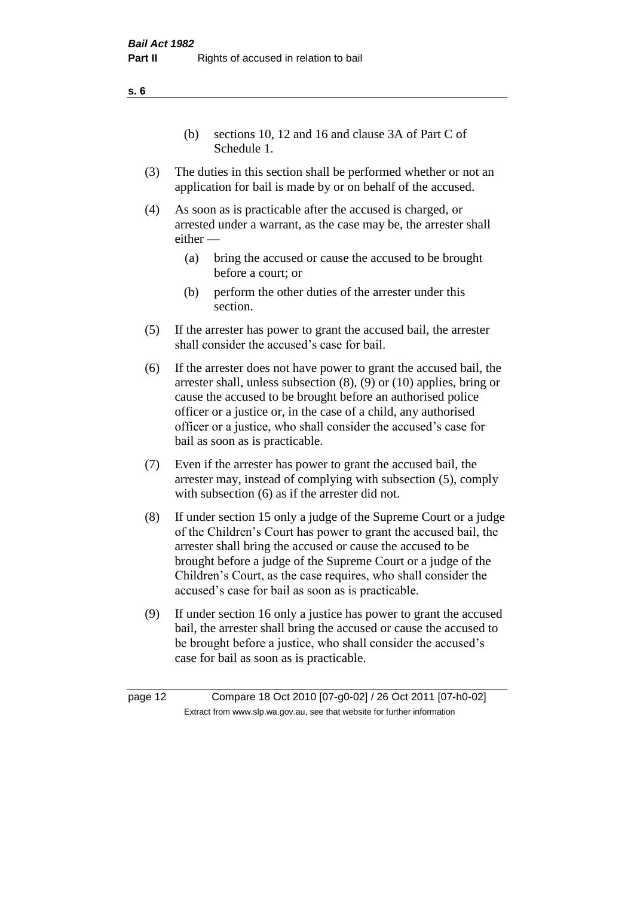(b) sections 10, 12 and 16 and clause 3A of Part C of Schedule 1.

- (3) The duties in this section shall be performed whether or not an application for bail is made by or on behalf of the accused.
- (4) As soon as is practicable after the accused is charged, or arrested under a warrant, as the case may be, the arrester shall either —
	- (a) bring the accused or cause the accused to be brought before a court; or
	- (b) perform the other duties of the arrester under this section.
- (5) If the arrester has power to grant the accused bail, the arrester shall consider the accused's case for bail.
- (6) If the arrester does not have power to grant the accused bail, the arrester shall, unless subsection (8), (9) or (10) applies, bring or cause the accused to be brought before an authorised police officer or a justice or, in the case of a child, any authorised officer or a justice, who shall consider the accused's case for bail as soon as is practicable.
- (7) Even if the arrester has power to grant the accused bail, the arrester may, instead of complying with subsection (5), comply with subsection  $(6)$  as if the arrester did not.
- (8) If under section 15 only a judge of the Supreme Court or a judge of the Children's Court has power to grant the accused bail, the arrester shall bring the accused or cause the accused to be brought before a judge of the Supreme Court or a judge of the Children's Court, as the case requires, who shall consider the accused's case for bail as soon as is practicable.
- (9) If under section 16 only a justice has power to grant the accused bail, the arrester shall bring the accused or cause the accused to be brought before a justice, who shall consider the accused's case for bail as soon as is practicable.

page 12 Compare 18 Oct 2010 [07-g0-02] / 26 Oct 2011 [07-h0-02] Extract from www.slp.wa.gov.au, see that website for further information

**s. 6**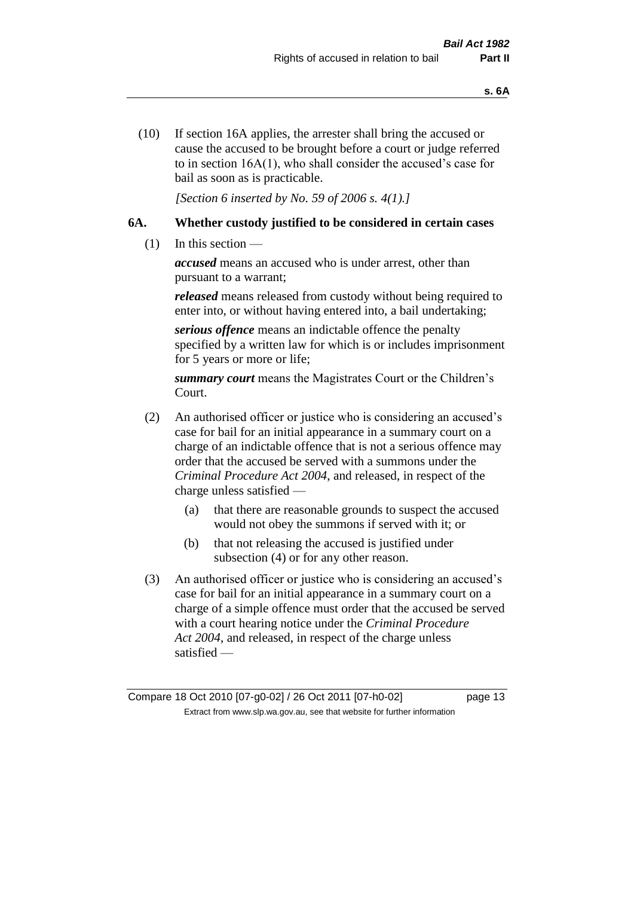(10) If section 16A applies, the arrester shall bring the accused or cause the accused to be brought before a court or judge referred to in section 16A(1), who shall consider the accused's case for bail as soon as is practicable.

*[Section 6 inserted by No. 59 of 2006 s. 4(1).]* 

# **6A. Whether custody justified to be considered in certain cases**

(1) In this section —

*accused* means an accused who is under arrest, other than pursuant to a warrant;

*released* means released from custody without being required to enter into, or without having entered into, a bail undertaking;

*serious offence* means an indictable offence the penalty specified by a written law for which is or includes imprisonment for 5 years or more or life;

*summary court* means the Magistrates Court or the Children's Court.

- (2) An authorised officer or justice who is considering an accused's case for bail for an initial appearance in a summary court on a charge of an indictable offence that is not a serious offence may order that the accused be served with a summons under the *Criminal Procedure Act 2004*, and released, in respect of the charge unless satisfied —
	- (a) that there are reasonable grounds to suspect the accused would not obey the summons if served with it; or
	- (b) that not releasing the accused is justified under subsection (4) or for any other reason.
- (3) An authorised officer or justice who is considering an accused's case for bail for an initial appearance in a summary court on a charge of a simple offence must order that the accused be served with a court hearing notice under the *Criminal Procedure Act 2004*, and released, in respect of the charge unless satisfied —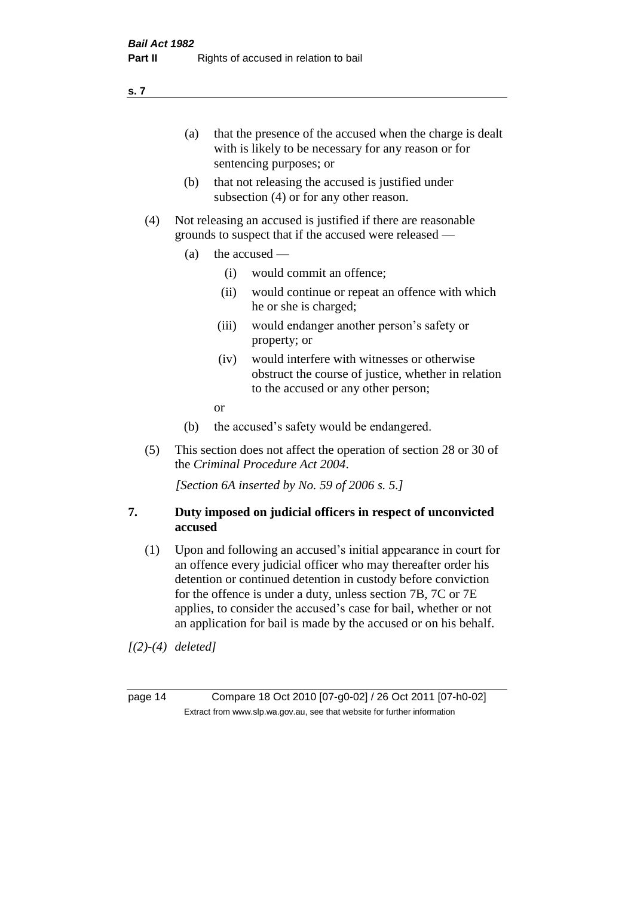(a) that the presence of the accused when the charge is dealt with is likely to be necessary for any reason or for sentencing purposes; or

- (b) that not releasing the accused is justified under subsection (4) or for any other reason.
- (4) Not releasing an accused is justified if there are reasonable grounds to suspect that if the accused were released —
	- (a) the accused
		- (i) would commit an offence;
		- (ii) would continue or repeat an offence with which he or she is charged;
		- (iii) would endanger another person's safety or property; or
		- (iv) would interfere with witnesses or otherwise obstruct the course of justice, whether in relation to the accused or any other person;
		- or
	- (b) the accused's safety would be endangered.
- (5) This section does not affect the operation of section 28 or 30 of the *Criminal Procedure Act 2004*.

*[Section 6A inserted by No. 59 of 2006 s. 5.]* 

#### **7. Duty imposed on judicial officers in respect of unconvicted accused**

(1) Upon and following an accused's initial appearance in court for an offence every judicial officer who may thereafter order his detention or continued detention in custody before conviction for the offence is under a duty, unless section 7B, 7C or 7E applies, to consider the accused's case for bail, whether or not an application for bail is made by the accused or on his behalf.

*[(2)-(4) deleted]*

page 14 Compare 18 Oct 2010 [07-g0-02] / 26 Oct 2011 [07-h0-02] Extract from www.slp.wa.gov.au, see that website for further information

**s. 7**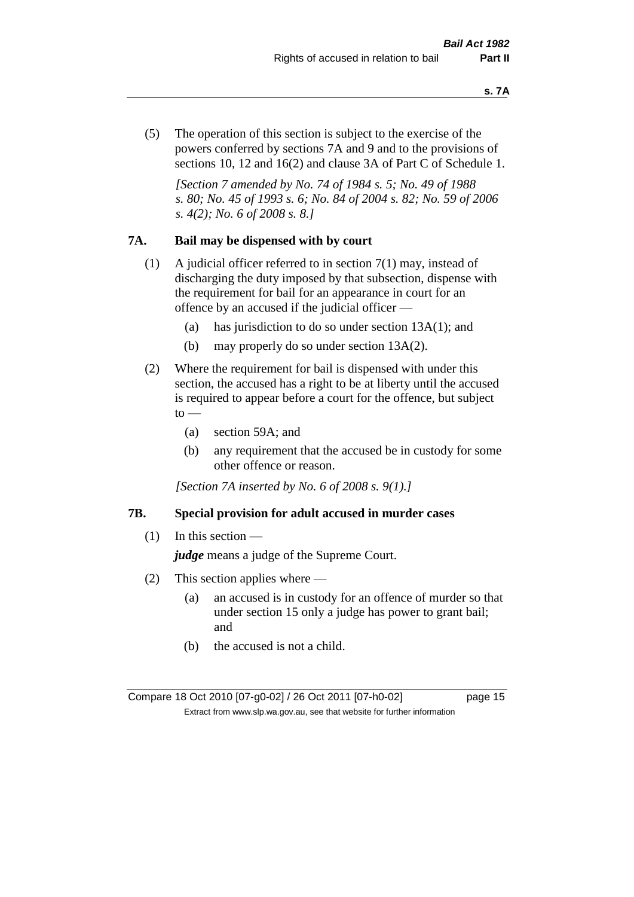(5) The operation of this section is subject to the exercise of the powers conferred by sections 7A and 9 and to the provisions of sections 10, 12 and 16(2) and clause 3A of Part C of Schedule 1.

*[Section 7 amended by No. 74 of 1984 s. 5; No. 49 of 1988 s. 80; No. 45 of 1993 s. 6; No. 84 of 2004 s. 82; No. 59 of 2006 s. 4(2); No. 6 of 2008 s. 8.]* 

#### **7A. Bail may be dispensed with by court**

- (1) A judicial officer referred to in section 7(1) may, instead of discharging the duty imposed by that subsection, dispense with the requirement for bail for an appearance in court for an offence by an accused if the judicial officer —
	- (a) has jurisdiction to do so under section 13A(1); and
	- (b) may properly do so under section 13A(2).
- (2) Where the requirement for bail is dispensed with under this section, the accused has a right to be at liberty until the accused is required to appear before a court for the offence, but subject  $\mathrm{to}$  —
	- (a) section 59A; and
	- (b) any requirement that the accused be in custody for some other offence or reason.

*[Section 7A inserted by No. 6 of 2008 s. 9(1).]*

#### **7B. Special provision for adult accused in murder cases**

 $(1)$  In this section —

*judge* means a judge of the Supreme Court.

- (2) This section applies where
	- (a) an accused is in custody for an offence of murder so that under section 15 only a judge has power to grant bail; and
	- (b) the accused is not a child.

Compare 18 Oct 2010 [07-g0-02] / 26 Oct 2011 [07-h0-02] page 15 Extract from www.slp.wa.gov.au, see that website for further information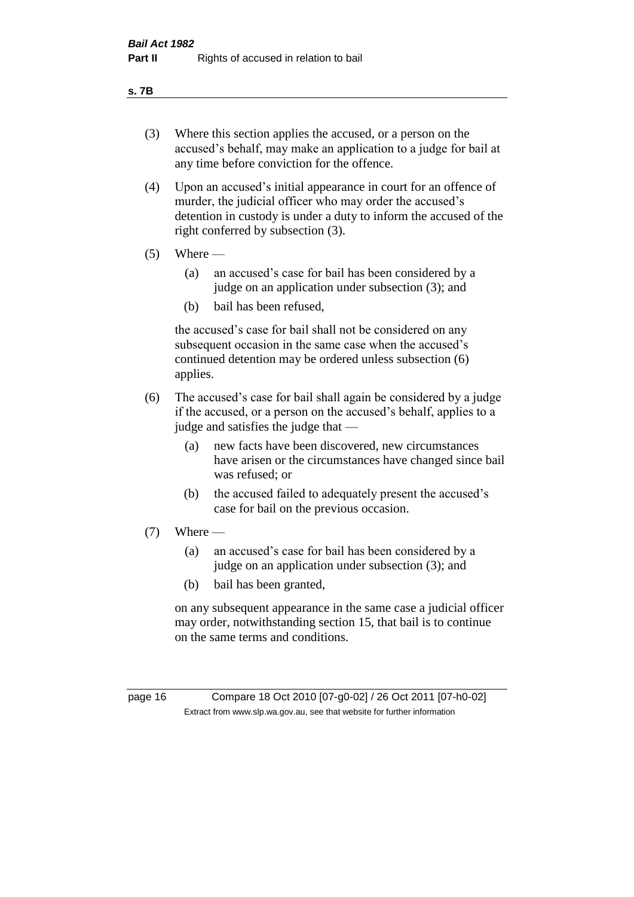#### **s. 7B**

- (3) Where this section applies the accused, or a person on the accused's behalf, may make an application to a judge for bail at any time before conviction for the offence.
- (4) Upon an accused's initial appearance in court for an offence of murder, the judicial officer who may order the accused's detention in custody is under a duty to inform the accused of the right conferred by subsection (3).
- $(5)$  Where
	- (a) an accused's case for bail has been considered by a judge on an application under subsection (3); and
	- (b) bail has been refused,

the accused's case for bail shall not be considered on any subsequent occasion in the same case when the accused's continued detention may be ordered unless subsection (6) applies.

- (6) The accused's case for bail shall again be considered by a judge if the accused, or a person on the accused's behalf, applies to a judge and satisfies the judge that —
	- (a) new facts have been discovered, new circumstances have arisen or the circumstances have changed since bail was refused; or
	- (b) the accused failed to adequately present the accused's case for bail on the previous occasion.
- $(7)$  Where
	- (a) an accused's case for bail has been considered by a judge on an application under subsection (3); and
	- (b) bail has been granted,

on any subsequent appearance in the same case a judicial officer may order, notwithstanding section 15, that bail is to continue on the same terms and conditions.

page 16 Compare 18 Oct 2010 [07-g0-02] / 26 Oct 2011 [07-h0-02] Extract from www.slp.wa.gov.au, see that website for further information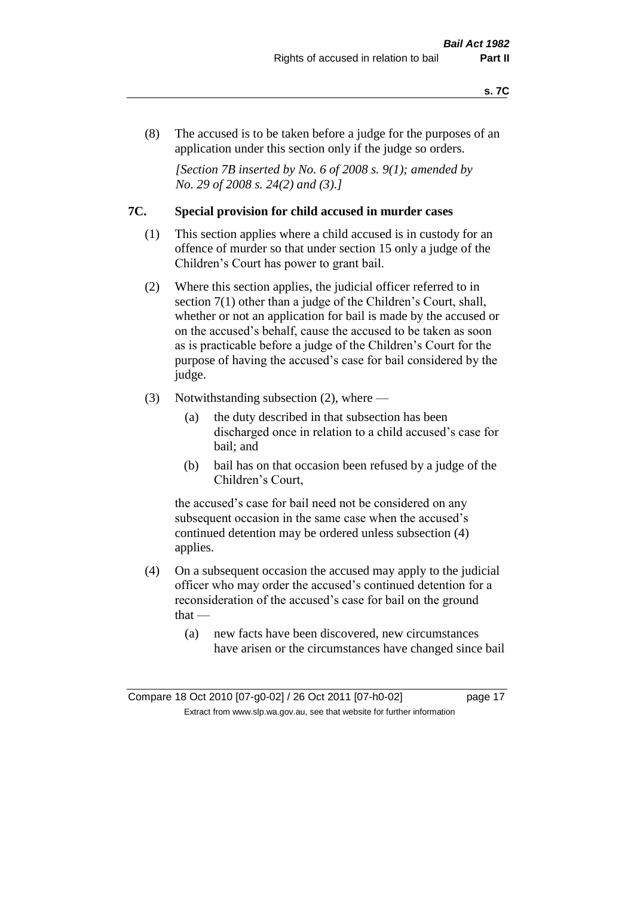(8) The accused is to be taken before a judge for the purposes of an application under this section only if the judge so orders.

*[Section 7B inserted by No. 6 of 2008 s. 9(1); amended by No. 29 of 2008 s. 24(2) and (3).]*

#### **7C. Special provision for child accused in murder cases**

- (1) This section applies where a child accused is in custody for an offence of murder so that under section 15 only a judge of the Children's Court has power to grant bail.
- (2) Where this section applies, the judicial officer referred to in section 7(1) other than a judge of the Children's Court, shall, whether or not an application for bail is made by the accused or on the accused's behalf, cause the accused to be taken as soon as is practicable before a judge of the Children's Court for the purpose of having the accused's case for bail considered by the judge.
- (3) Notwithstanding subsection (2), where
	- (a) the duty described in that subsection has been discharged once in relation to a child accused's case for bail; and
	- (b) bail has on that occasion been refused by a judge of the Children's Court,

the accused's case for bail need not be considered on any subsequent occasion in the same case when the accused's continued detention may be ordered unless subsection (4) applies.

- (4) On a subsequent occasion the accused may apply to the judicial officer who may order the accused's continued detention for a reconsideration of the accused's case for bail on the ground  $that -$ 
	- (a) new facts have been discovered, new circumstances have arisen or the circumstances have changed since bail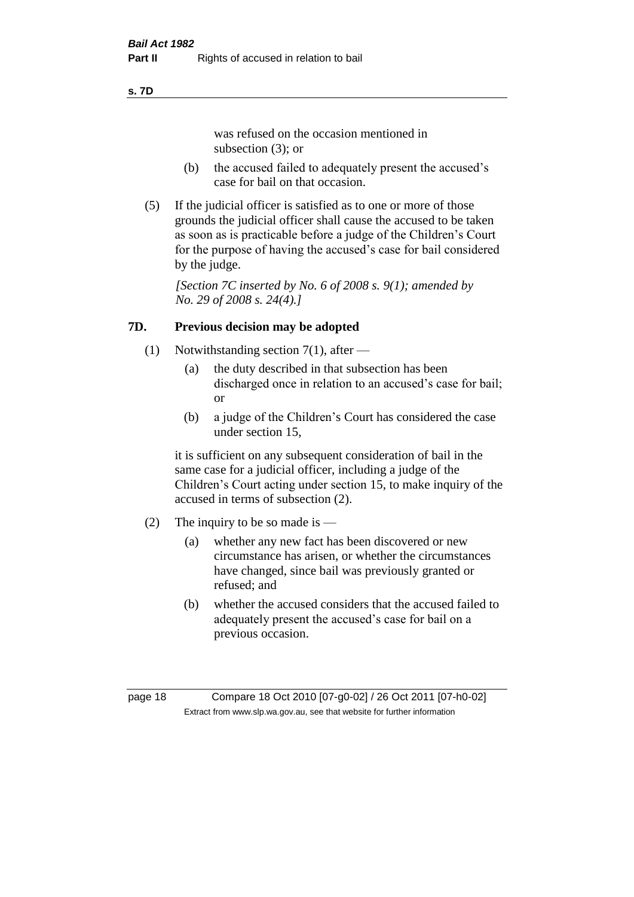#### **s. 7D**

was refused on the occasion mentioned in subsection (3); or

- (b) the accused failed to adequately present the accused's case for bail on that occasion.
- (5) If the judicial officer is satisfied as to one or more of those grounds the judicial officer shall cause the accused to be taken as soon as is practicable before a judge of the Children's Court for the purpose of having the accused's case for bail considered by the judge.

*[Section 7C inserted by No. 6 of 2008 s. 9(1); amended by No. 29 of 2008 s. 24(4).]*

# **7D. Previous decision may be adopted**

- (1) Notwithstanding section 7(1), after
	- (a) the duty described in that subsection has been discharged once in relation to an accused's case for bail; or
	- (b) a judge of the Children's Court has considered the case under section 15,

it is sufficient on any subsequent consideration of bail in the same case for a judicial officer, including a judge of the Children's Court acting under section 15, to make inquiry of the accused in terms of subsection (2).

- (2) The inquiry to be so made is  $-$ 
	- (a) whether any new fact has been discovered or new circumstance has arisen, or whether the circumstances have changed, since bail was previously granted or refused; and
	- (b) whether the accused considers that the accused failed to adequately present the accused's case for bail on a previous occasion.

page 18 Compare 18 Oct 2010 [07-g0-02] / 26 Oct 2011 [07-h0-02] Extract from www.slp.wa.gov.au, see that website for further information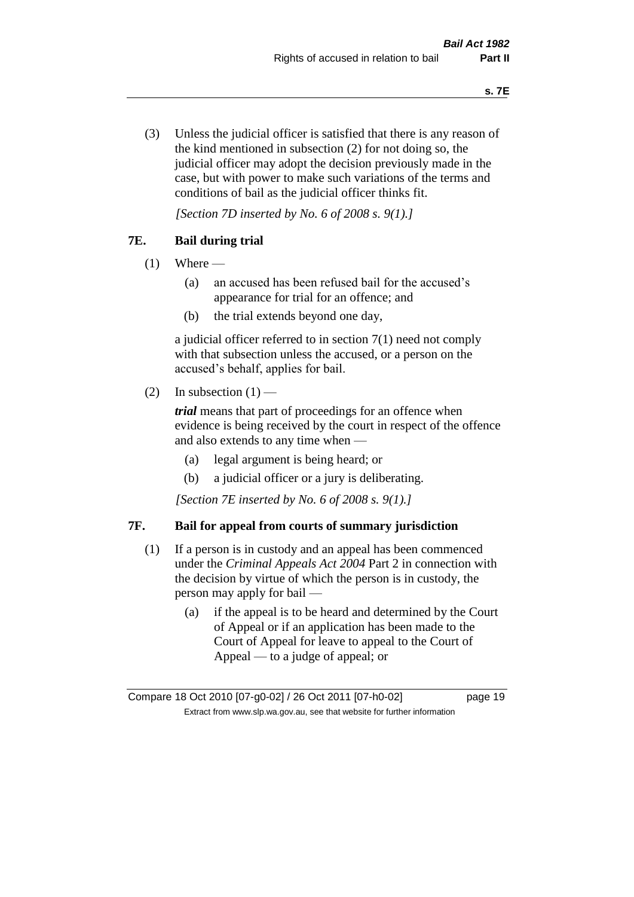(3) Unless the judicial officer is satisfied that there is any reason of the kind mentioned in subsection (2) for not doing so, the judicial officer may adopt the decision previously made in the case, but with power to make such variations of the terms and conditions of bail as the judicial officer thinks fit.

*[Section 7D inserted by No. 6 of 2008 s. 9(1).]*

# **7E. Bail during trial**

- $(1)$  Where
	- (a) an accused has been refused bail for the accused's appearance for trial for an offence; and
	- (b) the trial extends beyond one day,

a judicial officer referred to in section 7(1) need not comply with that subsection unless the accused, or a person on the accused's behalf, applies for bail.

(2) In subsection  $(1)$  —

*trial* means that part of proceedings for an offence when evidence is being received by the court in respect of the offence and also extends to any time when —

- (a) legal argument is being heard; or
- (b) a judicial officer or a jury is deliberating.

*[Section 7E inserted by No. 6 of 2008 s. 9(1).]*

#### **7F. Bail for appeal from courts of summary jurisdiction**

- (1) If a person is in custody and an appeal has been commenced under the *Criminal Appeals Act 2004* Part 2 in connection with the decision by virtue of which the person is in custody, the person may apply for bail —
	- (a) if the appeal is to be heard and determined by the Court of Appeal or if an application has been made to the Court of Appeal for leave to appeal to the Court of Appeal — to a judge of appeal; or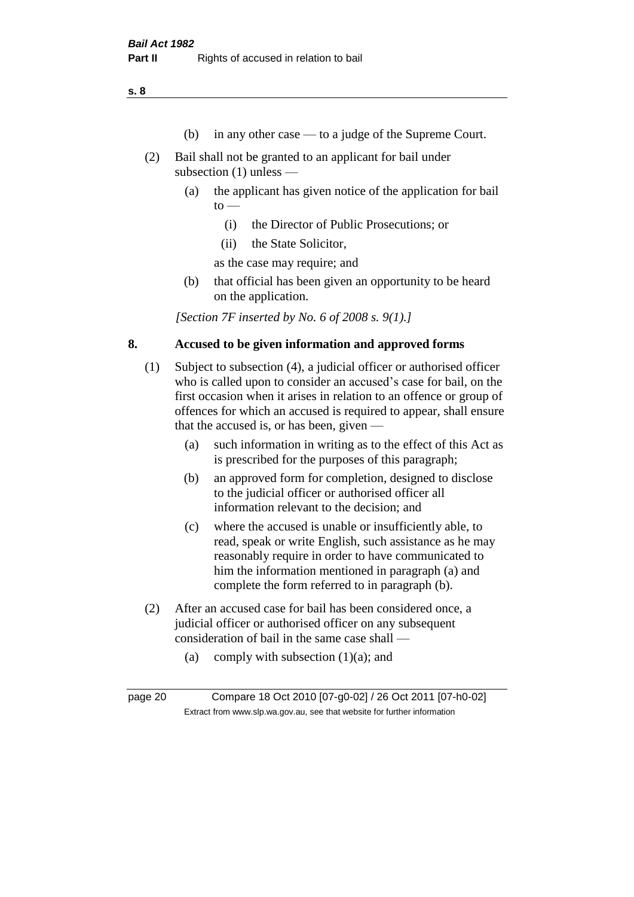**s. 8**

- (b) in any other case to a judge of the Supreme Court.
- (2) Bail shall not be granted to an applicant for bail under subsection (1) unless —
	- (a) the applicant has given notice of the application for bail  $to -$ 
		- (i) the Director of Public Prosecutions; or
		- (ii) the State Solicitor,

as the case may require; and

(b) that official has been given an opportunity to be heard on the application.

*[Section 7F inserted by No. 6 of 2008 s. 9(1).]*

#### **8. Accused to be given information and approved forms**

- (1) Subject to subsection (4), a judicial officer or authorised officer who is called upon to consider an accused's case for bail, on the first occasion when it arises in relation to an offence or group of offences for which an accused is required to appear, shall ensure that the accused is, or has been, given —
	- (a) such information in writing as to the effect of this Act as is prescribed for the purposes of this paragraph;
	- (b) an approved form for completion, designed to disclose to the judicial officer or authorised officer all information relevant to the decision; and
	- (c) where the accused is unable or insufficiently able, to read, speak or write English, such assistance as he may reasonably require in order to have communicated to him the information mentioned in paragraph (a) and complete the form referred to in paragraph (b).
- (2) After an accused case for bail has been considered once, a judicial officer or authorised officer on any subsequent consideration of bail in the same case shall —
	- (a) comply with subsection  $(1)(a)$ ; and

page 20 Compare 18 Oct 2010 [07-g0-02] / 26 Oct 2011 [07-h0-02] Extract from www.slp.wa.gov.au, see that website for further information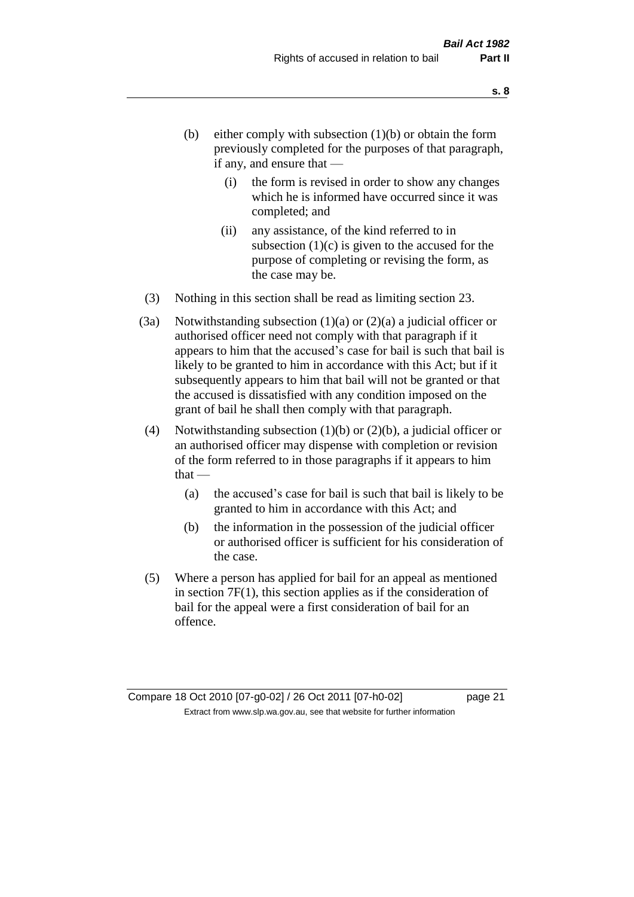- (b) either comply with subsection  $(1)(b)$  or obtain the form previously completed for the purposes of that paragraph, if any, and ensure that —
	- (i) the form is revised in order to show any changes which he is informed have occurred since it was completed; and
	- (ii) any assistance, of the kind referred to in subsection  $(1)(c)$  is given to the accused for the purpose of completing or revising the form, as the case may be.
- (3) Nothing in this section shall be read as limiting section 23.
- (3a) Notwithstanding subsection  $(1)(a)$  or  $(2)(a)$  a judicial officer or authorised officer need not comply with that paragraph if it appears to him that the accused's case for bail is such that bail is likely to be granted to him in accordance with this Act; but if it subsequently appears to him that bail will not be granted or that the accused is dissatisfied with any condition imposed on the grant of bail he shall then comply with that paragraph.
- (4) Notwithstanding subsection (1)(b) or (2)(b), a judicial officer or an authorised officer may dispense with completion or revision of the form referred to in those paragraphs if it appears to him  $that -$ 
	- (a) the accused's case for bail is such that bail is likely to be granted to him in accordance with this Act; and
	- (b) the information in the possession of the judicial officer or authorised officer is sufficient for his consideration of the case.
- (5) Where a person has applied for bail for an appeal as mentioned in section 7F(1), this section applies as if the consideration of bail for the appeal were a first consideration of bail for an offence.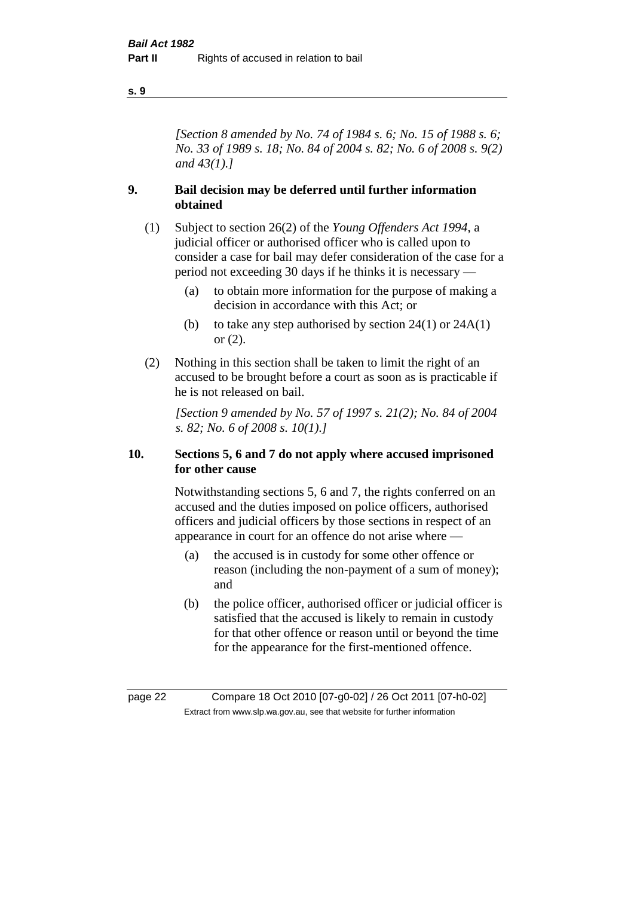#### **s. 9**

*[Section 8 amended by No. 74 of 1984 s. 6; No. 15 of 1988 s. 6; No. 33 of 1989 s. 18; No. 84 of 2004 s. 82; No. 6 of 2008 s. 9(2) and 43(1).]* 

#### **9. Bail decision may be deferred until further information obtained**

- (1) Subject to section 26(2) of the *Young Offenders Act 1994*, a judicial officer or authorised officer who is called upon to consider a case for bail may defer consideration of the case for a period not exceeding 30 days if he thinks it is necessary —
	- (a) to obtain more information for the purpose of making a decision in accordance with this Act; or
	- (b) to take any step authorised by section  $24(1)$  or  $24A(1)$ or (2).
- (2) Nothing in this section shall be taken to limit the right of an accused to be brought before a court as soon as is practicable if he is not released on bail.

*[Section 9 amended by No. 57 of 1997 s. 21(2); No. 84 of 2004 s. 82; No. 6 of 2008 s. 10(1).]*

#### **10. Sections 5, 6 and 7 do not apply where accused imprisoned for other cause**

Notwithstanding sections 5, 6 and 7, the rights conferred on an accused and the duties imposed on police officers, authorised officers and judicial officers by those sections in respect of an appearance in court for an offence do not arise where —

- (a) the accused is in custody for some other offence or reason (including the non-payment of a sum of money); and
- (b) the police officer, authorised officer or judicial officer is satisfied that the accused is likely to remain in custody for that other offence or reason until or beyond the time for the appearance for the first-mentioned offence.

page 22 Compare 18 Oct 2010 [07-g0-02] / 26 Oct 2011 [07-h0-02] Extract from www.slp.wa.gov.au, see that website for further information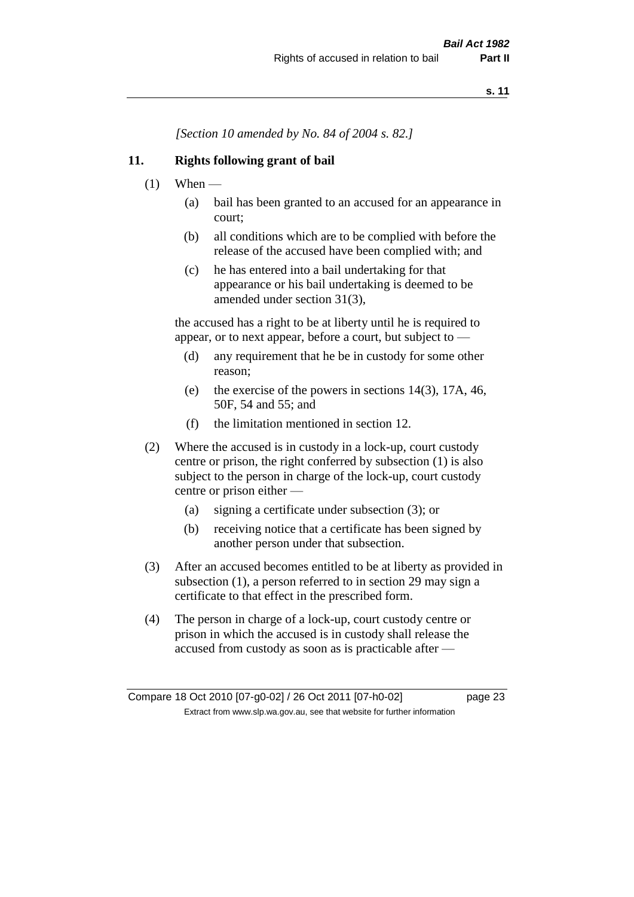*[Section 10 amended by No. 84 of 2004 s. 82.]*

# **11. Rights following grant of bail**

- $(1)$  When
	- (a) bail has been granted to an accused for an appearance in court;
	- (b) all conditions which are to be complied with before the release of the accused have been complied with; and
	- (c) he has entered into a bail undertaking for that appearance or his bail undertaking is deemed to be amended under section 31(3),

the accused has a right to be at liberty until he is required to appear, or to next appear, before a court, but subject to —

- (d) any requirement that he be in custody for some other reason;
- (e) the exercise of the powers in sections 14(3), 17A, 46, 50F, 54 and 55; and
- (f) the limitation mentioned in section 12.
- (2) Where the accused is in custody in a lock-up, court custody centre or prison, the right conferred by subsection (1) is also subject to the person in charge of the lock-up, court custody centre or prison either —
	- (a) signing a certificate under subsection (3); or
	- (b) receiving notice that a certificate has been signed by another person under that subsection.
- (3) After an accused becomes entitled to be at liberty as provided in subsection (1), a person referred to in section 29 may sign a certificate to that effect in the prescribed form.
- (4) The person in charge of a lock-up, court custody centre or prison in which the accused is in custody shall release the accused from custody as soon as is practicable after —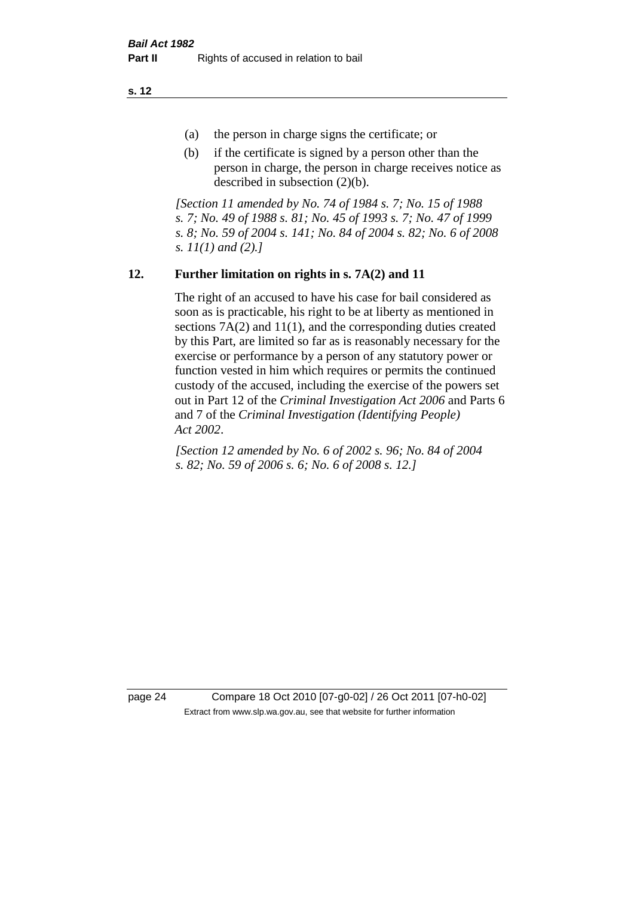**s. 12**

- (a) the person in charge signs the certificate; or
- (b) if the certificate is signed by a person other than the person in charge, the person in charge receives notice as described in subsection (2)(b).

*[Section 11 amended by No. 74 of 1984 s. 7; No. 15 of 1988 s. 7; No. 49 of 1988 s. 81; No. 45 of 1993 s. 7; No. 47 of 1999 s. 8; No. 59 of 2004 s. 141; No. 84 of 2004 s. 82; No. 6 of 2008 s. 11(1) and (2).]* 

# **12. Further limitation on rights in s. 7A(2) and 11**

The right of an accused to have his case for bail considered as soon as is practicable, his right to be at liberty as mentioned in sections 7A(2) and 11(1), and the corresponding duties created by this Part, are limited so far as is reasonably necessary for the exercise or performance by a person of any statutory power or function vested in him which requires or permits the continued custody of the accused, including the exercise of the powers set out in Part 12 of the *Criminal Investigation Act 2006* and Parts 6 and 7 of the *Criminal Investigation (Identifying People) Act 2002*.

*[Section 12 amended by No. 6 of 2002 s. 96; No. 84 of 2004 s. 82; No. 59 of 2006 s. 6; No. 6 of 2008 s. 12.]*

page 24 Compare 18 Oct 2010 [07-g0-02] / 26 Oct 2011 [07-h0-02] Extract from www.slp.wa.gov.au, see that website for further information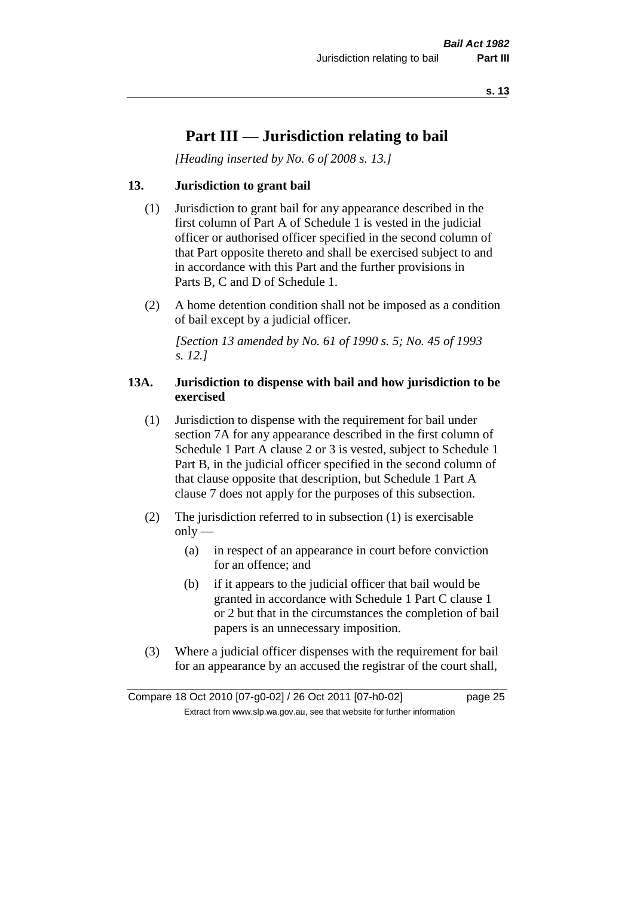# **Part III — Jurisdiction relating to bail**

*[Heading inserted by No. 6 of 2008 s. 13.]*

# **13. Jurisdiction to grant bail**

- (1) Jurisdiction to grant bail for any appearance described in the first column of Part A of Schedule 1 is vested in the judicial officer or authorised officer specified in the second column of that Part opposite thereto and shall be exercised subject to and in accordance with this Part and the further provisions in Parts B, C and D of Schedule 1.
- (2) A home detention condition shall not be imposed as a condition of bail except by a judicial officer.

*[Section 13 amended by No. 61 of 1990 s. 5; No. 45 of 1993 s. 12.]* 

#### **13A. Jurisdiction to dispense with bail and how jurisdiction to be exercised**

- (1) Jurisdiction to dispense with the requirement for bail under section 7A for any appearance described in the first column of Schedule 1 Part A clause 2 or 3 is vested, subject to Schedule 1 Part B, in the judicial officer specified in the second column of that clause opposite that description, but Schedule 1 Part A clause 7 does not apply for the purposes of this subsection.
- (2) The jurisdiction referred to in subsection (1) is exercisable  $only$ —
	- (a) in respect of an appearance in court before conviction for an offence; and
	- (b) if it appears to the judicial officer that bail would be granted in accordance with Schedule 1 Part C clause 1 or 2 but that in the circumstances the completion of bail papers is an unnecessary imposition.
- (3) Where a judicial officer dispenses with the requirement for bail for an appearance by an accused the registrar of the court shall,

Compare 18 Oct 2010 [07-g0-02] / 26 Oct 2011 [07-h0-02] page 25 Extract from www.slp.wa.gov.au, see that website for further information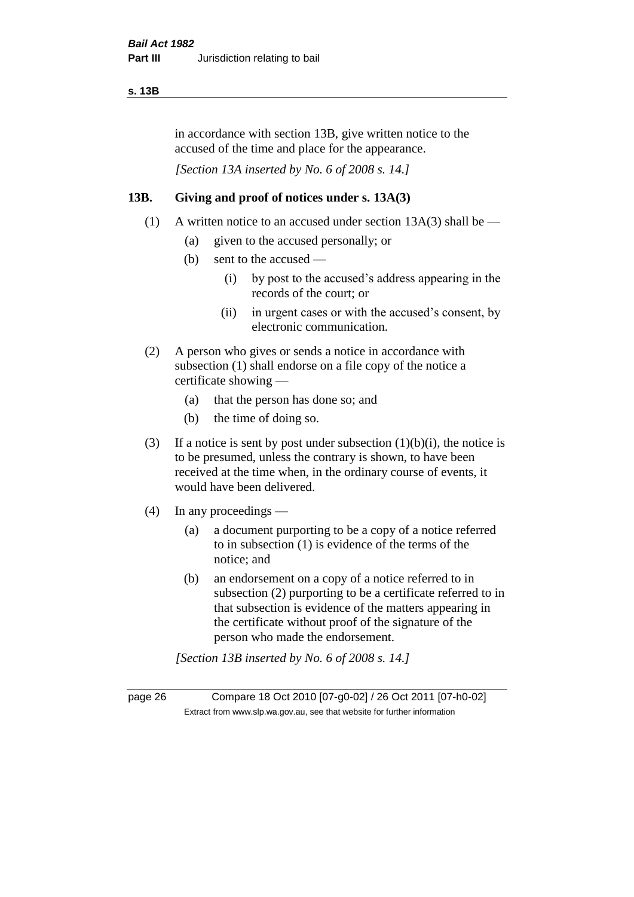#### **s. 13B**

in accordance with section 13B, give written notice to the accused of the time and place for the appearance.

*[Section 13A inserted by No. 6 of 2008 s. 14.]*

# **13B. Giving and proof of notices under s. 13A(3)**

- (1) A written notice to an accused under section  $13A(3)$  shall be
	- (a) given to the accused personally; or
	- (b) sent to the accused
		- (i) by post to the accused's address appearing in the records of the court; or
		- (ii) in urgent cases or with the accused's consent, by electronic communication.
- (2) A person who gives or sends a notice in accordance with subsection (1) shall endorse on a file copy of the notice a certificate showing —
	- (a) that the person has done so; and
	- (b) the time of doing so.
- (3) If a notice is sent by post under subsection  $(1)(b)(i)$ , the notice is to be presumed, unless the contrary is shown, to have been received at the time when, in the ordinary course of events, it would have been delivered.
- (4) In any proceedings
	- (a) a document purporting to be a copy of a notice referred to in subsection (1) is evidence of the terms of the notice; and
	- (b) an endorsement on a copy of a notice referred to in subsection (2) purporting to be a certificate referred to in that subsection is evidence of the matters appearing in the certificate without proof of the signature of the person who made the endorsement.

*[Section 13B inserted by No. 6 of 2008 s. 14.]*

page 26 Compare 18 Oct 2010 [07-g0-02] / 26 Oct 2011 [07-h0-02] Extract from www.slp.wa.gov.au, see that website for further information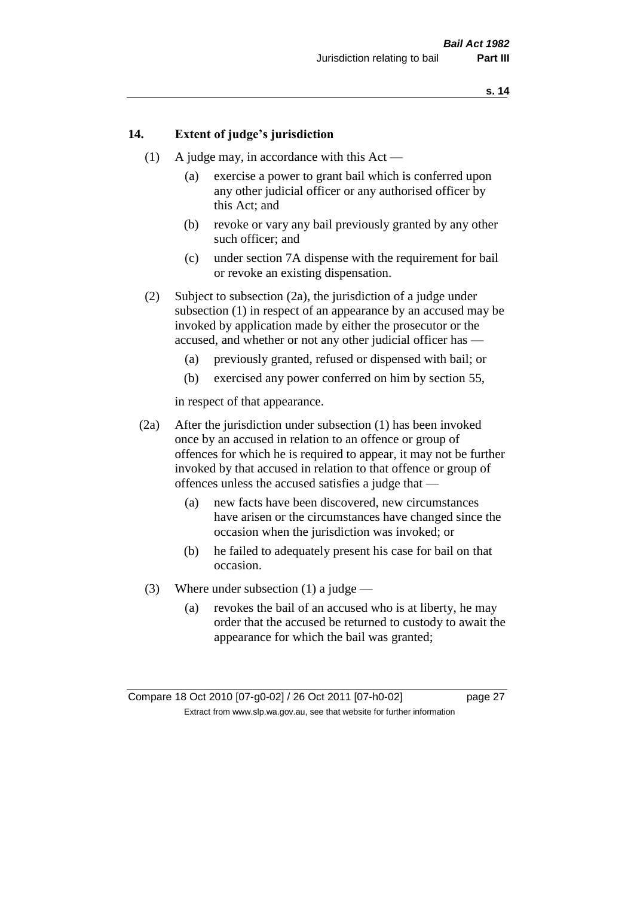#### **14. Extent of judge's jurisdiction**

- (1) A judge may, in accordance with this Act
	- (a) exercise a power to grant bail which is conferred upon any other judicial officer or any authorised officer by this Act; and
	- (b) revoke or vary any bail previously granted by any other such officer; and
	- (c) under section 7A dispense with the requirement for bail or revoke an existing dispensation.
- (2) Subject to subsection (2a), the jurisdiction of a judge under subsection (1) in respect of an appearance by an accused may be invoked by application made by either the prosecutor or the accused, and whether or not any other judicial officer has —
	- (a) previously granted, refused or dispensed with bail; or
	- (b) exercised any power conferred on him by section 55,

in respect of that appearance.

- (2a) After the jurisdiction under subsection (1) has been invoked once by an accused in relation to an offence or group of offences for which he is required to appear, it may not be further invoked by that accused in relation to that offence or group of offences unless the accused satisfies a judge that —
	- (a) new facts have been discovered, new circumstances have arisen or the circumstances have changed since the occasion when the jurisdiction was invoked; or
	- (b) he failed to adequately present his case for bail on that occasion.
- (3) Where under subsection (1) a judge
	- (a) revokes the bail of an accused who is at liberty, he may order that the accused be returned to custody to await the appearance for which the bail was granted;

Compare 18 Oct 2010 [07-g0-02] / 26 Oct 2011 [07-h0-02] page 27 Extract from www.slp.wa.gov.au, see that website for further information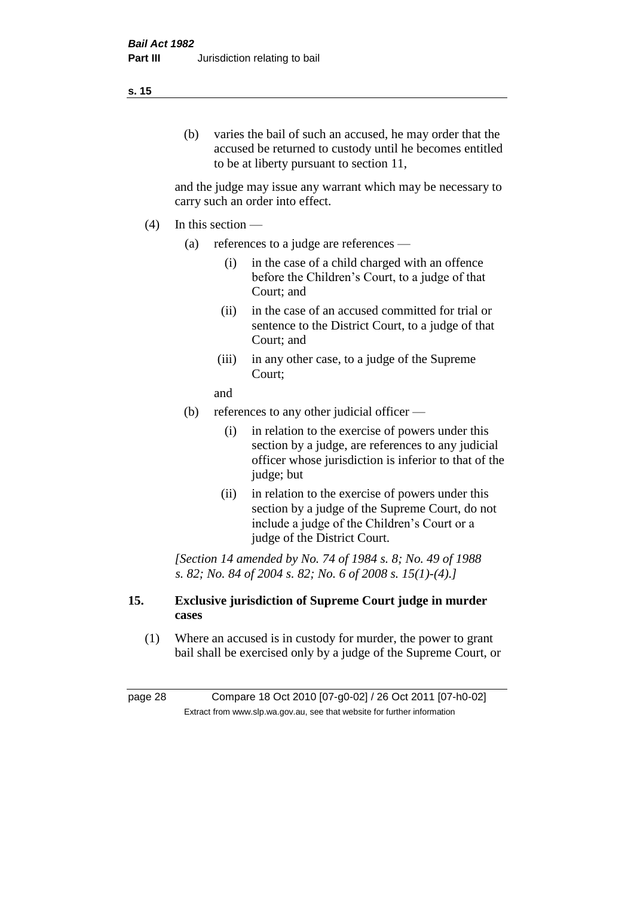#### **s. 15**

(b) varies the bail of such an accused, he may order that the accused be returned to custody until he becomes entitled to be at liberty pursuant to section 11,

and the judge may issue any warrant which may be necessary to carry such an order into effect.

- $(4)$  In this section
	- (a) references to a judge are references
		- (i) in the case of a child charged with an offence before the Children's Court, to a judge of that Court; and
		- (ii) in the case of an accused committed for trial or sentence to the District Court, to a judge of that Court; and
		- (iii) in any other case, to a judge of the Supreme Court;

and

- (b) references to any other judicial officer
	- (i) in relation to the exercise of powers under this section by a judge, are references to any judicial officer whose jurisdiction is inferior to that of the judge; but
	- (ii) in relation to the exercise of powers under this section by a judge of the Supreme Court, do not include a judge of the Children's Court or a judge of the District Court.

*[Section 14 amended by No. 74 of 1984 s. 8; No. 49 of 1988 s. 82; No. 84 of 2004 s. 82; No. 6 of 2008 s. 15(1)-(4).]* 

#### **15. Exclusive jurisdiction of Supreme Court judge in murder cases**

(1) Where an accused is in custody for murder, the power to grant bail shall be exercised only by a judge of the Supreme Court, or

page 28 Compare 18 Oct 2010 [07-g0-02] / 26 Oct 2011 [07-h0-02] Extract from www.slp.wa.gov.au, see that website for further information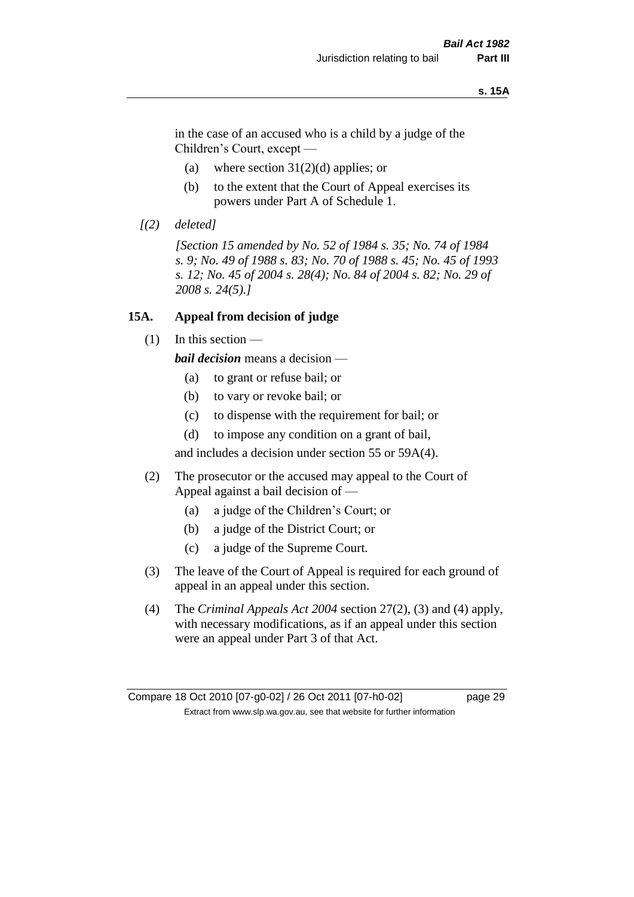#### **s. 15A**

in the case of an accused who is a child by a judge of the Children's Court, except —

- (a) where section  $31(2)(d)$  applies; or
- (b) to the extent that the Court of Appeal exercises its powers under Part A of Schedule 1.
- *[(2) deleted]*

*[Section 15 amended by No. 52 of 1984 s. 35; No. 74 of 1984 s. 9; No. 49 of 1988 s. 83; No. 70 of 1988 s. 45; No. 45 of 1993 s. 12; No. 45 of 2004 s. 28(4); No. 84 of 2004 s. 82; No. 29 of 2008 s. 24(5).]* 

#### **15A. Appeal from decision of judge**

(1) In this section —

*bail decision* means a decision —

- (a) to grant or refuse bail; or
- (b) to vary or revoke bail; or
- (c) to dispense with the requirement for bail; or
- (d) to impose any condition on a grant of bail,

and includes a decision under section 55 or 59A(4).

- (2) The prosecutor or the accused may appeal to the Court of Appeal against a bail decision of —
	- (a) a judge of the Children's Court; or
	- (b) a judge of the District Court; or
	- (c) a judge of the Supreme Court.
- (3) The leave of the Court of Appeal is required for each ground of appeal in an appeal under this section.
- (4) The *Criminal Appeals Act 2004* section 27(2), (3) and (4) apply, with necessary modifications, as if an appeal under this section were an appeal under Part 3 of that Act.

Compare 18 Oct 2010 [07-g0-02] / 26 Oct 2011 [07-h0-02] page 29 Extract from www.slp.wa.gov.au, see that website for further information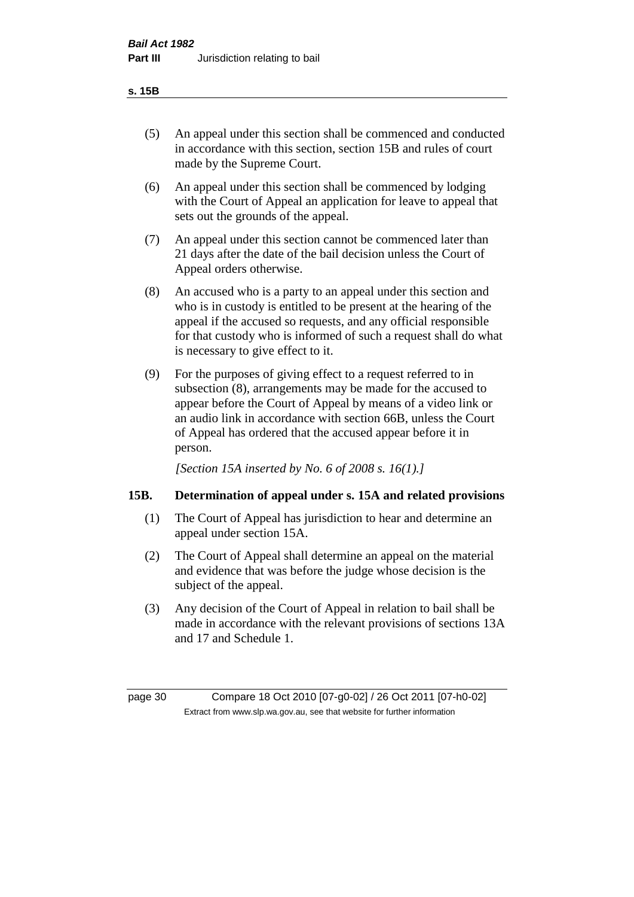- (5) An appeal under this section shall be commenced and conducted in accordance with this section, section 15B and rules of court made by the Supreme Court.
- (6) An appeal under this section shall be commenced by lodging with the Court of Appeal an application for leave to appeal that sets out the grounds of the appeal.
- (7) An appeal under this section cannot be commenced later than 21 days after the date of the bail decision unless the Court of Appeal orders otherwise.
- (8) An accused who is a party to an appeal under this section and who is in custody is entitled to be present at the hearing of the appeal if the accused so requests, and any official responsible for that custody who is informed of such a request shall do what is necessary to give effect to it.
- (9) For the purposes of giving effect to a request referred to in subsection (8), arrangements may be made for the accused to appear before the Court of Appeal by means of a video link or an audio link in accordance with section 66B, unless the Court of Appeal has ordered that the accused appear before it in person.

*[Section 15A inserted by No. 6 of 2008 s. 16(1).]*

## **15B. Determination of appeal under s. 15A and related provisions**

- (1) The Court of Appeal has jurisdiction to hear and determine an appeal under section 15A.
- (2) The Court of Appeal shall determine an appeal on the material and evidence that was before the judge whose decision is the subject of the appeal.
- (3) Any decision of the Court of Appeal in relation to bail shall be made in accordance with the relevant provisions of sections 13A and 17 and Schedule 1.

page 30 Compare 18 Oct 2010 [07-g0-02] / 26 Oct 2011 [07-h0-02] Extract from www.slp.wa.gov.au, see that website for further information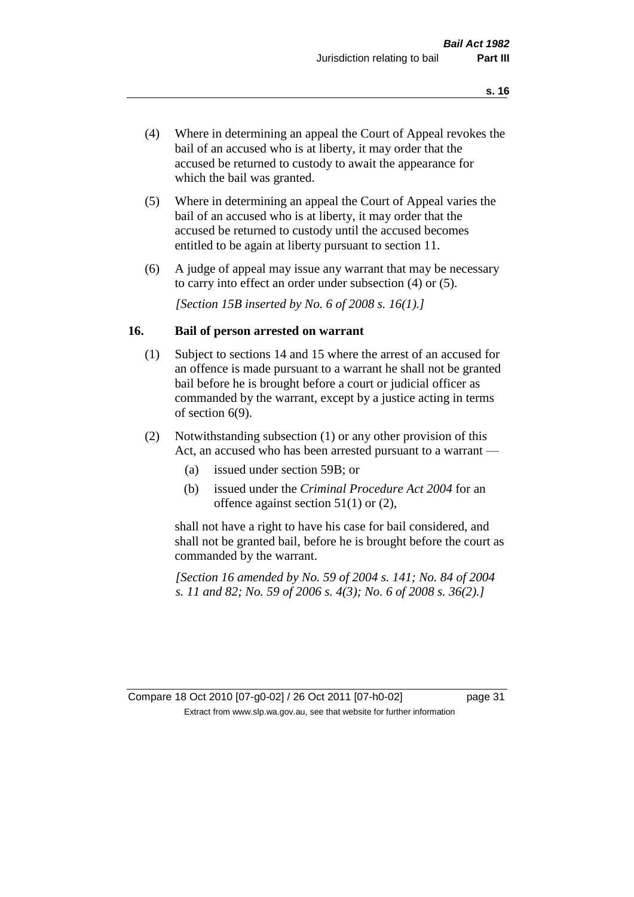- (4) Where in determining an appeal the Court of Appeal revokes the bail of an accused who is at liberty, it may order that the accused be returned to custody to await the appearance for which the bail was granted.
- (5) Where in determining an appeal the Court of Appeal varies the bail of an accused who is at liberty, it may order that the accused be returned to custody until the accused becomes entitled to be again at liberty pursuant to section 11.
- (6) A judge of appeal may issue any warrant that may be necessary to carry into effect an order under subsection (4) or (5).

*[Section 15B inserted by No. 6 of 2008 s. 16(1).]*

#### **16. Bail of person arrested on warrant**

- (1) Subject to sections 14 and 15 where the arrest of an accused for an offence is made pursuant to a warrant he shall not be granted bail before he is brought before a court or judicial officer as commanded by the warrant, except by a justice acting in terms of section 6(9).
- (2) Notwithstanding subsection (1) or any other provision of this Act, an accused who has been arrested pursuant to a warrant —
	- (a) issued under section 59B; or
	- (b) issued under the *Criminal Procedure Act 2004* for an offence against section 51(1) or (2),

shall not have a right to have his case for bail considered, and shall not be granted bail, before he is brought before the court as commanded by the warrant.

*[Section 16 amended by No. 59 of 2004 s. 141; No. 84 of 2004 s. 11 and 82; No. 59 of 2006 s. 4(3); No. 6 of 2008 s. 36(2).]*

#### Compare 18 Oct 2010 [07-g0-02] / 26 Oct 2011 [07-h0-02] page 31 Extract from www.slp.wa.gov.au, see that website for further information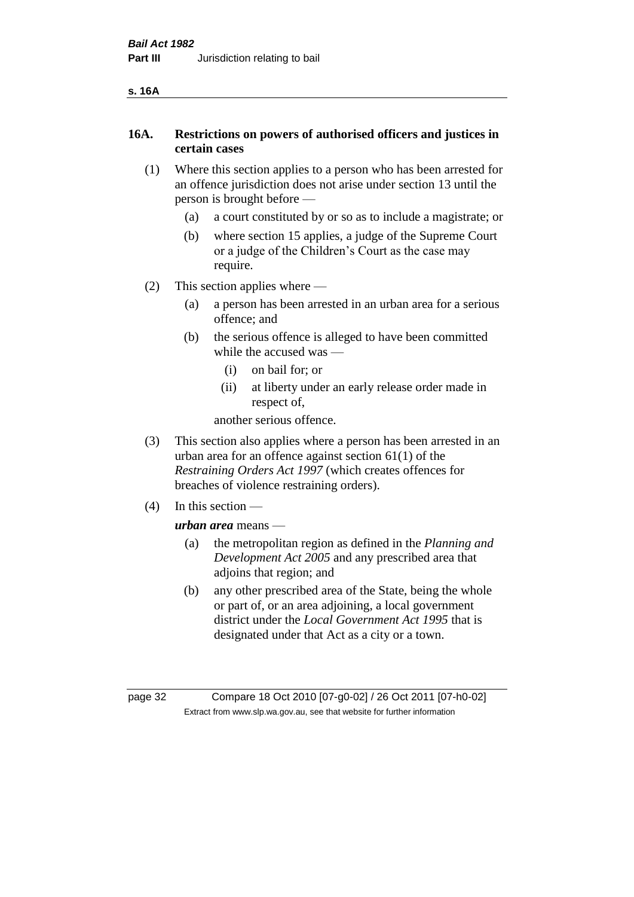# **16A. Restrictions on powers of authorised officers and justices in certain cases**

- (1) Where this section applies to a person who has been arrested for an offence jurisdiction does not arise under section 13 until the person is brought before —
	- (a) a court constituted by or so as to include a magistrate; or
	- (b) where section 15 applies, a judge of the Supreme Court or a judge of the Children's Court as the case may require.
- (2) This section applies where
	- (a) a person has been arrested in an urban area for a serious offence; and
	- (b) the serious offence is alleged to have been committed while the accused was —
		- (i) on bail for; or
		- (ii) at liberty under an early release order made in respect of,

another serious offence.

- (3) This section also applies where a person has been arrested in an urban area for an offence against section 61(1) of the *Restraining Orders Act 1997* (which creates offences for breaches of violence restraining orders).
- (4) In this section —

*urban area* means —

- (a) the metropolitan region as defined in the *Planning and Development Act 2005* and any prescribed area that adjoins that region; and
- (b) any other prescribed area of the State, being the whole or part of, or an area adjoining, a local government district under the *Local Government Act 1995* that is designated under that Act as a city or a town.

page 32 Compare 18 Oct 2010 [07-g0-02] / 26 Oct 2011 [07-h0-02] Extract from www.slp.wa.gov.au, see that website for further information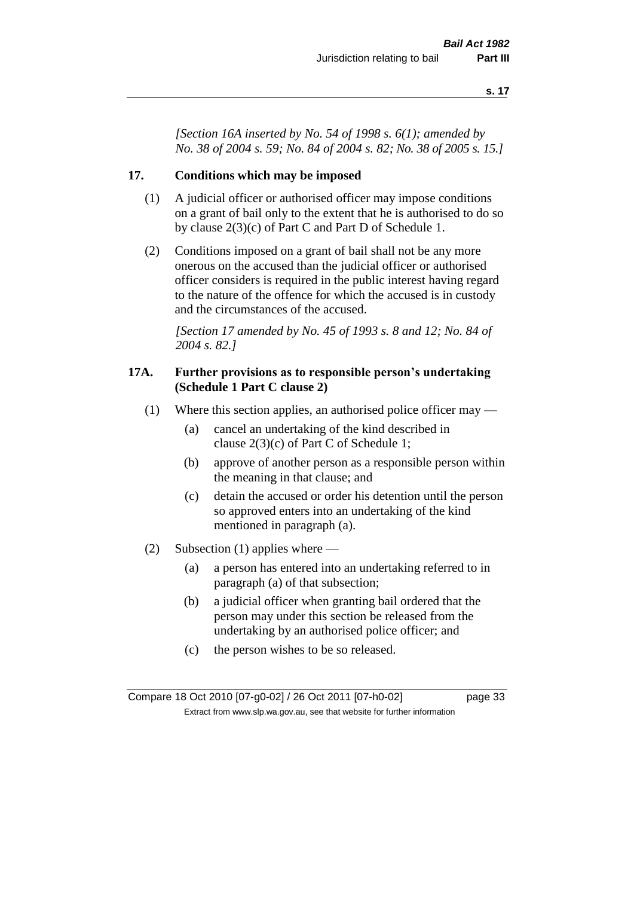*[Section 16A inserted by No. 54 of 1998 s. 6(1); amended by No. 38 of 2004 s. 59; No. 84 of 2004 s. 82; No. 38 of 2005 s. 15.]*

#### **17. Conditions which may be imposed**

- (1) A judicial officer or authorised officer may impose conditions on a grant of bail only to the extent that he is authorised to do so by clause 2(3)(c) of Part C and Part D of Schedule 1.
- (2) Conditions imposed on a grant of bail shall not be any more onerous on the accused than the judicial officer or authorised officer considers is required in the public interest having regard to the nature of the offence for which the accused is in custody and the circumstances of the accused.

*[Section 17 amended by No. 45 of 1993 s. 8 and 12; No. 84 of 2004 s. 82.]* 

#### **17A. Further provisions as to responsible person's undertaking (Schedule 1 Part C clause 2)**

- (1) Where this section applies, an authorised police officer may
	- (a) cancel an undertaking of the kind described in clause 2(3)(c) of Part C of Schedule 1;
	- (b) approve of another person as a responsible person within the meaning in that clause; and
	- (c) detain the accused or order his detention until the person so approved enters into an undertaking of the kind mentioned in paragraph (a).
- (2) Subsection (1) applies where
	- (a) a person has entered into an undertaking referred to in paragraph (a) of that subsection;
	- (b) a judicial officer when granting bail ordered that the person may under this section be released from the undertaking by an authorised police officer; and
	- (c) the person wishes to be so released.

Compare 18 Oct 2010 [07-g0-02] / 26 Oct 2011 [07-h0-02] page 33 Extract from www.slp.wa.gov.au, see that website for further information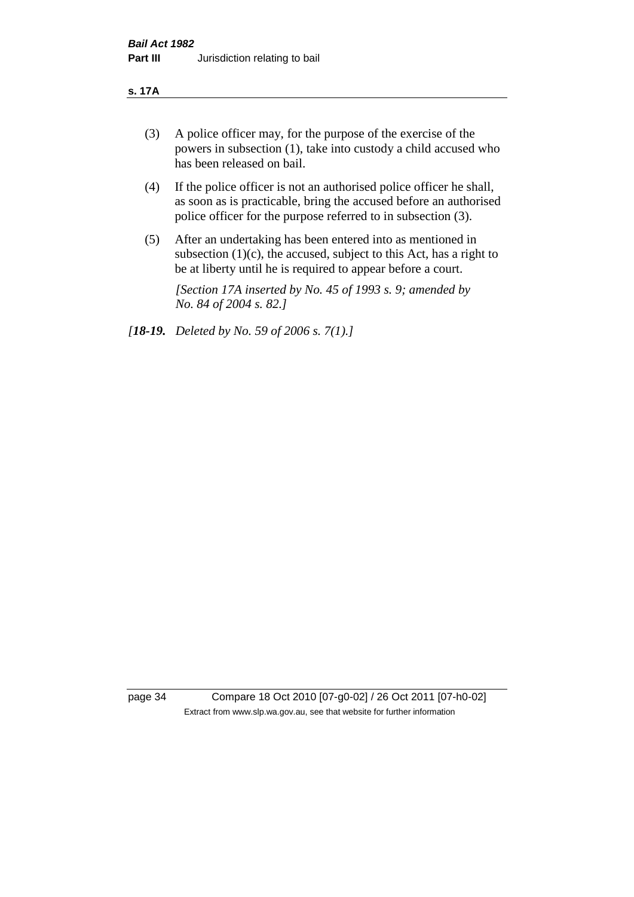#### **s. 17A**

- (3) A police officer may, for the purpose of the exercise of the powers in subsection (1), take into custody a child accused who has been released on bail.
- (4) If the police officer is not an authorised police officer he shall, as soon as is practicable, bring the accused before an authorised police officer for the purpose referred to in subsection (3).
- (5) After an undertaking has been entered into as mentioned in subsection  $(1)(c)$ , the accused, subject to this Act, has a right to be at liberty until he is required to appear before a court.

*[Section 17A inserted by No. 45 of 1993 s. 9; amended by No. 84 of 2004 s. 82.]* 

*[18-19. Deleted by No. 59 of 2006 s. 7(1).]*

page 34 Compare 18 Oct 2010 [07-g0-02] / 26 Oct 2011 [07-h0-02] Extract from www.slp.wa.gov.au, see that website for further information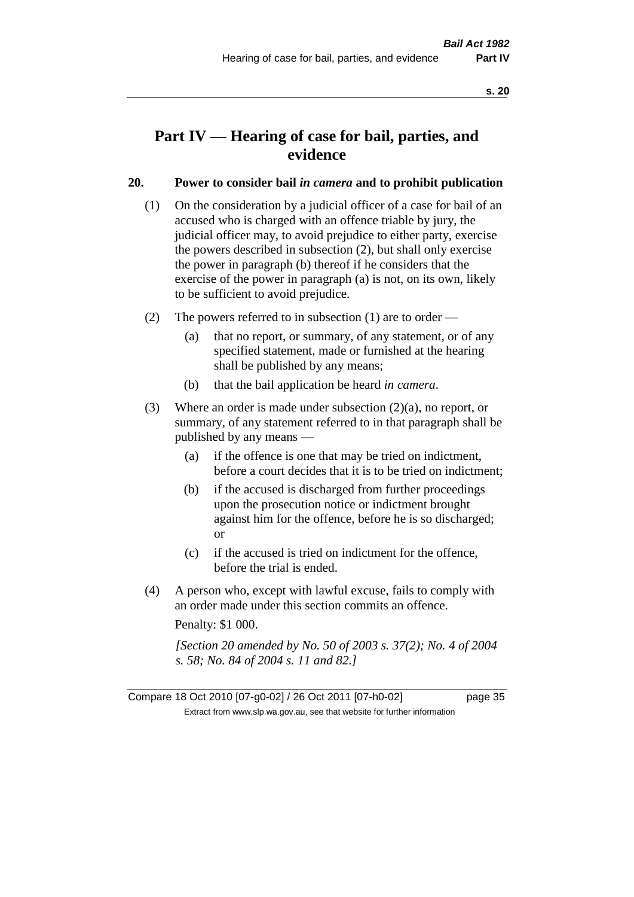# **Part IV — Hearing of case for bail, parties, and evidence**

## **20. Power to consider bail** *in camera* **and to prohibit publication**

- (1) On the consideration by a judicial officer of a case for bail of an accused who is charged with an offence triable by jury, the judicial officer may, to avoid prejudice to either party, exercise the powers described in subsection (2), but shall only exercise the power in paragraph (b) thereof if he considers that the exercise of the power in paragraph (a) is not, on its own, likely to be sufficient to avoid prejudice.
- (2) The powers referred to in subsection (1) are to order
	- (a) that no report, or summary, of any statement, or of any specified statement, made or furnished at the hearing shall be published by any means;
	- (b) that the bail application be heard *in camera*.
- (3) Where an order is made under subsection (2)(a), no report, or summary, of any statement referred to in that paragraph shall be published by any means —
	- (a) if the offence is one that may be tried on indictment, before a court decides that it is to be tried on indictment;
	- (b) if the accused is discharged from further proceedings upon the prosecution notice or indictment brought against him for the offence, before he is so discharged; or
	- (c) if the accused is tried on indictment for the offence, before the trial is ended.
- (4) A person who, except with lawful excuse, fails to comply with an order made under this section commits an offence.

Penalty: \$1 000.

*[Section 20 amended by No. 50 of 2003 s. 37(2); No. 4 of 2004 s. 58; No. 84 of 2004 s. 11 and 82.]*

Compare 18 Oct 2010 [07-g0-02] / 26 Oct 2011 [07-h0-02] page 35 Extract from www.slp.wa.gov.au, see that website for further information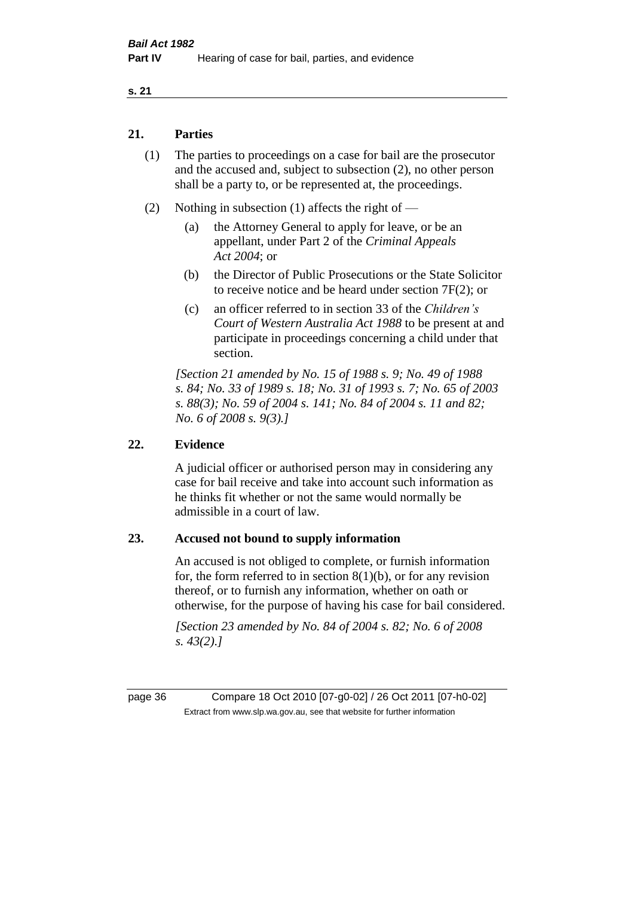## **21. Parties**

- (1) The parties to proceedings on a case for bail are the prosecutor and the accused and, subject to subsection (2), no other person shall be a party to, or be represented at, the proceedings.
- (2) Nothing in subsection (1) affects the right of
	- (a) the Attorney General to apply for leave, or be an appellant, under Part 2 of the *Criminal Appeals Act 2004*; or
	- (b) the Director of Public Prosecutions or the State Solicitor to receive notice and be heard under section 7F(2); or
	- (c) an officer referred to in section 33 of the *Children's Court of Western Australia Act 1988* to be present at and participate in proceedings concerning a child under that section.

*[Section 21 amended by No. 15 of 1988 s. 9; No. 49 of 1988 s. 84; No. 33 of 1989 s. 18; No. 31 of 1993 s. 7; No. 65 of 2003 s. 88(3); No. 59 of 2004 s. 141; No. 84 of 2004 s. 11 and 82; No. 6 of 2008 s. 9(3).]* 

## **22. Evidence**

A judicial officer or authorised person may in considering any case for bail receive and take into account such information as he thinks fit whether or not the same would normally be admissible in a court of law.

### **23. Accused not bound to supply information**

An accused is not obliged to complete, or furnish information for, the form referred to in section  $8(1)(b)$ , or for any revision thereof, or to furnish any information, whether on oath or otherwise, for the purpose of having his case for bail considered.

*[Section 23 amended by No. 84 of 2004 s. 82; No. 6 of 2008 s. 43(2).]* 

page 36 Compare 18 Oct 2010 [07-g0-02] / 26 Oct 2011 [07-h0-02] Extract from www.slp.wa.gov.au, see that website for further information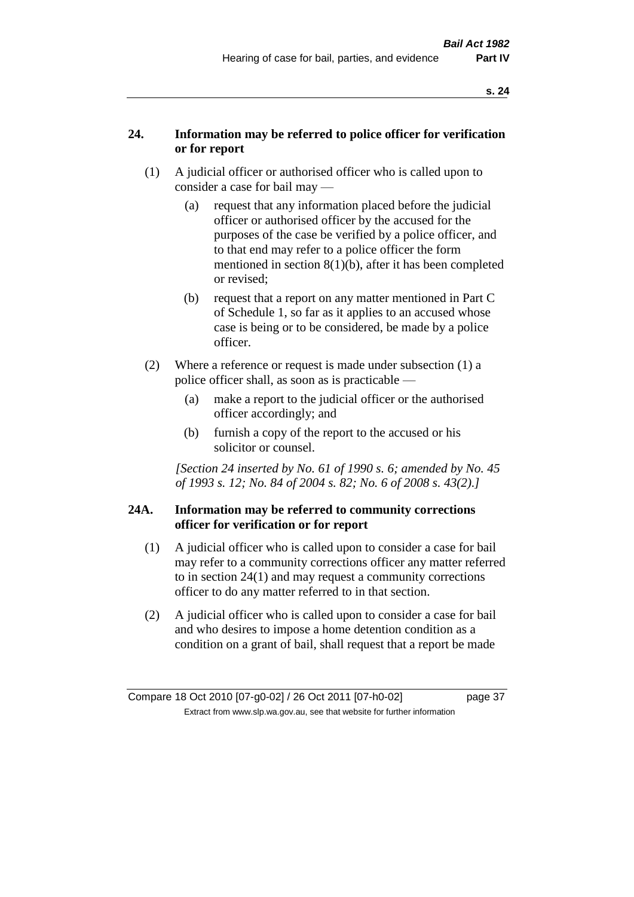# **24. Information may be referred to police officer for verification or for report**

- (1) A judicial officer or authorised officer who is called upon to consider a case for bail may —
	- (a) request that any information placed before the judicial officer or authorised officer by the accused for the purposes of the case be verified by a police officer, and to that end may refer to a police officer the form mentioned in section 8(1)(b), after it has been completed or revised;
	- (b) request that a report on any matter mentioned in Part C of Schedule 1, so far as it applies to an accused whose case is being or to be considered, be made by a police officer.
- (2) Where a reference or request is made under subsection (1) a police officer shall, as soon as is practicable —
	- (a) make a report to the judicial officer or the authorised officer accordingly; and
	- (b) furnish a copy of the report to the accused or his solicitor or counsel.

*[Section 24 inserted by No. 61 of 1990 s. 6; amended by No. 45 of 1993 s. 12; No. 84 of 2004 s. 82; No. 6 of 2008 s. 43(2).]* 

# **24A. Information may be referred to community corrections officer for verification or for report**

- (1) A judicial officer who is called upon to consider a case for bail may refer to a community corrections officer any matter referred to in section 24(1) and may request a community corrections officer to do any matter referred to in that section.
- (2) A judicial officer who is called upon to consider a case for bail and who desires to impose a home detention condition as a condition on a grant of bail, shall request that a report be made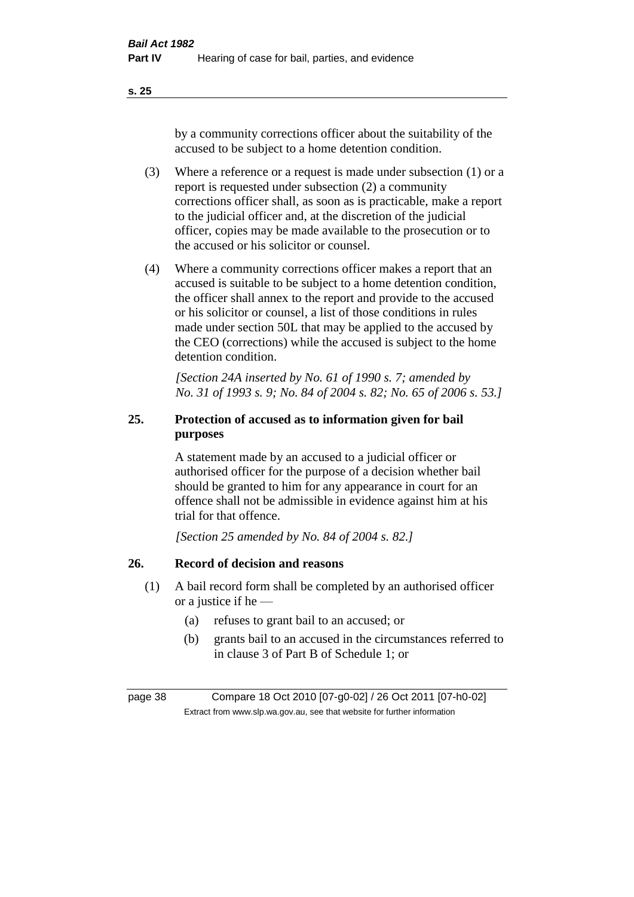by a community corrections officer about the suitability of the accused to be subject to a home detention condition.

- (3) Where a reference or a request is made under subsection (1) or a report is requested under subsection (2) a community corrections officer shall, as soon as is practicable, make a report to the judicial officer and, at the discretion of the judicial officer, copies may be made available to the prosecution or to the accused or his solicitor or counsel.
- (4) Where a community corrections officer makes a report that an accused is suitable to be subject to a home detention condition, the officer shall annex to the report and provide to the accused or his solicitor or counsel, a list of those conditions in rules made under section 50L that may be applied to the accused by the CEO (corrections) while the accused is subject to the home detention condition.

*[Section 24A inserted by No. 61 of 1990 s. 7; amended by No. 31 of 1993 s. 9; No. 84 of 2004 s. 82; No. 65 of 2006 s. 53.]* 

# **25. Protection of accused as to information given for bail purposes**

A statement made by an accused to a judicial officer or authorised officer for the purpose of a decision whether bail should be granted to him for any appearance in court for an offence shall not be admissible in evidence against him at his trial for that offence.

*[Section 25 amended by No. 84 of 2004 s. 82.]* 

# **26. Record of decision and reasons**

- (1) A bail record form shall be completed by an authorised officer or a justice if he —
	- (a) refuses to grant bail to an accused; or
	- (b) grants bail to an accused in the circumstances referred to in clause 3 of Part B of Schedule 1; or

page 38 Compare 18 Oct 2010 [07-g0-02] / 26 Oct 2011 [07-h0-02] Extract from www.slp.wa.gov.au, see that website for further information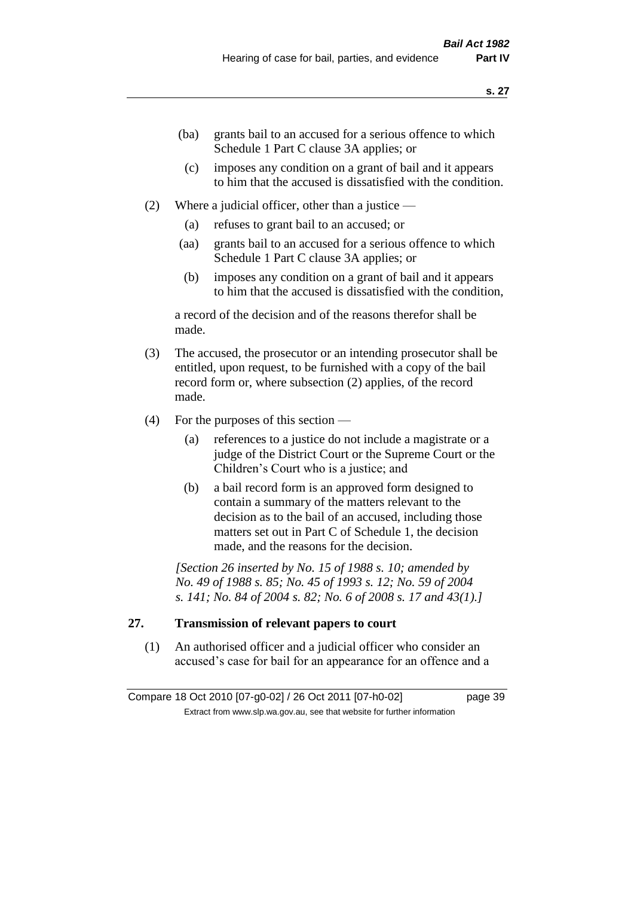- (ba) grants bail to an accused for a serious offence to which Schedule 1 Part C clause 3A applies; or
- (c) imposes any condition on a grant of bail and it appears to him that the accused is dissatisfied with the condition.
- (2) Where a judicial officer, other than a justice
	- (a) refuses to grant bail to an accused; or
	- (aa) grants bail to an accused for a serious offence to which Schedule 1 Part C clause 3A applies; or
	- (b) imposes any condition on a grant of bail and it appears to him that the accused is dissatisfied with the condition,

a record of the decision and of the reasons therefor shall be made.

- (3) The accused, the prosecutor or an intending prosecutor shall be entitled, upon request, to be furnished with a copy of the bail record form or, where subsection (2) applies, of the record made.
- (4) For the purposes of this section
	- (a) references to a justice do not include a magistrate or a judge of the District Court or the Supreme Court or the Children's Court who is a justice; and
	- (b) a bail record form is an approved form designed to contain a summary of the matters relevant to the decision as to the bail of an accused, including those matters set out in Part C of Schedule 1, the decision made, and the reasons for the decision.

*[Section 26 inserted by No. 15 of 1988 s. 10; amended by No. 49 of 1988 s. 85; No. 45 of 1993 s. 12; No. 59 of 2004 s. 141; No. 84 of 2004 s. 82; No. 6 of 2008 s. 17 and 43(1).]* 

# **27. Transmission of relevant papers to court**

(1) An authorised officer and a judicial officer who consider an accused's case for bail for an appearance for an offence and a

Compare 18 Oct 2010 [07-g0-02] / 26 Oct 2011 [07-h0-02] page 39 Extract from www.slp.wa.gov.au, see that website for further information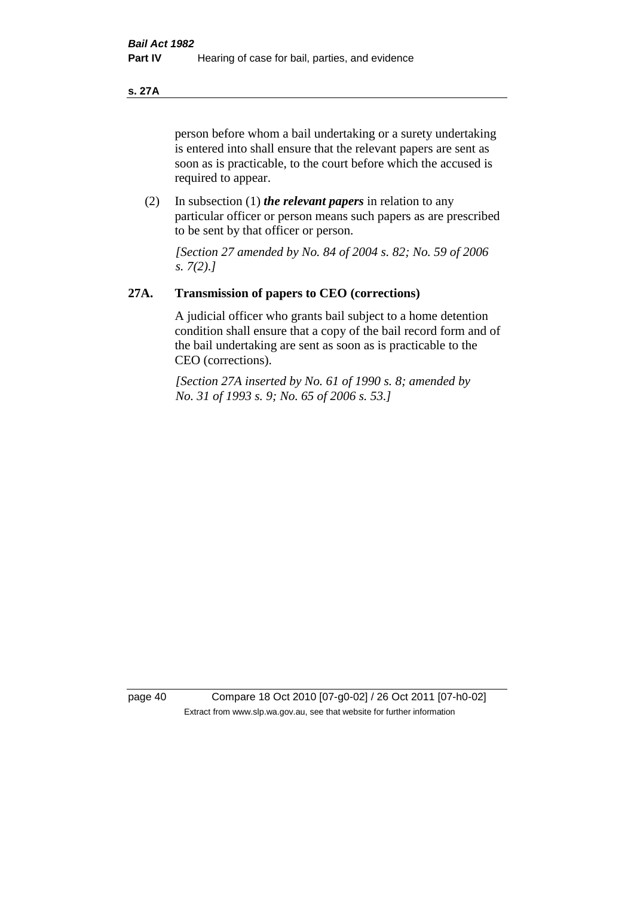### **s. 27A**

person before whom a bail undertaking or a surety undertaking is entered into shall ensure that the relevant papers are sent as soon as is practicable, to the court before which the accused is required to appear.

(2) In subsection (1) *the relevant papers* in relation to any particular officer or person means such papers as are prescribed to be sent by that officer or person.

*[Section 27 amended by No. 84 of 2004 s. 82; No. 59 of 2006 s. 7(2).]* 

### **27A. Transmission of papers to CEO (corrections)**

A judicial officer who grants bail subject to a home detention condition shall ensure that a copy of the bail record form and of the bail undertaking are sent as soon as is practicable to the CEO (corrections).

*[Section 27A inserted by No. 61 of 1990 s. 8; amended by No. 31 of 1993 s. 9; No. 65 of 2006 s. 53.]* 

page 40 Compare 18 Oct 2010 [07-g0-02] / 26 Oct 2011 [07-h0-02] Extract from www.slp.wa.gov.au, see that website for further information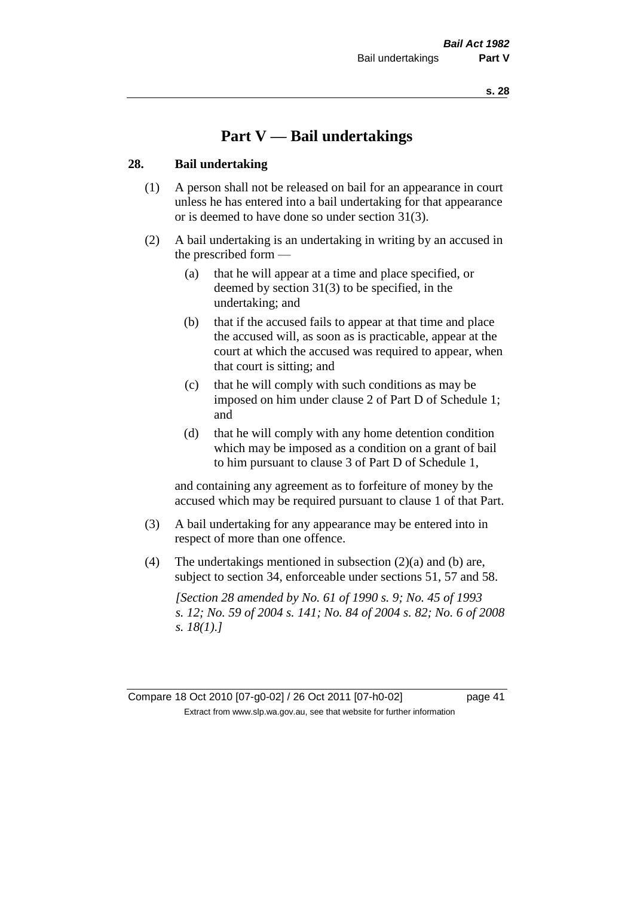# **Part V — Bail undertakings**

### **28. Bail undertaking**

- (1) A person shall not be released on bail for an appearance in court unless he has entered into a bail undertaking for that appearance or is deemed to have done so under section 31(3).
- (2) A bail undertaking is an undertaking in writing by an accused in the prescribed form —
	- (a) that he will appear at a time and place specified, or deemed by section 31(3) to be specified, in the undertaking; and
	- (b) that if the accused fails to appear at that time and place the accused will, as soon as is practicable, appear at the court at which the accused was required to appear, when that court is sitting; and
	- (c) that he will comply with such conditions as may be imposed on him under clause 2 of Part D of Schedule 1; and
	- (d) that he will comply with any home detention condition which may be imposed as a condition on a grant of bail to him pursuant to clause 3 of Part D of Schedule 1,

and containing any agreement as to forfeiture of money by the accused which may be required pursuant to clause 1 of that Part.

- (3) A bail undertaking for any appearance may be entered into in respect of more than one offence.
- (4) The undertakings mentioned in subsection (2)(a) and (b) are, subject to section 34, enforceable under sections 51, 57 and 58.

*[Section 28 amended by No. 61 of 1990 s. 9; No. 45 of 1993 s. 12; No. 59 of 2004 s. 141; No. 84 of 2004 s. 82; No. 6 of 2008 s. 18(1).]* 

Compare 18 Oct 2010 [07-g0-02] / 26 Oct 2011 [07-h0-02] page 41 Extract from www.slp.wa.gov.au, see that website for further information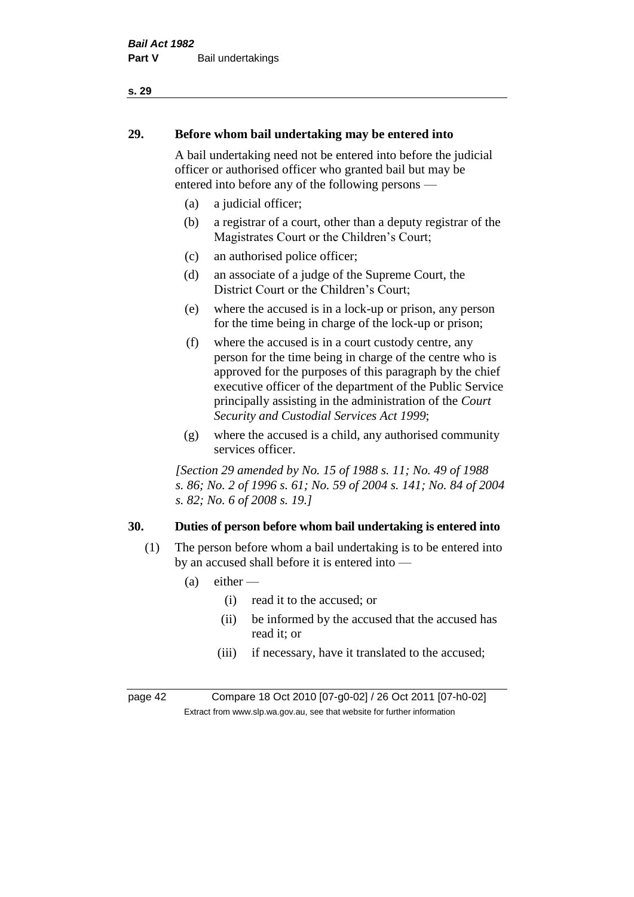# **29. Before whom bail undertaking may be entered into**

A bail undertaking need not be entered into before the judicial officer or authorised officer who granted bail but may be entered into before any of the following persons —

- (a) a judicial officer;
- (b) a registrar of a court, other than a deputy registrar of the Magistrates Court or the Children's Court;
- (c) an authorised police officer;
- (d) an associate of a judge of the Supreme Court, the District Court or the Children's Court;
- (e) where the accused is in a lock-up or prison, any person for the time being in charge of the lock-up or prison;
- (f) where the accused is in a court custody centre, any person for the time being in charge of the centre who is approved for the purposes of this paragraph by the chief executive officer of the department of the Public Service principally assisting in the administration of the *Court Security and Custodial Services Act 1999*;
- (g) where the accused is a child, any authorised community services officer.

*[Section 29 amended by No. 15 of 1988 s. 11; No. 49 of 1988 s. 86; No. 2 of 1996 s. 61; No. 59 of 2004 s. 141; No. 84 of 2004 s. 82; No. 6 of 2008 s. 19.]* 

# **30. Duties of person before whom bail undertaking is entered into**

- (1) The person before whom a bail undertaking is to be entered into by an accused shall before it is entered into —
	- $(a)$  either
		- (i) read it to the accused; or
		- (ii) be informed by the accused that the accused has read it; or
		- (iii) if necessary, have it translated to the accused;

page 42 Compare 18 Oct 2010 [07-g0-02] / 26 Oct 2011 [07-h0-02] Extract from www.slp.wa.gov.au, see that website for further information

### **s. 29**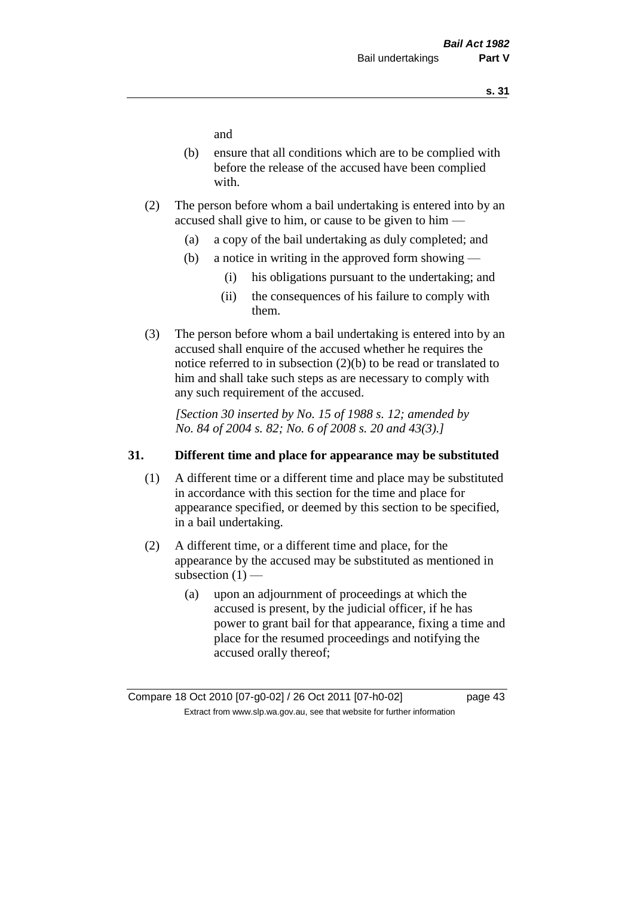and

- (b) ensure that all conditions which are to be complied with before the release of the accused have been complied with.
- (2) The person before whom a bail undertaking is entered into by an accused shall give to him, or cause to be given to him —
	- (a) a copy of the bail undertaking as duly completed; and
	- (b) a notice in writing in the approved form showing
		- (i) his obligations pursuant to the undertaking; and
		- (ii) the consequences of his failure to comply with them.
- (3) The person before whom a bail undertaking is entered into by an accused shall enquire of the accused whether he requires the notice referred to in subsection (2)(b) to be read or translated to him and shall take such steps as are necessary to comply with any such requirement of the accused.

*[Section 30 inserted by No. 15 of 1988 s. 12; amended by No. 84 of 2004 s. 82; No. 6 of 2008 s. 20 and 43(3).]* 

### **31. Different time and place for appearance may be substituted**

- (1) A different time or a different time and place may be substituted in accordance with this section for the time and place for appearance specified, or deemed by this section to be specified, in a bail undertaking.
- (2) A different time, or a different time and place, for the appearance by the accused may be substituted as mentioned in subsection  $(1)$  —
	- (a) upon an adjournment of proceedings at which the accused is present, by the judicial officer, if he has power to grant bail for that appearance, fixing a time and place for the resumed proceedings and notifying the accused orally thereof;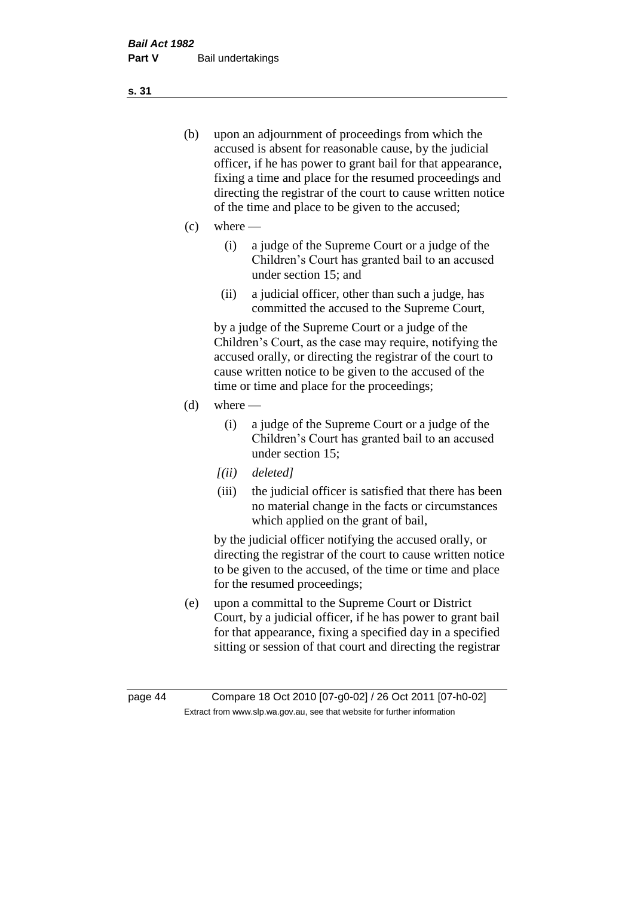- (b) upon an adjournment of proceedings from which the accused is absent for reasonable cause, by the judicial officer, if he has power to grant bail for that appearance, fixing a time and place for the resumed proceedings and directing the registrar of the court to cause written notice of the time and place to be given to the accused;
- (c) where
	- (i) a judge of the Supreme Court or a judge of the Children's Court has granted bail to an accused under section 15; and
	- (ii) a judicial officer, other than such a judge, has committed the accused to the Supreme Court,

by a judge of the Supreme Court or a judge of the Children's Court, as the case may require, notifying the accused orally, or directing the registrar of the court to cause written notice to be given to the accused of the time or time and place for the proceedings;

- $(d)$  where
	- (i) a judge of the Supreme Court or a judge of the Children's Court has granted bail to an accused under section 15;
	- *[(ii) deleted]*
	- (iii) the judicial officer is satisfied that there has been no material change in the facts or circumstances which applied on the grant of bail,

by the judicial officer notifying the accused orally, or directing the registrar of the court to cause written notice to be given to the accused, of the time or time and place for the resumed proceedings;

(e) upon a committal to the Supreme Court or District Court, by a judicial officer, if he has power to grant bail for that appearance, fixing a specified day in a specified sitting or session of that court and directing the registrar

**s. 31**

page 44 Compare 18 Oct 2010 [07-g0-02] / 26 Oct 2011 [07-h0-02] Extract from www.slp.wa.gov.au, see that website for further information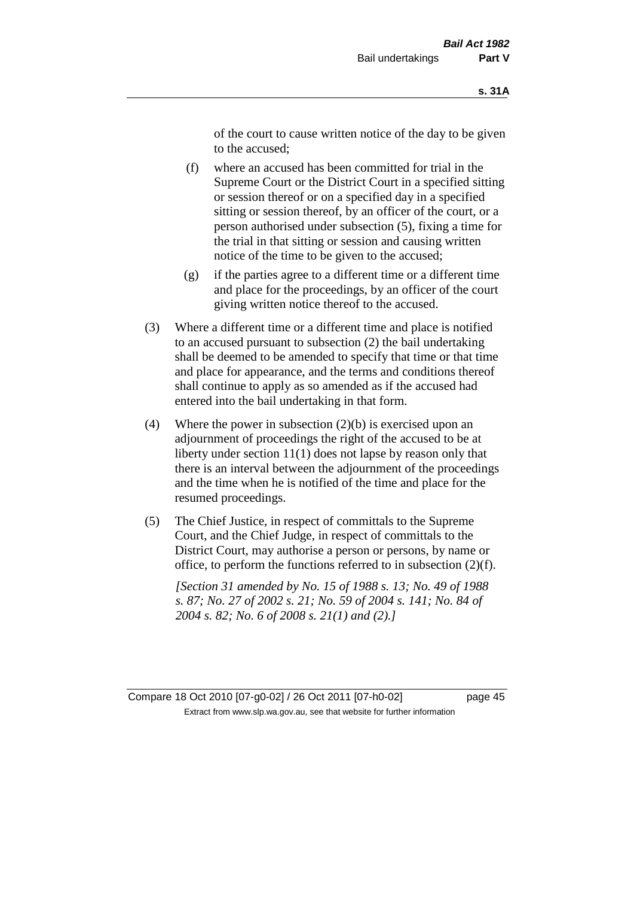of the court to cause written notice of the day to be given to the accused;

- (f) where an accused has been committed for trial in the Supreme Court or the District Court in a specified sitting or session thereof or on a specified day in a specified sitting or session thereof, by an officer of the court, or a person authorised under subsection (5), fixing a time for the trial in that sitting or session and causing written notice of the time to be given to the accused;
- (g) if the parties agree to a different time or a different time and place for the proceedings, by an officer of the court giving written notice thereof to the accused.
- (3) Where a different time or a different time and place is notified to an accused pursuant to subsection (2) the bail undertaking shall be deemed to be amended to specify that time or that time and place for appearance, and the terms and conditions thereof shall continue to apply as so amended as if the accused had entered into the bail undertaking in that form.
- (4) Where the power in subsection  $(2)(b)$  is exercised upon an adjournment of proceedings the right of the accused to be at liberty under section 11(1) does not lapse by reason only that there is an interval between the adjournment of the proceedings and the time when he is notified of the time and place for the resumed proceedings.
- (5) The Chief Justice, in respect of committals to the Supreme Court, and the Chief Judge, in respect of committals to the District Court, may authorise a person or persons, by name or office, to perform the functions referred to in subsection (2)(f).

*[Section 31 amended by No. 15 of 1988 s. 13; No. 49 of 1988 s. 87; No. 27 of 2002 s. 21; No. 59 of 2004 s. 141; No. 84 of 2004 s. 82; No. 6 of 2008 s. 21(1) and (2).]* 

Compare 18 Oct 2010 [07-g0-02] / 26 Oct 2011 [07-h0-02] page 45 Extract from www.slp.wa.gov.au, see that website for further information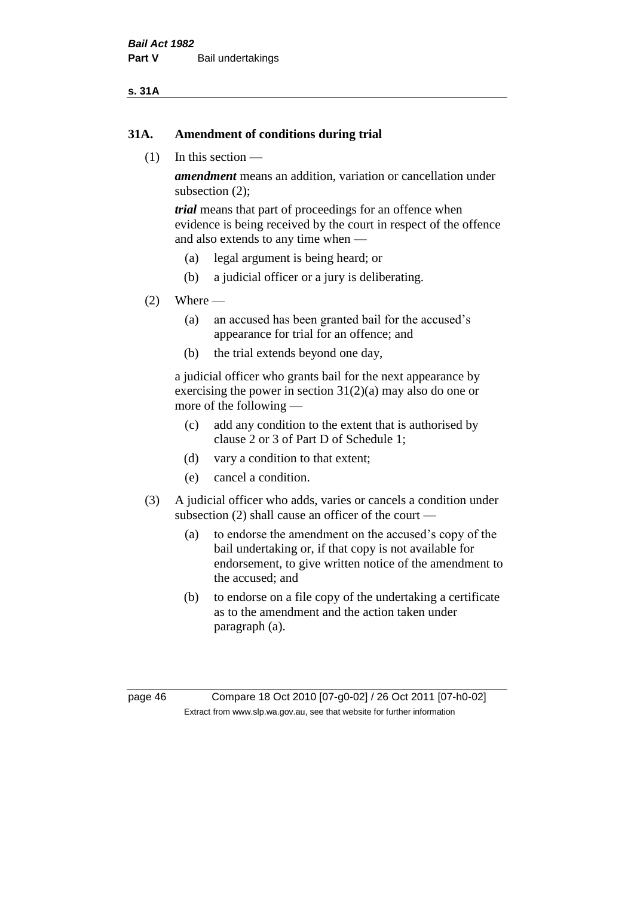### **s. 31A**

### **31A. Amendment of conditions during trial**

(1) In this section —

*amendment* means an addition, variation or cancellation under subsection (2);

*trial* means that part of proceedings for an offence when evidence is being received by the court in respect of the offence and also extends to any time when —

- (a) legal argument is being heard; or
- (b) a judicial officer or a jury is deliberating.

### $(2)$  Where —

- (a) an accused has been granted bail for the accused's appearance for trial for an offence; and
- (b) the trial extends beyond one day,

a judicial officer who grants bail for the next appearance by exercising the power in section  $31(2)(a)$  may also do one or more of the following —

- (c) add any condition to the extent that is authorised by clause 2 or 3 of Part D of Schedule 1;
- (d) vary a condition to that extent;
- (e) cancel a condition.
- (3) A judicial officer who adds, varies or cancels a condition under subsection (2) shall cause an officer of the court —
	- (a) to endorse the amendment on the accused's copy of the bail undertaking or, if that copy is not available for endorsement, to give written notice of the amendment to the accused; and
	- (b) to endorse on a file copy of the undertaking a certificate as to the amendment and the action taken under paragraph (a).

page 46 Compare 18 Oct 2010 [07-g0-02] / 26 Oct 2011 [07-h0-02] Extract from www.slp.wa.gov.au, see that website for further information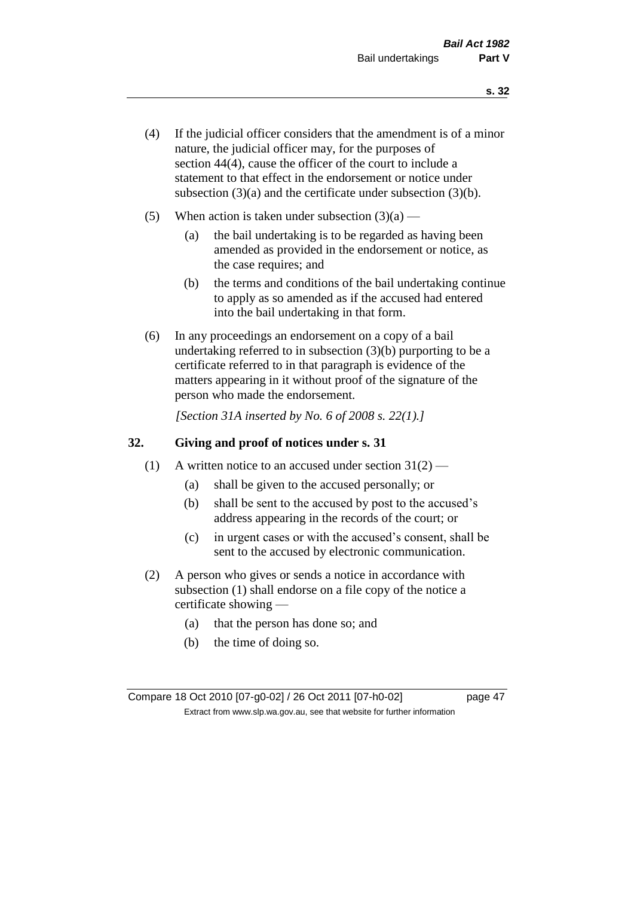- (4) If the judicial officer considers that the amendment is of a minor nature, the judicial officer may, for the purposes of section 44(4), cause the officer of the court to include a statement to that effect in the endorsement or notice under subsection (3)(a) and the certificate under subsection (3)(b).
- (5) When action is taken under subsection  $(3)(a)$ 
	- (a) the bail undertaking is to be regarded as having been amended as provided in the endorsement or notice, as the case requires; and
	- (b) the terms and conditions of the bail undertaking continue to apply as so amended as if the accused had entered into the bail undertaking in that form.
- (6) In any proceedings an endorsement on a copy of a bail undertaking referred to in subsection (3)(b) purporting to be a certificate referred to in that paragraph is evidence of the matters appearing in it without proof of the signature of the person who made the endorsement.

*[Section 31A inserted by No. 6 of 2008 s. 22(1).]*

### **32. Giving and proof of notices under s. 31**

- (1) A written notice to an accused under section  $31(2)$ 
	- (a) shall be given to the accused personally; or
	- (b) shall be sent to the accused by post to the accused's address appearing in the records of the court; or
	- (c) in urgent cases or with the accused's consent, shall be sent to the accused by electronic communication.
- (2) A person who gives or sends a notice in accordance with subsection (1) shall endorse on a file copy of the notice a certificate showing —
	- (a) that the person has done so; and
	- (b) the time of doing so.

Compare 18 Oct 2010 [07-g0-02] / 26 Oct 2011 [07-h0-02] page 47 Extract from www.slp.wa.gov.au, see that website for further information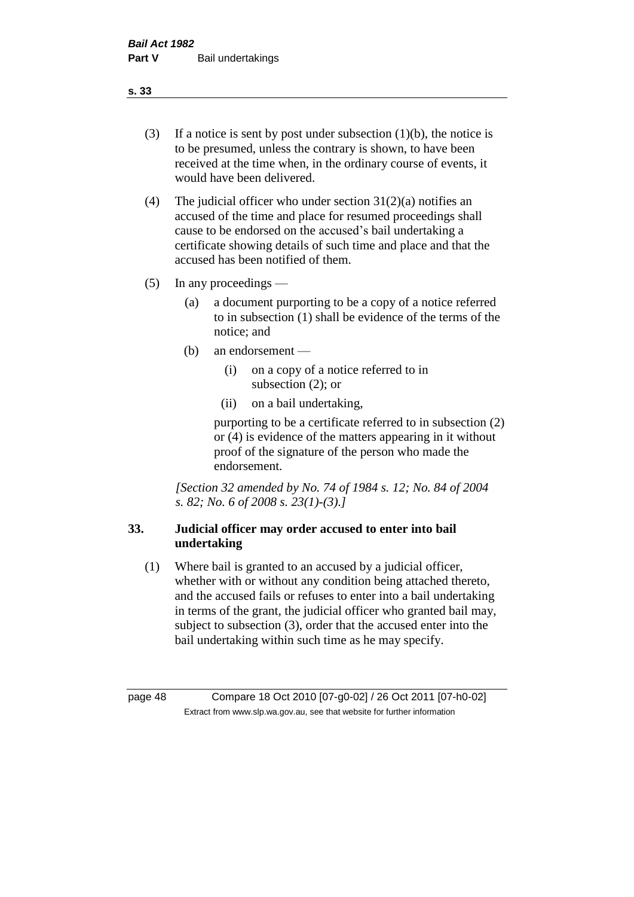- (3) If a notice is sent by post under subsection  $(1)(b)$ , the notice is to be presumed, unless the contrary is shown, to have been received at the time when, in the ordinary course of events, it would have been delivered.
- (4) The judicial officer who under section  $31(2)(a)$  notifies an accused of the time and place for resumed proceedings shall cause to be endorsed on the accused's bail undertaking a certificate showing details of such time and place and that the accused has been notified of them.
- (5) In any proceedings
	- (a) a document purporting to be a copy of a notice referred to in subsection (1) shall be evidence of the terms of the notice; and
	- (b) an endorsement
		- (i) on a copy of a notice referred to in subsection (2); or
		- (ii) on a bail undertaking,

purporting to be a certificate referred to in subsection (2) or (4) is evidence of the matters appearing in it without proof of the signature of the person who made the endorsement.

*[Section 32 amended by No. 74 of 1984 s. 12; No. 84 of 2004 s. 82; No. 6 of 2008 s. 23(1)-(3).]* 

# **33. Judicial officer may order accused to enter into bail undertaking**

(1) Where bail is granted to an accused by a judicial officer, whether with or without any condition being attached thereto, and the accused fails or refuses to enter into a bail undertaking in terms of the grant, the judicial officer who granted bail may, subject to subsection (3), order that the accused enter into the bail undertaking within such time as he may specify.

page 48 Compare 18 Oct 2010 [07-g0-02] / 26 Oct 2011 [07-h0-02] Extract from www.slp.wa.gov.au, see that website for further information

**s. 33**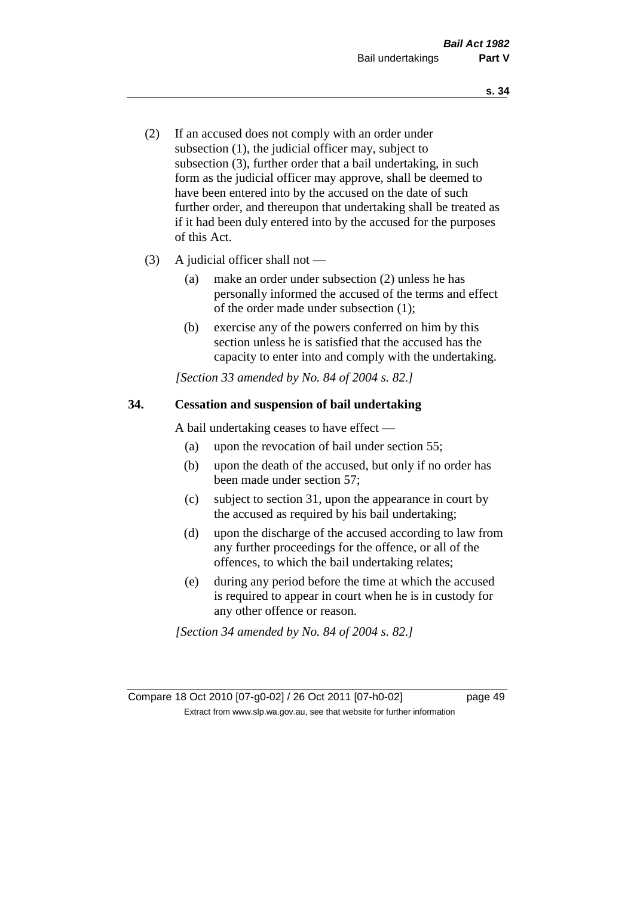- (2) If an accused does not comply with an order under subsection (1), the judicial officer may, subject to subsection (3), further order that a bail undertaking, in such form as the judicial officer may approve, shall be deemed to have been entered into by the accused on the date of such further order, and thereupon that undertaking shall be treated as if it had been duly entered into by the accused for the purposes of this Act.
- (3) A judicial officer shall not
	- (a) make an order under subsection (2) unless he has personally informed the accused of the terms and effect of the order made under subsection (1);
	- (b) exercise any of the powers conferred on him by this section unless he is satisfied that the accused has the capacity to enter into and comply with the undertaking.

*[Section 33 amended by No. 84 of 2004 s. 82.]* 

### **34. Cessation and suspension of bail undertaking**

A bail undertaking ceases to have effect —

- (a) upon the revocation of bail under section 55;
- (b) upon the death of the accused, but only if no order has been made under section 57;
- (c) subject to section 31, upon the appearance in court by the accused as required by his bail undertaking;
- (d) upon the discharge of the accused according to law from any further proceedings for the offence, or all of the offences, to which the bail undertaking relates;
- (e) during any period before the time at which the accused is required to appear in court when he is in custody for any other offence or reason.

*[Section 34 amended by No. 84 of 2004 s. 82.]* 

Compare 18 Oct 2010 [07-g0-02] / 26 Oct 2011 [07-h0-02] page 49 Extract from www.slp.wa.gov.au, see that website for further information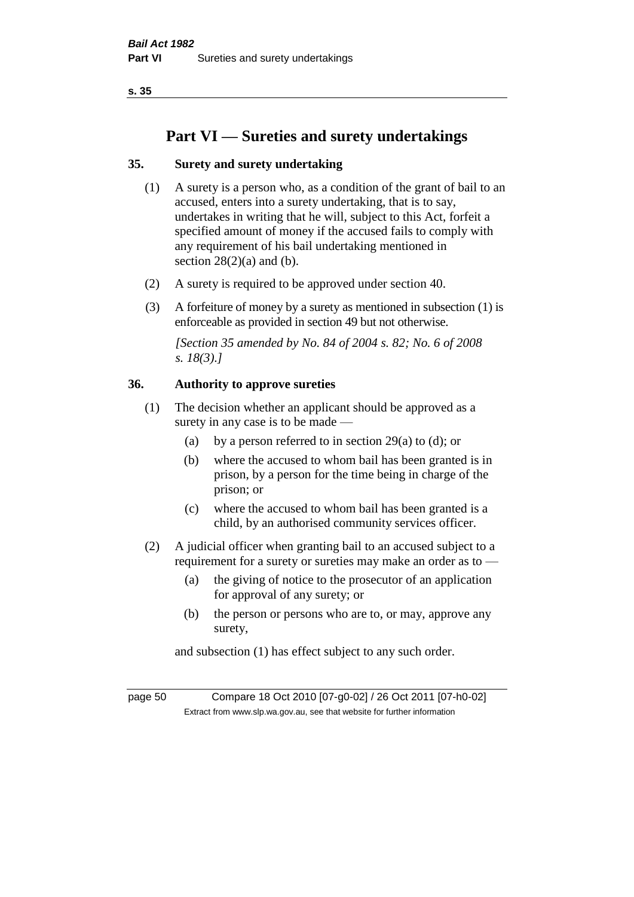# **Part VI — Sureties and surety undertakings**

# **35. Surety and surety undertaking**

- (1) A surety is a person who, as a condition of the grant of bail to an accused, enters into a surety undertaking, that is to say, undertakes in writing that he will, subject to this Act, forfeit a specified amount of money if the accused fails to comply with any requirement of his bail undertaking mentioned in section  $28(2)(a)$  and (b).
- (2) A surety is required to be approved under section 40.
- (3) A forfeiture of money by a surety as mentioned in subsection (1) is enforceable as provided in section 49 but not otherwise.

*[Section 35 amended by No. 84 of 2004 s. 82; No. 6 of 2008 s. 18(3).]* 

### **36. Authority to approve sureties**

- (1) The decision whether an applicant should be approved as a surety in any case is to be made —
	- (a) by a person referred to in section 29(a) to (d); or
	- (b) where the accused to whom bail has been granted is in prison, by a person for the time being in charge of the prison; or
	- (c) where the accused to whom bail has been granted is a child, by an authorised community services officer.
- (2) A judicial officer when granting bail to an accused subject to a requirement for a surety or sureties may make an order as to —
	- (a) the giving of notice to the prosecutor of an application for approval of any surety; or
	- (b) the person or persons who are to, or may, approve any surety,

and subsection (1) has effect subject to any such order.

page 50 Compare 18 Oct 2010 [07-g0-02] / 26 Oct 2011 [07-h0-02] Extract from www.slp.wa.gov.au, see that website for further information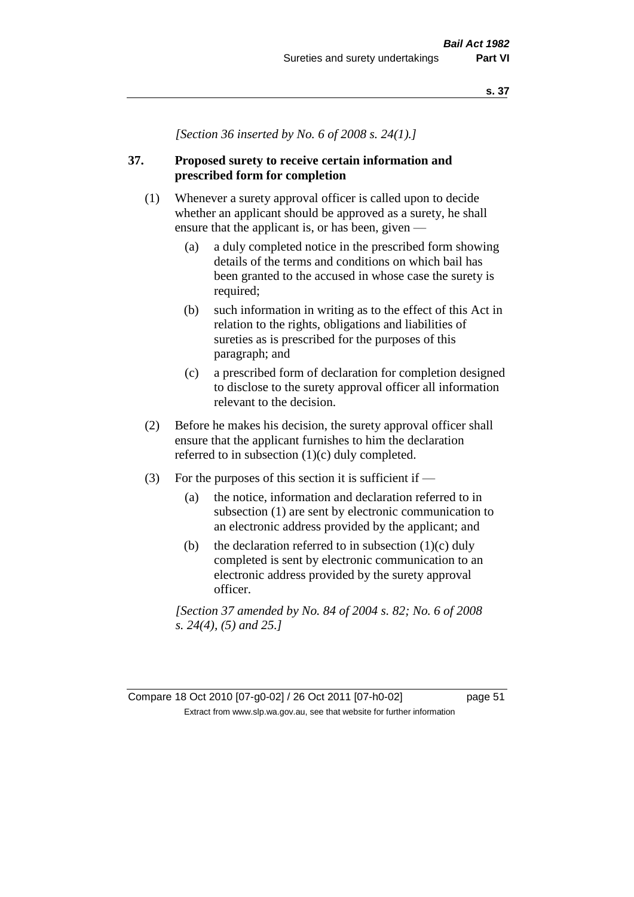*[Section 36 inserted by No. 6 of 2008 s. 24(1).]*

# **37. Proposed surety to receive certain information and prescribed form for completion**

- (1) Whenever a surety approval officer is called upon to decide whether an applicant should be approved as a surety, he shall ensure that the applicant is, or has been, given —
	- (a) a duly completed notice in the prescribed form showing details of the terms and conditions on which bail has been granted to the accused in whose case the surety is required;
	- (b) such information in writing as to the effect of this Act in relation to the rights, obligations and liabilities of sureties as is prescribed for the purposes of this paragraph; and
	- (c) a prescribed form of declaration for completion designed to disclose to the surety approval officer all information relevant to the decision.
- (2) Before he makes his decision, the surety approval officer shall ensure that the applicant furnishes to him the declaration referred to in subsection (1)(c) duly completed.
- (3) For the purposes of this section it is sufficient if  $-$ 
	- (a) the notice, information and declaration referred to in subsection (1) are sent by electronic communication to an electronic address provided by the applicant; and
	- (b) the declaration referred to in subsection  $(1)(c)$  duly completed is sent by electronic communication to an electronic address provided by the surety approval officer.

*[Section 37 amended by No. 84 of 2004 s. 82; No. 6 of 2008 s. 24(4), (5) and 25.]*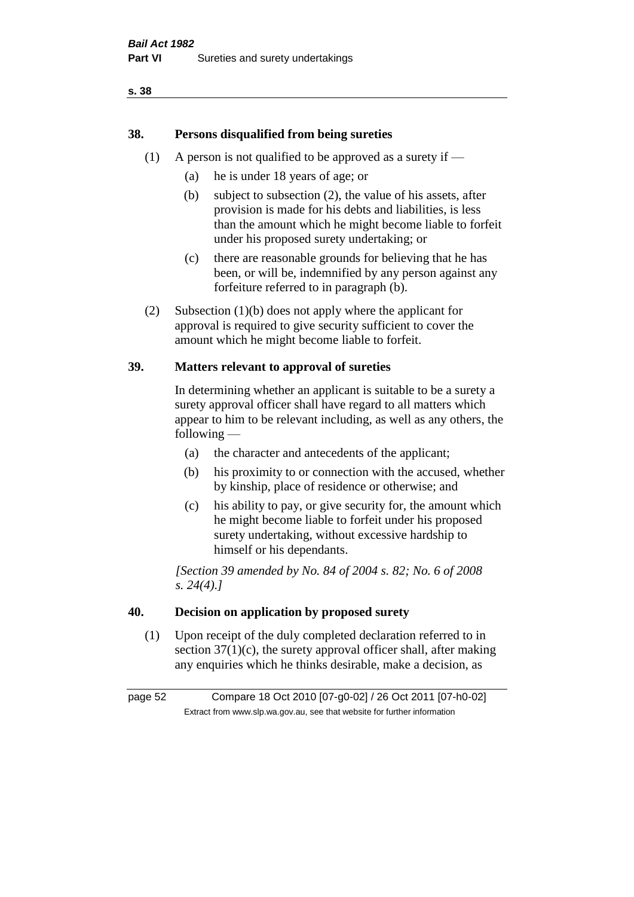# **38. Persons disqualified from being sureties**

- (1) A person is not qualified to be approved as a surety if  $-$ 
	- (a) he is under 18 years of age; or
	- (b) subject to subsection (2), the value of his assets, after provision is made for his debts and liabilities, is less than the amount which he might become liable to forfeit under his proposed surety undertaking; or
	- (c) there are reasonable grounds for believing that he has been, or will be, indemnified by any person against any forfeiture referred to in paragraph (b).
- (2) Subsection (1)(b) does not apply where the applicant for approval is required to give security sufficient to cover the amount which he might become liable to forfeit.

### **39. Matters relevant to approval of sureties**

In determining whether an applicant is suitable to be a surety a surety approval officer shall have regard to all matters which appear to him to be relevant including, as well as any others, the following —

- (a) the character and antecedents of the applicant;
- (b) his proximity to or connection with the accused, whether by kinship, place of residence or otherwise; and
- (c) his ability to pay, or give security for, the amount which he might become liable to forfeit under his proposed surety undertaking, without excessive hardship to himself or his dependants.

*[Section 39 amended by No. 84 of 2004 s. 82; No. 6 of 2008 s. 24(4).]* 

### **40. Decision on application by proposed surety**

(1) Upon receipt of the duly completed declaration referred to in section  $37(1)(c)$ , the surety approval officer shall, after making any enquiries which he thinks desirable, make a decision, as

page 52 Compare 18 Oct 2010 [07-g0-02] / 26 Oct 2011 [07-h0-02] Extract from www.slp.wa.gov.au, see that website for further information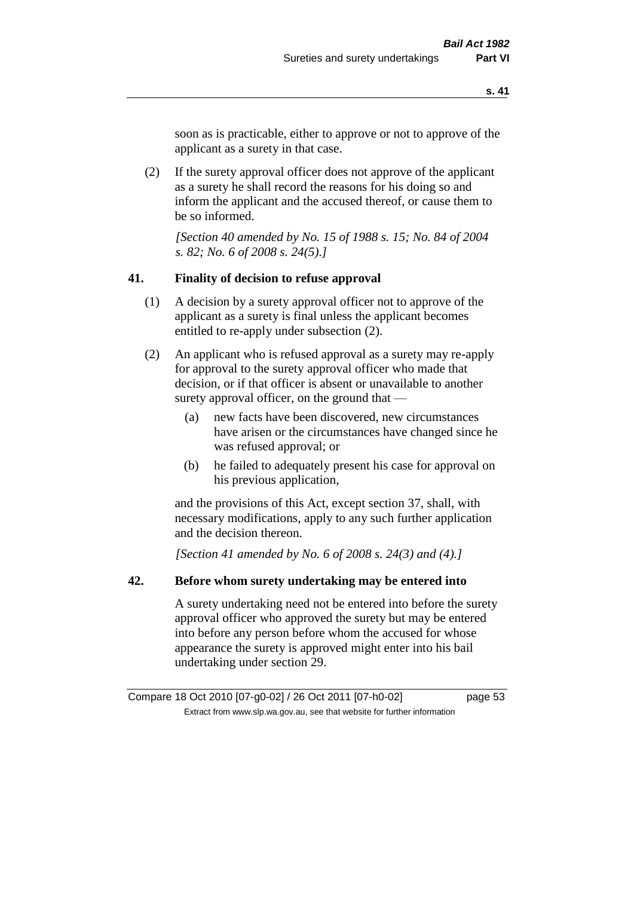soon as is practicable, either to approve or not to approve of the applicant as a surety in that case.

(2) If the surety approval officer does not approve of the applicant as a surety he shall record the reasons for his doing so and inform the applicant and the accused thereof, or cause them to be so informed.

*[Section 40 amended by No. 15 of 1988 s. 15; No. 84 of 2004 s. 82; No. 6 of 2008 s. 24(5).]* 

### **41. Finality of decision to refuse approval**

- (1) A decision by a surety approval officer not to approve of the applicant as a surety is final unless the applicant becomes entitled to re-apply under subsection (2).
- (2) An applicant who is refused approval as a surety may re-apply for approval to the surety approval officer who made that decision, or if that officer is absent or unavailable to another surety approval officer, on the ground that —
	- (a) new facts have been discovered, new circumstances have arisen or the circumstances have changed since he was refused approval; or
	- (b) he failed to adequately present his case for approval on his previous application,

and the provisions of this Act, except section 37, shall, with necessary modifications, apply to any such further application and the decision thereon.

*[Section 41 amended by No. 6 of 2008 s. 24(3) and (4).]*

### **42. Before whom surety undertaking may be entered into**

A surety undertaking need not be entered into before the surety approval officer who approved the surety but may be entered into before any person before whom the accused for whose appearance the surety is approved might enter into his bail undertaking under section 29.

Compare 18 Oct 2010 [07-g0-02] / 26 Oct 2011 [07-h0-02] page 53 Extract from www.slp.wa.gov.au, see that website for further information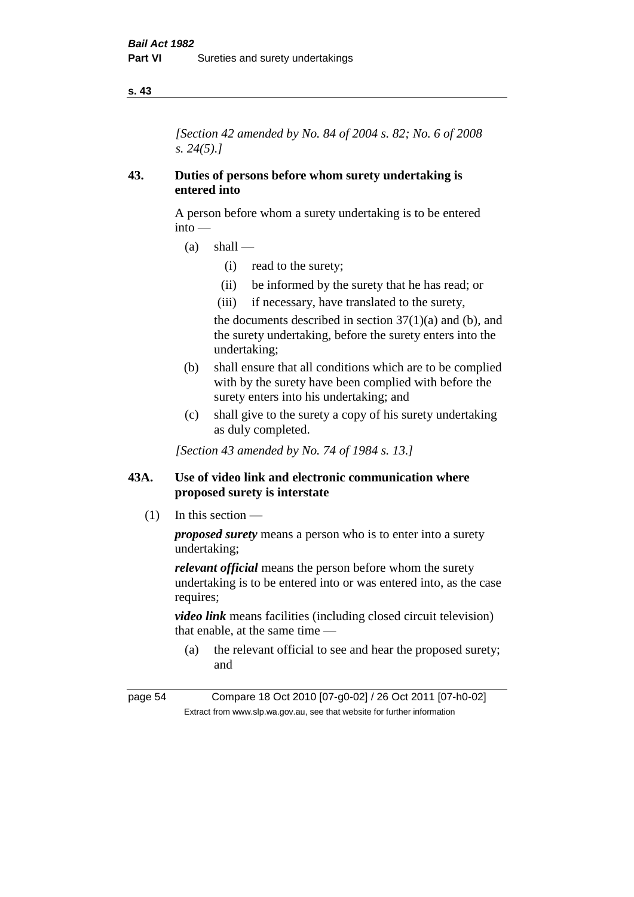*[Section 42 amended by No. 84 of 2004 s. 82; No. 6 of 2008 s. 24(5).]* 

### **43. Duties of persons before whom surety undertaking is entered into**

A person before whom a surety undertaking is to be entered into —

- $(a)$  shall
	- (i) read to the surety;
	- (ii) be informed by the surety that he has read; or
	- (iii) if necessary, have translated to the surety,

the documents described in section  $37(1)(a)$  and (b), and the surety undertaking, before the surety enters into the undertaking;

- (b) shall ensure that all conditions which are to be complied with by the surety have been complied with before the surety enters into his undertaking; and
- (c) shall give to the surety a copy of his surety undertaking as duly completed.

*[Section 43 amended by No. 74 of 1984 s. 13.]* 

## **43A. Use of video link and electronic communication where proposed surety is interstate**

(1) In this section —

*proposed surety* means a person who is to enter into a surety undertaking;

*relevant official* means the person before whom the surety undertaking is to be entered into or was entered into, as the case requires;

*video link* means facilities (including closed circuit television) that enable, at the same time —

(a) the relevant official to see and hear the proposed surety; and

page 54 Compare 18 Oct 2010 [07-g0-02] / 26 Oct 2011 [07-h0-02] Extract from www.slp.wa.gov.au, see that website for further information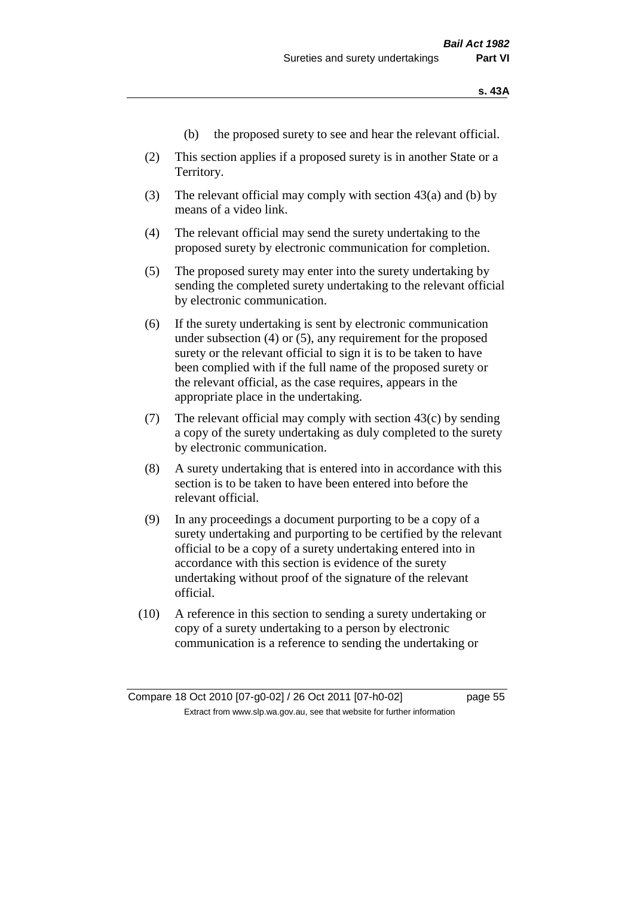- (b) the proposed surety to see and hear the relevant official.
- (2) This section applies if a proposed surety is in another State or a Territory.
- (3) The relevant official may comply with section 43(a) and (b) by means of a video link.
- (4) The relevant official may send the surety undertaking to the proposed surety by electronic communication for completion.
- (5) The proposed surety may enter into the surety undertaking by sending the completed surety undertaking to the relevant official by electronic communication.
- (6) If the surety undertaking is sent by electronic communication under subsection (4) or (5), any requirement for the proposed surety or the relevant official to sign it is to be taken to have been complied with if the full name of the proposed surety or the relevant official, as the case requires, appears in the appropriate place in the undertaking.
- (7) The relevant official may comply with section  $43(c)$  by sending a copy of the surety undertaking as duly completed to the surety by electronic communication.
- (8) A surety undertaking that is entered into in accordance with this section is to be taken to have been entered into before the relevant official.
- (9) In any proceedings a document purporting to be a copy of a surety undertaking and purporting to be certified by the relevant official to be a copy of a surety undertaking entered into in accordance with this section is evidence of the surety undertaking without proof of the signature of the relevant official.
- (10) A reference in this section to sending a surety undertaking or copy of a surety undertaking to a person by electronic communication is a reference to sending the undertaking or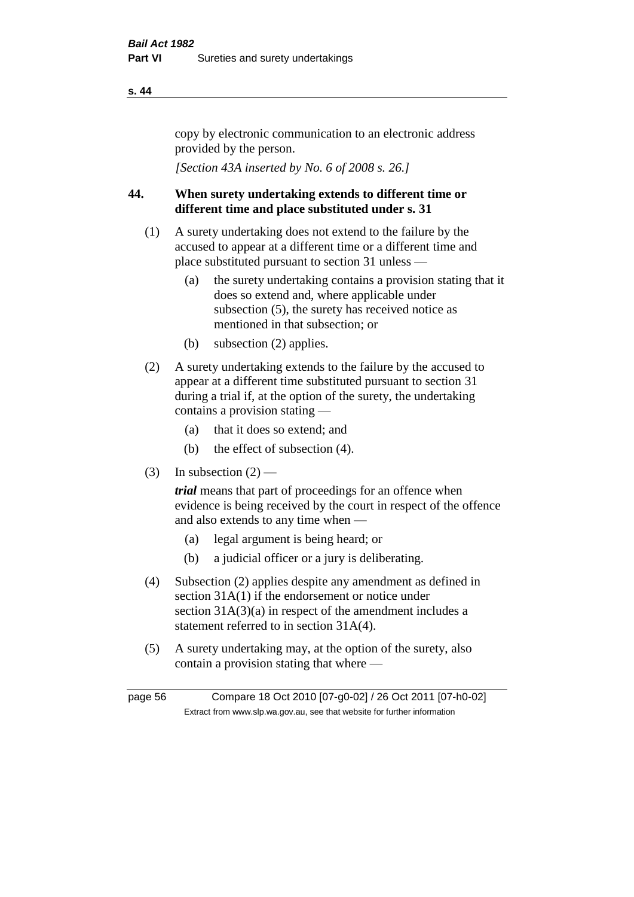copy by electronic communication to an electronic address provided by the person.

*[Section 43A inserted by No. 6 of 2008 s. 26.]*

# **44. When surety undertaking extends to different time or different time and place substituted under s. 31**

- (1) A surety undertaking does not extend to the failure by the accused to appear at a different time or a different time and place substituted pursuant to section 31 unless —
	- (a) the surety undertaking contains a provision stating that it does so extend and, where applicable under subsection (5), the surety has received notice as mentioned in that subsection; or
	- (b) subsection (2) applies.
- (2) A surety undertaking extends to the failure by the accused to appear at a different time substituted pursuant to section 31 during a trial if, at the option of the surety, the undertaking contains a provision stating —
	- (a) that it does so extend; and
	- (b) the effect of subsection (4).
- (3) In subsection  $(2)$  —

*trial* means that part of proceedings for an offence when evidence is being received by the court in respect of the offence and also extends to any time when —

- (a) legal argument is being heard; or
- (b) a judicial officer or a jury is deliberating.
- (4) Subsection (2) applies despite any amendment as defined in section 31A(1) if the endorsement or notice under section 31A(3)(a) in respect of the amendment includes a statement referred to in section 31A(4).
- (5) A surety undertaking may, at the option of the surety, also contain a provision stating that where —

page 56 Compare 18 Oct 2010 [07-g0-02] / 26 Oct 2011 [07-h0-02] Extract from www.slp.wa.gov.au, see that website for further information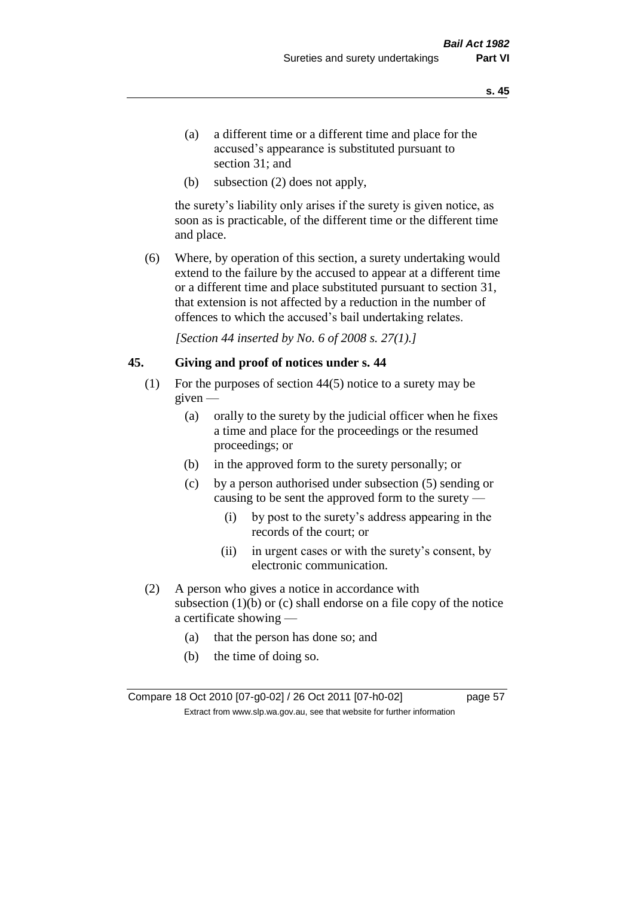- (a) a different time or a different time and place for the accused's appearance is substituted pursuant to section 31; and
- (b) subsection (2) does not apply,

the surety's liability only arises if the surety is given notice, as soon as is practicable, of the different time or the different time and place.

(6) Where, by operation of this section, a surety undertaking would extend to the failure by the accused to appear at a different time or a different time and place substituted pursuant to section 31, that extension is not affected by a reduction in the number of offences to which the accused's bail undertaking relates.

*[Section 44 inserted by No. 6 of 2008 s. 27(1).]*

### **45. Giving and proof of notices under s. 44**

- (1) For the purposes of section 44(5) notice to a surety may be given —
	- (a) orally to the surety by the judicial officer when he fixes a time and place for the proceedings or the resumed proceedings; or
	- (b) in the approved form to the surety personally; or
	- (c) by a person authorised under subsection (5) sending or causing to be sent the approved form to the surety —
		- (i) by post to the surety's address appearing in the records of the court; or
		- (ii) in urgent cases or with the surety's consent, by electronic communication.
- (2) A person who gives a notice in accordance with subsection  $(1)(b)$  or  $(c)$  shall endorse on a file copy of the notice a certificate showing —
	- (a) that the person has done so; and
	- (b) the time of doing so.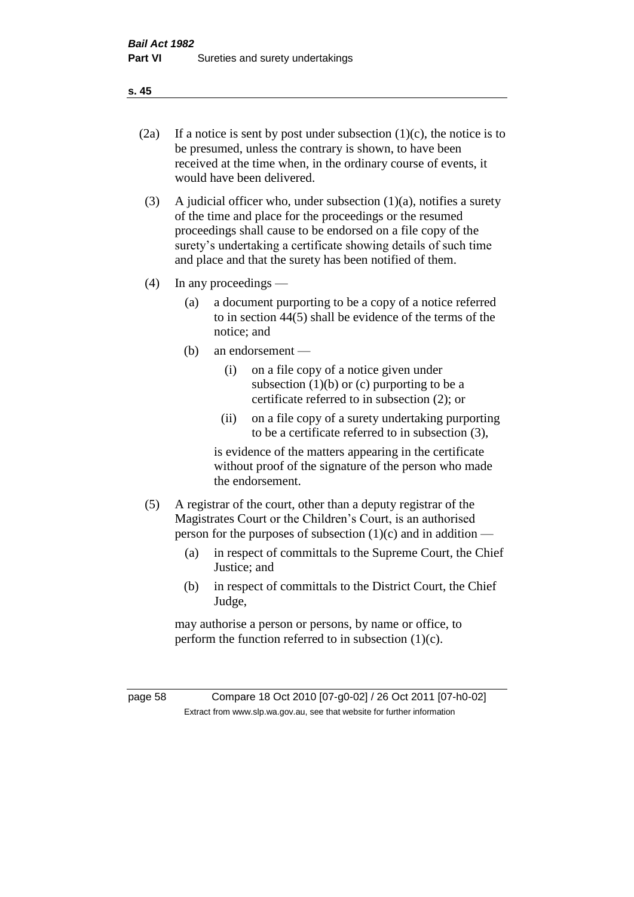- 
- (2a) If a notice is sent by post under subsection  $(1)(c)$ , the notice is to be presumed, unless the contrary is shown, to have been received at the time when, in the ordinary course of events, it would have been delivered.
- (3) A judicial officer who, under subsection  $(1)(a)$ , notifies a surety of the time and place for the proceedings or the resumed proceedings shall cause to be endorsed on a file copy of the surety's undertaking a certificate showing details of such time and place and that the surety has been notified of them.
- (4) In any proceedings
	- (a) a document purporting to be a copy of a notice referred to in section 44(5) shall be evidence of the terms of the notice; and
	- (b) an endorsement
		- (i) on a file copy of a notice given under subsection  $(1)(b)$  or  $(c)$  purporting to be a certificate referred to in subsection (2); or
		- (ii) on a file copy of a surety undertaking purporting to be a certificate referred to in subsection (3),

is evidence of the matters appearing in the certificate without proof of the signature of the person who made the endorsement.

- (5) A registrar of the court, other than a deputy registrar of the Magistrates Court or the Children's Court, is an authorised person for the purposes of subsection  $(1)(c)$  and in addition —
	- (a) in respect of committals to the Supreme Court, the Chief Justice; and
	- (b) in respect of committals to the District Court, the Chief Judge,

may authorise a person or persons, by name or office, to perform the function referred to in subsection  $(1)(c)$ .

page 58 Compare 18 Oct 2010 [07-g0-02] / 26 Oct 2011 [07-h0-02] Extract from www.slp.wa.gov.au, see that website for further information

**s. 45**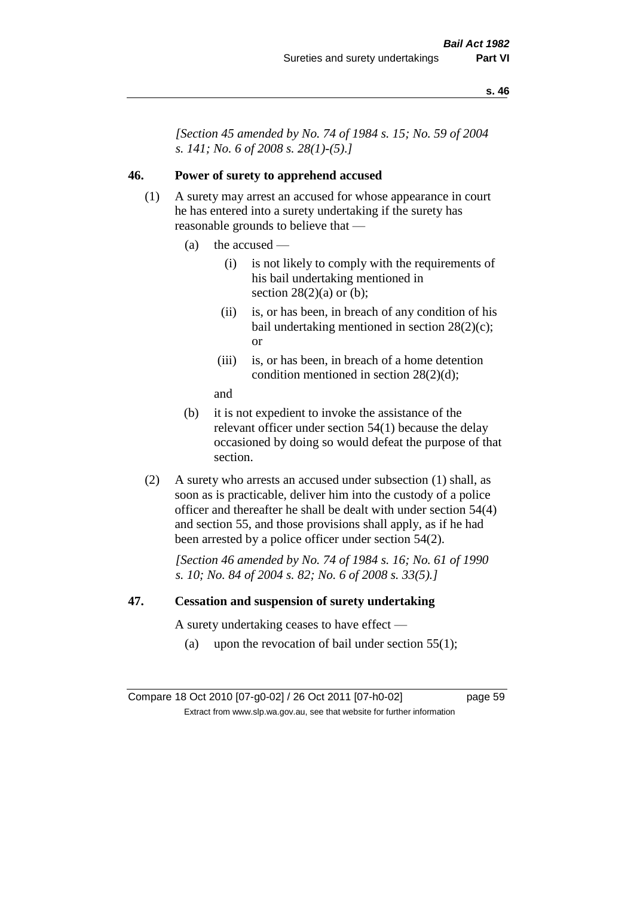*[Section 45 amended by No. 74 of 1984 s. 15; No. 59 of 2004 s. 141; No. 6 of 2008 s. 28(1)-(5).]* 

### **46. Power of surety to apprehend accused**

- (1) A surety may arrest an accused for whose appearance in court he has entered into a surety undertaking if the surety has reasonable grounds to believe that —
	- (a) the accused
		- (i) is not likely to comply with the requirements of his bail undertaking mentioned in section  $28(2)(a)$  or (b);
		- (ii) is, or has been, in breach of any condition of his bail undertaking mentioned in section 28(2)(c); or
		- (iii) is, or has been, in breach of a home detention condition mentioned in section 28(2)(d);
		- and
	- (b) it is not expedient to invoke the assistance of the relevant officer under section 54(1) because the delay occasioned by doing so would defeat the purpose of that section.
- (2) A surety who arrests an accused under subsection (1) shall, as soon as is practicable, deliver him into the custody of a police officer and thereafter he shall be dealt with under section 54(4) and section 55, and those provisions shall apply, as if he had been arrested by a police officer under section 54(2).

*[Section 46 amended by No. 74 of 1984 s. 16; No. 61 of 1990 s. 10; No. 84 of 2004 s. 82; No. 6 of 2008 s. 33(5).]* 

### **47. Cessation and suspension of surety undertaking**

A surety undertaking ceases to have effect —

(a) upon the revocation of bail under section  $55(1)$ ;

Compare 18 Oct 2010 [07-g0-02] / 26 Oct 2011 [07-h0-02] page 59 Extract from www.slp.wa.gov.au, see that website for further information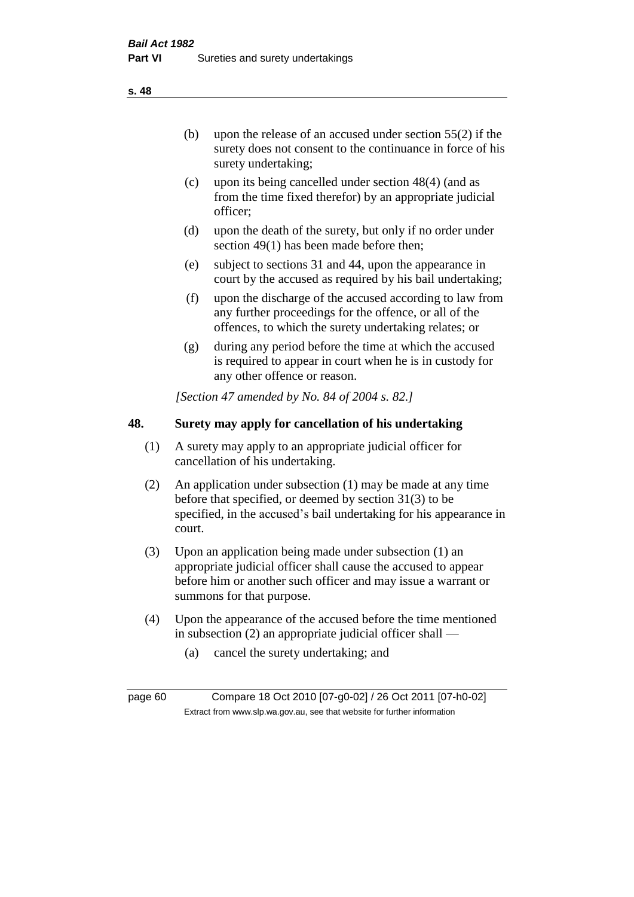(b) upon the release of an accused under section 55(2) if the surety does not consent to the continuance in force of his surety undertaking;

- (c) upon its being cancelled under section 48(4) (and as from the time fixed therefor) by an appropriate judicial officer;
- (d) upon the death of the surety, but only if no order under section 49(1) has been made before then;
- (e) subject to sections 31 and 44, upon the appearance in court by the accused as required by his bail undertaking;
- (f) upon the discharge of the accused according to law from any further proceedings for the offence, or all of the offences, to which the surety undertaking relates; or
- (g) during any period before the time at which the accused is required to appear in court when he is in custody for any other offence or reason.

*[Section 47 amended by No. 84 of 2004 s. 82.]* 

# **48. Surety may apply for cancellation of his undertaking**

- (1) A surety may apply to an appropriate judicial officer for cancellation of his undertaking.
- (2) An application under subsection (1) may be made at any time before that specified, or deemed by section 31(3) to be specified, in the accused's bail undertaking for his appearance in court.
- (3) Upon an application being made under subsection (1) an appropriate judicial officer shall cause the accused to appear before him or another such officer and may issue a warrant or summons for that purpose.
- (4) Upon the appearance of the accused before the time mentioned in subsection (2) an appropriate judicial officer shall —
	- (a) cancel the surety undertaking; and

page 60 Compare 18 Oct 2010 [07-g0-02] / 26 Oct 2011 [07-h0-02] Extract from www.slp.wa.gov.au, see that website for further information

**s. 48**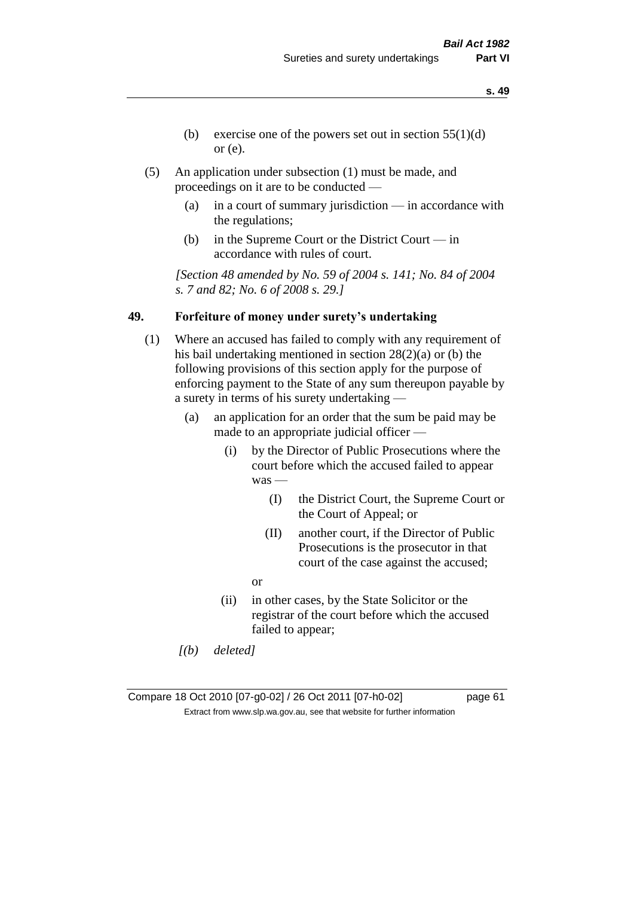- **s. 49**
- (b) exercise one of the powers set out in section  $55(1)(d)$ or (e).
- (5) An application under subsection (1) must be made, and proceedings on it are to be conducted —
	- (a) in a court of summary jurisdiction in accordance with the regulations;
	- (b) in the Supreme Court or the District Court in accordance with rules of court.

*[Section 48 amended by No. 59 of 2004 s. 141; No. 84 of 2004 s. 7 and 82; No. 6 of 2008 s. 29.]* 

### **49. Forfeiture of money under surety's undertaking**

- (1) Where an accused has failed to comply with any requirement of his bail undertaking mentioned in section 28(2)(a) or (b) the following provisions of this section apply for the purpose of enforcing payment to the State of any sum thereupon payable by a surety in terms of his surety undertaking —
	- (a) an application for an order that the sum be paid may be made to an appropriate judicial officer —
		- (i) by the Director of Public Prosecutions where the court before which the accused failed to appear was —
			- (I) the District Court, the Supreme Court or the Court of Appeal; or
			- (II) another court, if the Director of Public Prosecutions is the prosecutor in that court of the case against the accused;
			- or
		- (ii) in other cases, by the State Solicitor or the registrar of the court before which the accused failed to appear;
	- *[(b) deleted]*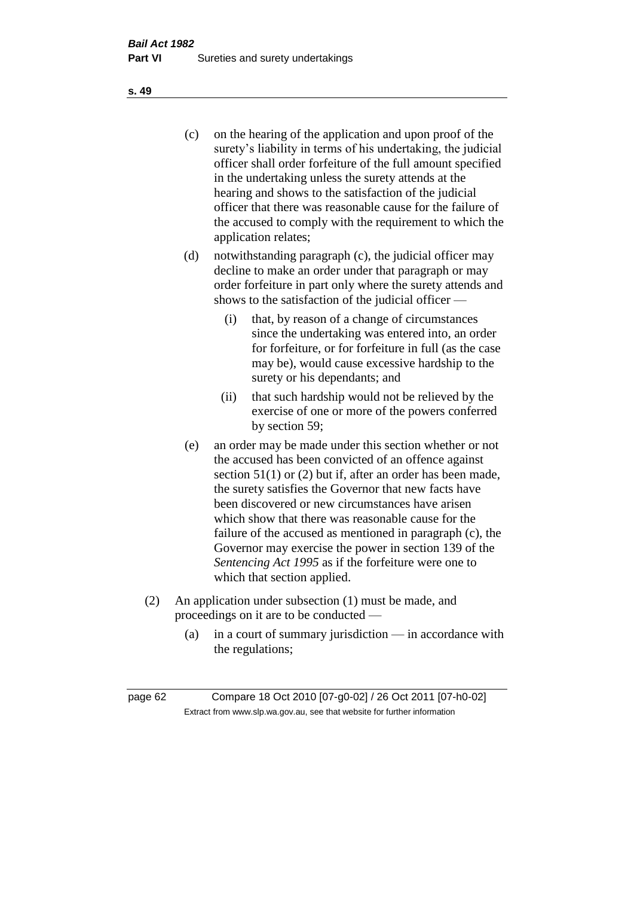(c) on the hearing of the application and upon proof of the surety's liability in terms of his undertaking, the judicial officer shall order forfeiture of the full amount specified in the undertaking unless the surety attends at the hearing and shows to the satisfaction of the judicial officer that there was reasonable cause for the failure of the accused to comply with the requirement to which the application relates;

- (d) notwithstanding paragraph (c), the judicial officer may decline to make an order under that paragraph or may order forfeiture in part only where the surety attends and shows to the satisfaction of the judicial officer —
	- (i) that, by reason of a change of circumstances since the undertaking was entered into, an order for forfeiture, or for forfeiture in full (as the case may be), would cause excessive hardship to the surety or his dependants; and
	- (ii) that such hardship would not be relieved by the exercise of one or more of the powers conferred by section 59;
- (e) an order may be made under this section whether or not the accused has been convicted of an offence against section 51(1) or (2) but if, after an order has been made, the surety satisfies the Governor that new facts have been discovered or new circumstances have arisen which show that there was reasonable cause for the failure of the accused as mentioned in paragraph (c), the Governor may exercise the power in section 139 of the *Sentencing Act 1995* as if the forfeiture were one to which that section applied.
- (2) An application under subsection (1) must be made, and proceedings on it are to be conducted —
	- (a) in a court of summary jurisdiction in accordance with the regulations;

**s. 49**

page 62 Compare 18 Oct 2010 [07-g0-02] / 26 Oct 2011 [07-h0-02] Extract from www.slp.wa.gov.au, see that website for further information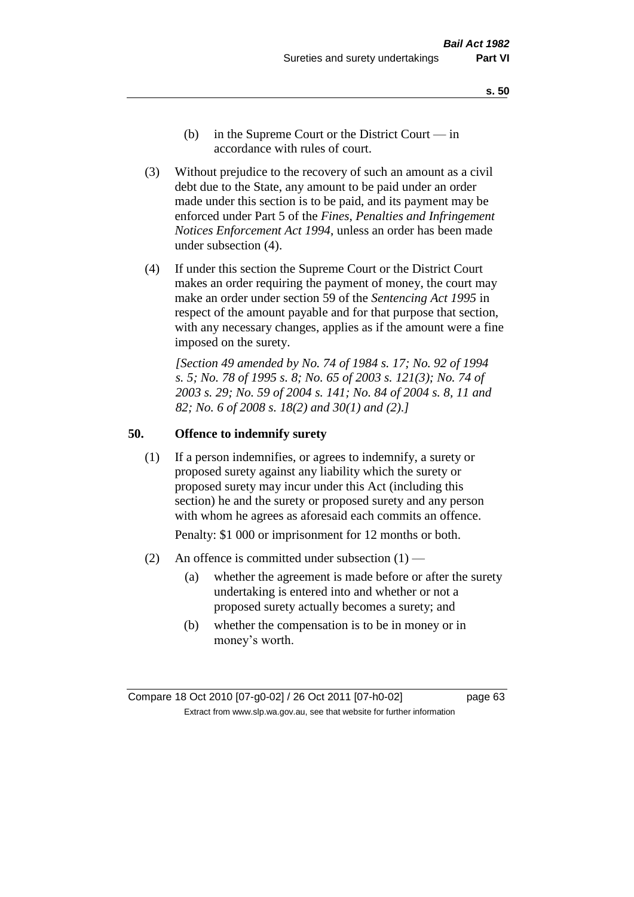- **s. 50**
- (b) in the Supreme Court or the District Court  $-\text{in}$ accordance with rules of court.
- (3) Without prejudice to the recovery of such an amount as a civil debt due to the State, any amount to be paid under an order made under this section is to be paid, and its payment may be enforced under Part 5 of the *Fines, Penalties and Infringement Notices Enforcement Act 1994*, unless an order has been made under subsection (4).
- (4) If under this section the Supreme Court or the District Court makes an order requiring the payment of money, the court may make an order under section 59 of the *Sentencing Act 1995* in respect of the amount payable and for that purpose that section, with any necessary changes, applies as if the amount were a fine imposed on the surety.

*[Section 49 amended by No. 74 of 1984 s. 17; No. 92 of 1994 s. 5; No. 78 of 1995 s. 8; No. 65 of 2003 s. 121(3); No. 74 of 2003 s. 29; No. 59 of 2004 s. 141; No. 84 of 2004 s. 8, 11 and 82; No. 6 of 2008 s. 18(2) and 30(1) and (2).]* 

### **50. Offence to indemnify surety**

(1) If a person indemnifies, or agrees to indemnify, a surety or proposed surety against any liability which the surety or proposed surety may incur under this Act (including this section) he and the surety or proposed surety and any person with whom he agrees as aforesaid each commits an offence.

Penalty: \$1 000 or imprisonment for 12 months or both.

- (2) An offence is committed under subsection  $(1)$ 
	- (a) whether the agreement is made before or after the surety undertaking is entered into and whether or not a proposed surety actually becomes a surety; and
	- (b) whether the compensation is to be in money or in money's worth.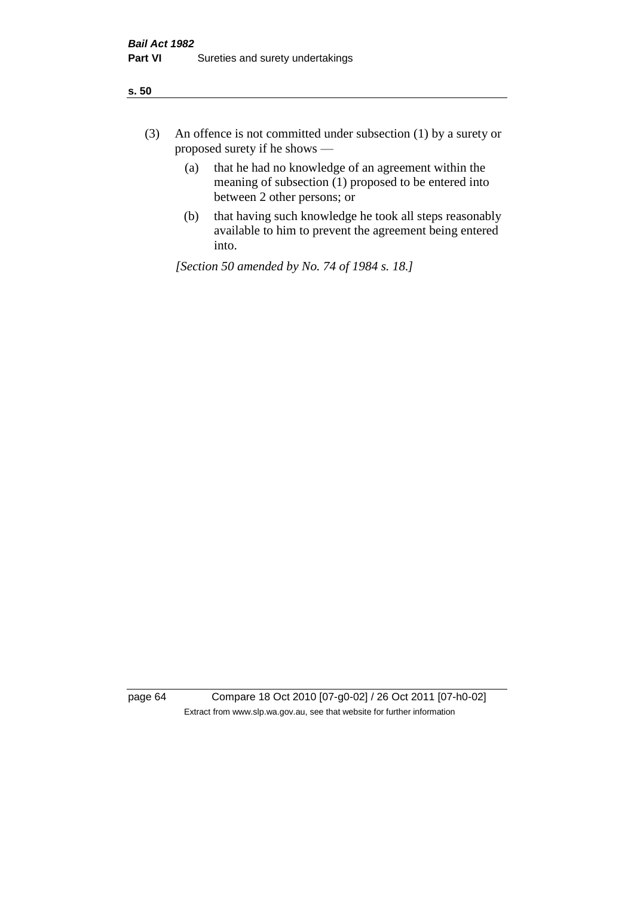- (3) An offence is not committed under subsection (1) by a surety or proposed surety if he shows —
	- (a) that he had no knowledge of an agreement within the meaning of subsection (1) proposed to be entered into between 2 other persons; or
	- (b) that having such knowledge he took all steps reasonably available to him to prevent the agreement being entered into.

*[Section 50 amended by No. 74 of 1984 s. 18.]* 

page 64 Compare 18 Oct 2010 [07-g0-02] / 26 Oct 2011 [07-h0-02] Extract from www.slp.wa.gov.au, see that website for further information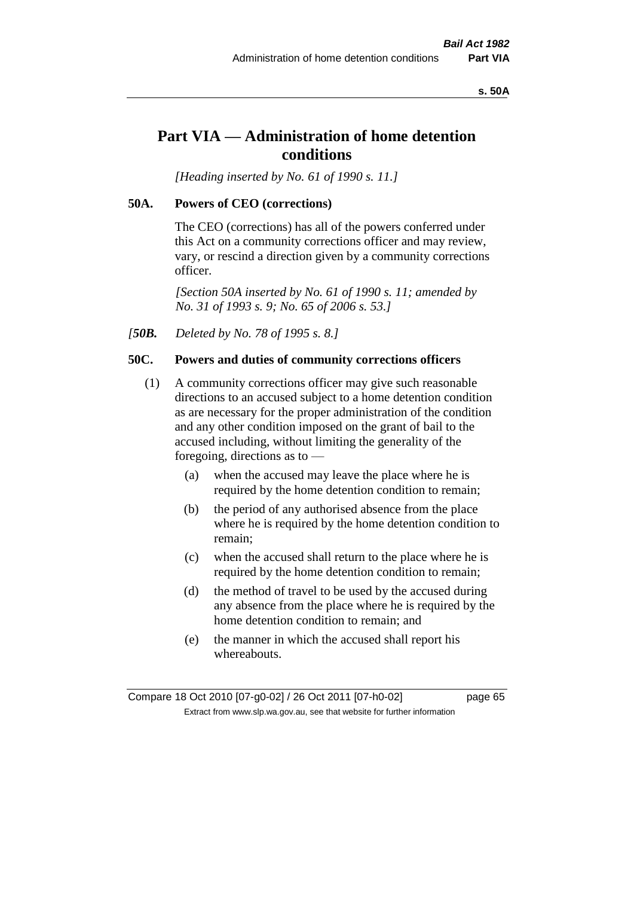### **s. 50A**

# **Part VIA — Administration of home detention conditions**

*[Heading inserted by No. 61 of 1990 s. 11.]* 

### **50A. Powers of CEO (corrections)**

The CEO (corrections) has all of the powers conferred under this Act on a community corrections officer and may review, vary, or rescind a direction given by a community corrections officer.

*[Section 50A inserted by No. 61 of 1990 s. 11; amended by No. 31 of 1993 s. 9; No. 65 of 2006 s. 53.]* 

*[50B. Deleted by No. 78 of 1995 s. 8.]* 

### **50C. Powers and duties of community corrections officers**

- (1) A community corrections officer may give such reasonable directions to an accused subject to a home detention condition as are necessary for the proper administration of the condition and any other condition imposed on the grant of bail to the accused including, without limiting the generality of the foregoing, directions as to —
	- (a) when the accused may leave the place where he is required by the home detention condition to remain;
	- (b) the period of any authorised absence from the place where he is required by the home detention condition to remain;
	- (c) when the accused shall return to the place where he is required by the home detention condition to remain;
	- (d) the method of travel to be used by the accused during any absence from the place where he is required by the home detention condition to remain; and
	- (e) the manner in which the accused shall report his whereabouts.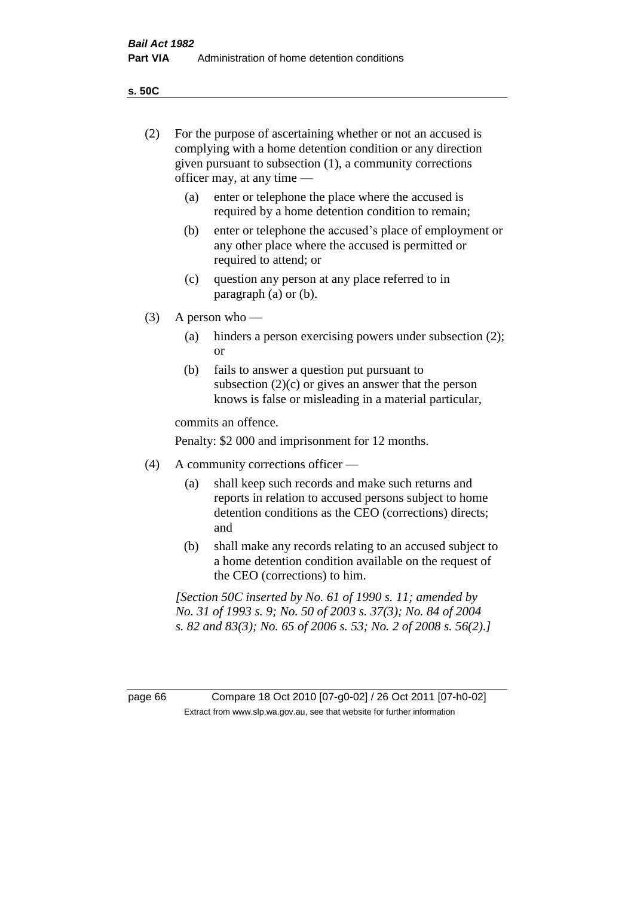**s. 50C**

| (2)     | For the purpose of ascertaining whether or not an accused is<br>complying with a home detention condition or any direction<br>given pursuant to subsection (1), a community corrections<br>officer may, at any time — |                                                                                                                                                                                              |  |
|---------|-----------------------------------------------------------------------------------------------------------------------------------------------------------------------------------------------------------------------|----------------------------------------------------------------------------------------------------------------------------------------------------------------------------------------------|--|
|         | (a)                                                                                                                                                                                                                   | enter or telephone the place where the accused is<br>required by a home detention condition to remain;                                                                                       |  |
|         | (b)                                                                                                                                                                                                                   | enter or telephone the accused's place of employment or<br>any other place where the accused is permitted or<br>required to attend; or                                                       |  |
|         | (c)                                                                                                                                                                                                                   | question any person at any place referred to in<br>paragraph $(a)$ or $(b)$ .                                                                                                                |  |
| (3)     | A person who $-$                                                                                                                                                                                                      |                                                                                                                                                                                              |  |
|         | (a)                                                                                                                                                                                                                   | hinders a person exercising powers under subsection (2);<br><sub>or</sub>                                                                                                                    |  |
|         | (b)                                                                                                                                                                                                                   | fails to answer a question put pursuant to<br>subsection $(2)(c)$ or gives an answer that the person<br>knows is false or misleading in a material particular,                               |  |
|         |                                                                                                                                                                                                                       | commits an offence.                                                                                                                                                                          |  |
|         |                                                                                                                                                                                                                       | Penalty: \$2 000 and imprisonment for 12 months.                                                                                                                                             |  |
| (4)     | A community corrections officer —                                                                                                                                                                                     |                                                                                                                                                                                              |  |
|         | (a)                                                                                                                                                                                                                   | shall keep such records and make such returns and<br>reports in relation to accused persons subject to home<br>detention conditions as the CEO (corrections) directs;<br>and                 |  |
|         | (b)                                                                                                                                                                                                                   | shall make any records relating to an accused subject to<br>a home detention condition available on the request of<br>the CEO (corrections) to him.                                          |  |
|         |                                                                                                                                                                                                                       | [Section 50C inserted by No. 61 of 1990 s. 11; amended by<br>No. 31 of 1993 s. 9; No. 50 of 2003 s. 37(3); No. 84 of 2004<br>s. 82 and 83(3); No. 65 of 2006 s. 53; No. 2 of 2008 s. 56(2).] |  |
|         |                                                                                                                                                                                                                       |                                                                                                                                                                                              |  |
| page 66 |                                                                                                                                                                                                                       | Compare 18 Oct 2010 [07-g0-02] / 26 Oct 2011 [07-h0-02]<br>Extract from www.slp.wa.gov.au, see that website for further information                                                          |  |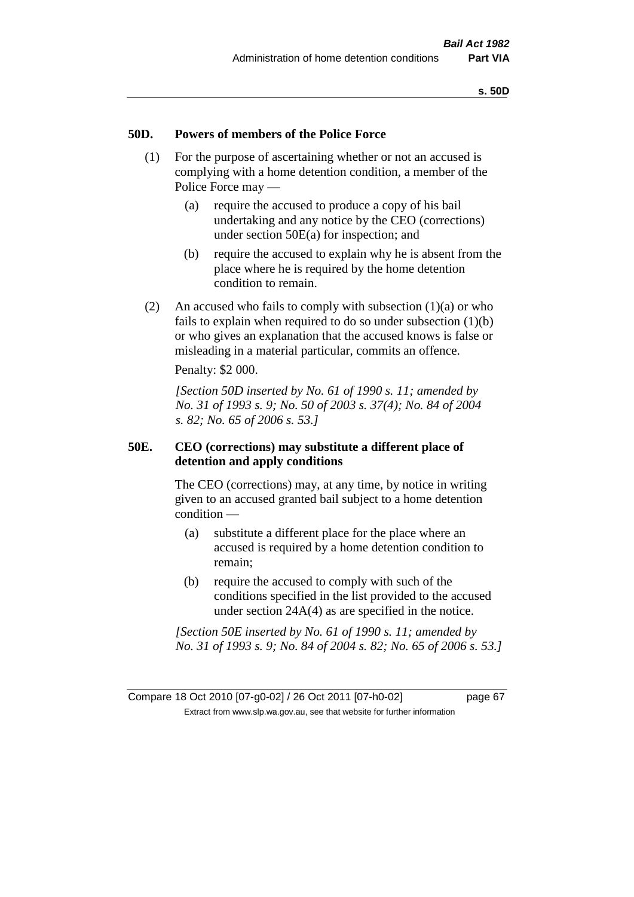### **50D. Powers of members of the Police Force**

- (1) For the purpose of ascertaining whether or not an accused is complying with a home detention condition, a member of the Police Force may —
	- (a) require the accused to produce a copy of his bail undertaking and any notice by the CEO (corrections) under section 50E(a) for inspection; and
	- (b) require the accused to explain why he is absent from the place where he is required by the home detention condition to remain.
- (2) An accused who fails to comply with subsection  $(1)(a)$  or who fails to explain when required to do so under subsection (1)(b) or who gives an explanation that the accused knows is false or misleading in a material particular, commits an offence.

Penalty: \$2 000.

*[Section 50D inserted by No. 61 of 1990 s. 11; amended by No. 31 of 1993 s. 9; No. 50 of 2003 s. 37(4); No. 84 of 2004 s. 82; No. 65 of 2006 s. 53.]* 

### **50E. CEO (corrections) may substitute a different place of detention and apply conditions**

The CEO (corrections) may, at any time, by notice in writing given to an accused granted bail subject to a home detention condition —

- (a) substitute a different place for the place where an accused is required by a home detention condition to remain;
- (b) require the accused to comply with such of the conditions specified in the list provided to the accused under section 24A(4) as are specified in the notice.

*[Section 50E inserted by No. 61 of 1990 s. 11; amended by No. 31 of 1993 s. 9; No. 84 of 2004 s. 82; No. 65 of 2006 s. 53.]*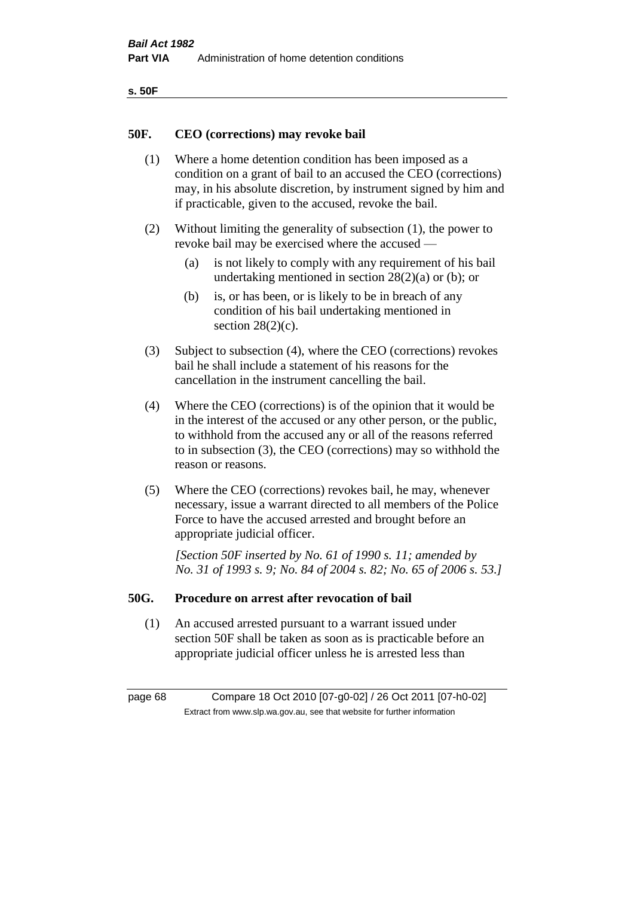| ۰.<br>×<br>-<br>۰.<br>× |  |
|-------------------------|--|
|-------------------------|--|

### **50F. CEO (corrections) may revoke bail**

- (1) Where a home detention condition has been imposed as a condition on a grant of bail to an accused the CEO (corrections) may, in his absolute discretion, by instrument signed by him and if practicable, given to the accused, revoke the bail.
- (2) Without limiting the generality of subsection (1), the power to revoke bail may be exercised where the accused —
	- (a) is not likely to comply with any requirement of his bail undertaking mentioned in section  $28(2)(a)$  or (b); or
	- (b) is, or has been, or is likely to be in breach of any condition of his bail undertaking mentioned in section  $28(2)(c)$ .
- (3) Subject to subsection (4), where the CEO (corrections) revokes bail he shall include a statement of his reasons for the cancellation in the instrument cancelling the bail.
- (4) Where the CEO (corrections) is of the opinion that it would be in the interest of the accused or any other person, or the public, to withhold from the accused any or all of the reasons referred to in subsection (3), the CEO (corrections) may so withhold the reason or reasons.
- (5) Where the CEO (corrections) revokes bail, he may, whenever necessary, issue a warrant directed to all members of the Police Force to have the accused arrested and brought before an appropriate judicial officer.

*[Section 50F inserted by No. 61 of 1990 s. 11; amended by No. 31 of 1993 s. 9; No. 84 of 2004 s. 82; No. 65 of 2006 s. 53.]* 

### **50G. Procedure on arrest after revocation of bail**

(1) An accused arrested pursuant to a warrant issued under section 50F shall be taken as soon as is practicable before an appropriate judicial officer unless he is arrested less than

page 68 Compare 18 Oct 2010 [07-g0-02] / 26 Oct 2011 [07-h0-02] Extract from www.slp.wa.gov.au, see that website for further information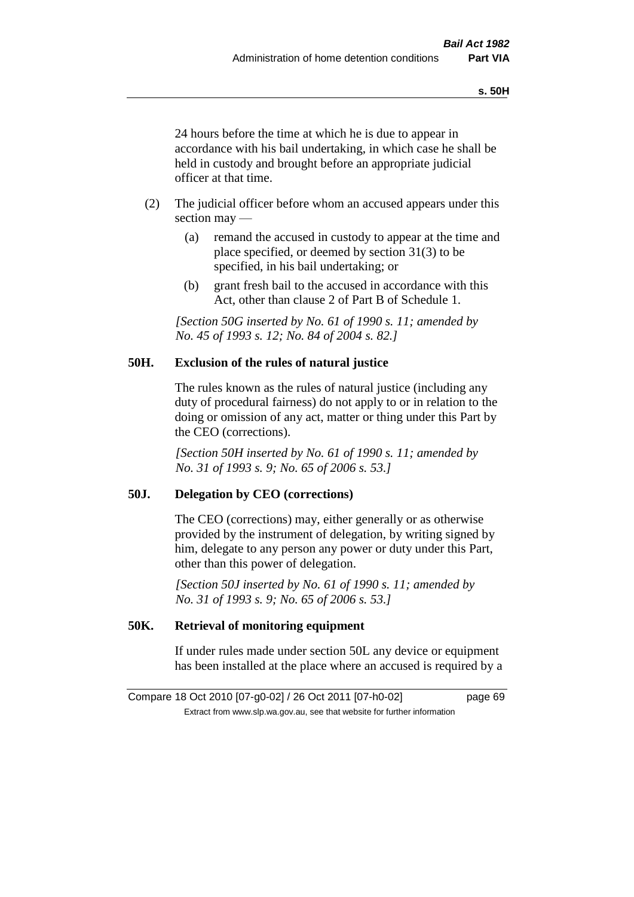24 hours before the time at which he is due to appear in accordance with his bail undertaking, in which case he shall be held in custody and brought before an appropriate judicial officer at that time.

- (2) The judicial officer before whom an accused appears under this section may —
	- (a) remand the accused in custody to appear at the time and place specified, or deemed by section 31(3) to be specified, in his bail undertaking; or
	- (b) grant fresh bail to the accused in accordance with this Act, other than clause 2 of Part B of Schedule 1.

*[Section 50G inserted by No. 61 of 1990 s. 11; amended by No. 45 of 1993 s. 12; No. 84 of 2004 s. 82.]* 

# **50H. Exclusion of the rules of natural justice**

The rules known as the rules of natural justice (including any duty of procedural fairness) do not apply to or in relation to the doing or omission of any act, matter or thing under this Part by the CEO (corrections).

*[Section 50H inserted by No. 61 of 1990 s. 11; amended by No. 31 of 1993 s. 9; No. 65 of 2006 s. 53.]* 

### **50J. Delegation by CEO (corrections)**

The CEO (corrections) may, either generally or as otherwise provided by the instrument of delegation, by writing signed by him, delegate to any person any power or duty under this Part, other than this power of delegation.

*[Section 50J inserted by No. 61 of 1990 s. 11; amended by No. 31 of 1993 s. 9; No. 65 of 2006 s. 53.]* 

## **50K. Retrieval of monitoring equipment**

If under rules made under section 50L any device or equipment has been installed at the place where an accused is required by a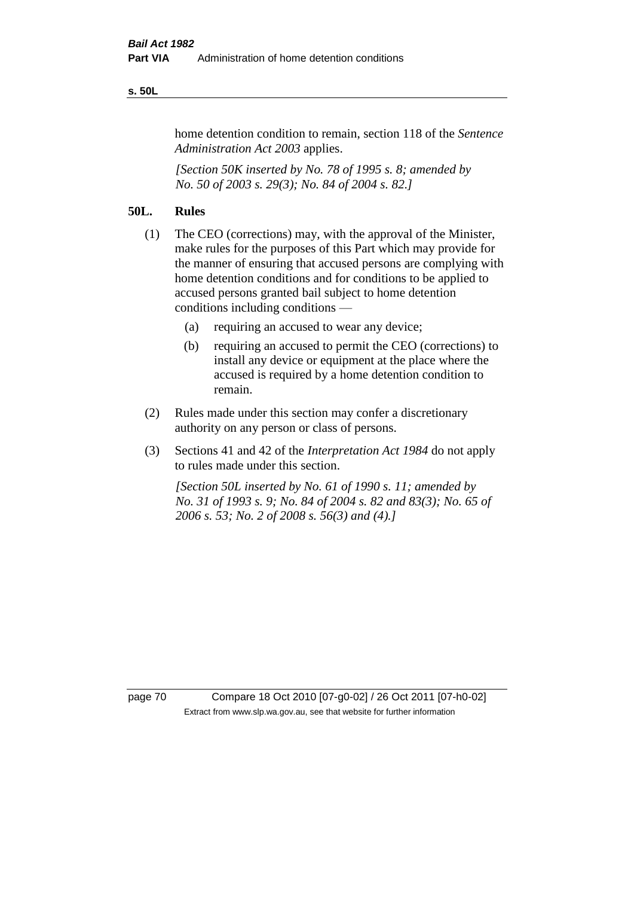### **s. 50L**

home detention condition to remain, section 118 of the *Sentence Administration Act 2003* applies.

*[Section 50K inserted by No. 78 of 1995 s. 8; amended by No. 50 of 2003 s. 29(3); No. 84 of 2004 s. 82.]* 

### **50L. Rules**

- (1) The CEO (corrections) may, with the approval of the Minister, make rules for the purposes of this Part which may provide for the manner of ensuring that accused persons are complying with home detention conditions and for conditions to be applied to accused persons granted bail subject to home detention conditions including conditions —
	- (a) requiring an accused to wear any device;
	- (b) requiring an accused to permit the CEO (corrections) to install any device or equipment at the place where the accused is required by a home detention condition to remain.
- (2) Rules made under this section may confer a discretionary authority on any person or class of persons.
- (3) Sections 41 and 42 of the *Interpretation Act 1984* do not apply to rules made under this section.

*[Section 50L inserted by No. 61 of 1990 s. 11; amended by No. 31 of 1993 s. 9; No. 84 of 2004 s. 82 and 83(3); No. 65 of 2006 s. 53; No. 2 of 2008 s. 56(3) and (4).]* 

page 70 Compare 18 Oct 2010 [07-g0-02] / 26 Oct 2011 [07-h0-02] Extract from www.slp.wa.gov.au, see that website for further information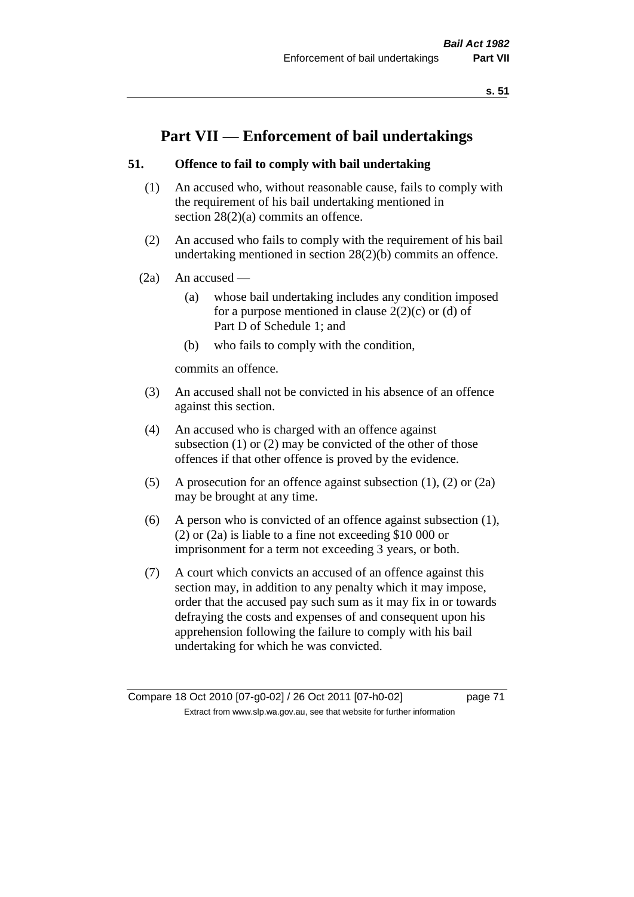# **Part VII — Enforcement of bail undertakings**

# **51. Offence to fail to comply with bail undertaking**

- (1) An accused who, without reasonable cause, fails to comply with the requirement of his bail undertaking mentioned in section 28(2)(a) commits an offence.
- (2) An accused who fails to comply with the requirement of his bail undertaking mentioned in section 28(2)(b) commits an offence.
- $(2a)$  An accused
	- (a) whose bail undertaking includes any condition imposed for a purpose mentioned in clause  $2(2)(c)$  or (d) of Part D of Schedule 1; and
	- (b) who fails to comply with the condition,

commits an offence.

- (3) An accused shall not be convicted in his absence of an offence against this section.
- (4) An accused who is charged with an offence against subsection (1) or (2) may be convicted of the other of those offences if that other offence is proved by the evidence.
- (5) A prosecution for an offence against subsection (1), (2) or (2a) may be brought at any time.
- (6) A person who is convicted of an offence against subsection (1), (2) or (2a) is liable to a fine not exceeding \$10 000 or imprisonment for a term not exceeding 3 years, or both.
- (7) A court which convicts an accused of an offence against this section may, in addition to any penalty which it may impose, order that the accused pay such sum as it may fix in or towards defraying the costs and expenses of and consequent upon his apprehension following the failure to comply with his bail undertaking for which he was convicted.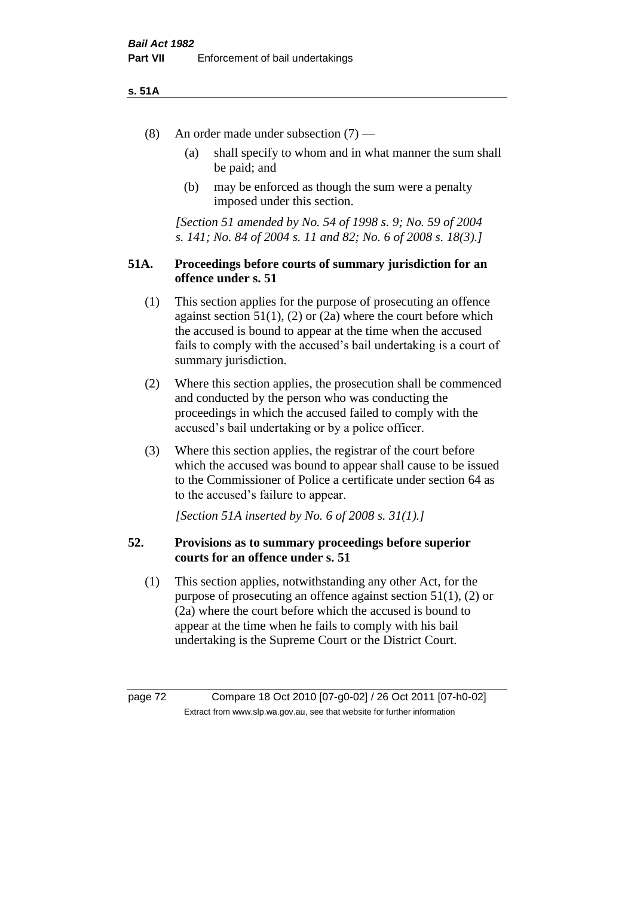### **s. 51A**

- (8) An order made under subsection (7)
	- (a) shall specify to whom and in what manner the sum shall be paid; and
	- (b) may be enforced as though the sum were a penalty imposed under this section.

*[Section 51 amended by No. 54 of 1998 s. 9; No. 59 of 2004 s. 141; No. 84 of 2004 s. 11 and 82; No. 6 of 2008 s. 18(3).]*

# **51A. Proceedings before courts of summary jurisdiction for an offence under s. 51**

- (1) This section applies for the purpose of prosecuting an offence against section  $51(1)$ ,  $(2)$  or  $(2a)$  where the court before which the accused is bound to appear at the time when the accused fails to comply with the accused's bail undertaking is a court of summary jurisdiction.
- (2) Where this section applies, the prosecution shall be commenced and conducted by the person who was conducting the proceedings in which the accused failed to comply with the accused's bail undertaking or by a police officer.
- (3) Where this section applies, the registrar of the court before which the accused was bound to appear shall cause to be issued to the Commissioner of Police a certificate under section 64 as to the accused's failure to appear.

*[Section 51A inserted by No. 6 of 2008 s. 31(1).]*

# **52. Provisions as to summary proceedings before superior courts for an offence under s. 51**

(1) This section applies, notwithstanding any other Act, for the purpose of prosecuting an offence against section 51(1), (2) or (2a) where the court before which the accused is bound to appear at the time when he fails to comply with his bail undertaking is the Supreme Court or the District Court.

page 72 Compare 18 Oct 2010 [07-g0-02] / 26 Oct 2011 [07-h0-02] Extract from www.slp.wa.gov.au, see that website for further information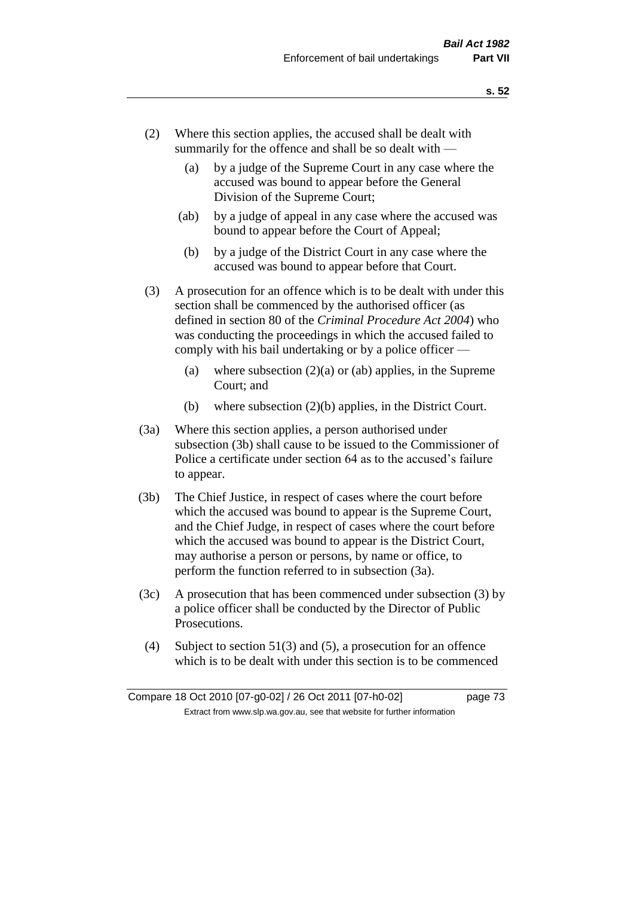- (2) Where this section applies, the accused shall be dealt with summarily for the offence and shall be so dealt with —
	- (a) by a judge of the Supreme Court in any case where the accused was bound to appear before the General Division of the Supreme Court;
	- (ab) by a judge of appeal in any case where the accused was bound to appear before the Court of Appeal;
	- (b) by a judge of the District Court in any case where the accused was bound to appear before that Court.
- (3) A prosecution for an offence which is to be dealt with under this section shall be commenced by the authorised officer (as defined in section 80 of the *Criminal Procedure Act 2004*) who was conducting the proceedings in which the accused failed to comply with his bail undertaking or by a police officer —
	- (a) where subsection  $(2)(a)$  or (ab) applies, in the Supreme Court; and
	- (b) where subsection (2)(b) applies, in the District Court.
- (3a) Where this section applies, a person authorised under subsection (3b) shall cause to be issued to the Commissioner of Police a certificate under section 64 as to the accused's failure to appear.
- (3b) The Chief Justice, in respect of cases where the court before which the accused was bound to appear is the Supreme Court, and the Chief Judge, in respect of cases where the court before which the accused was bound to appear is the District Court, may authorise a person or persons, by name or office, to perform the function referred to in subsection (3a).
- (3c) A prosecution that has been commenced under subsection (3) by a police officer shall be conducted by the Director of Public Prosecutions.
- (4) Subject to section 51(3) and (5), a prosecution for an offence which is to be dealt with under this section is to be commenced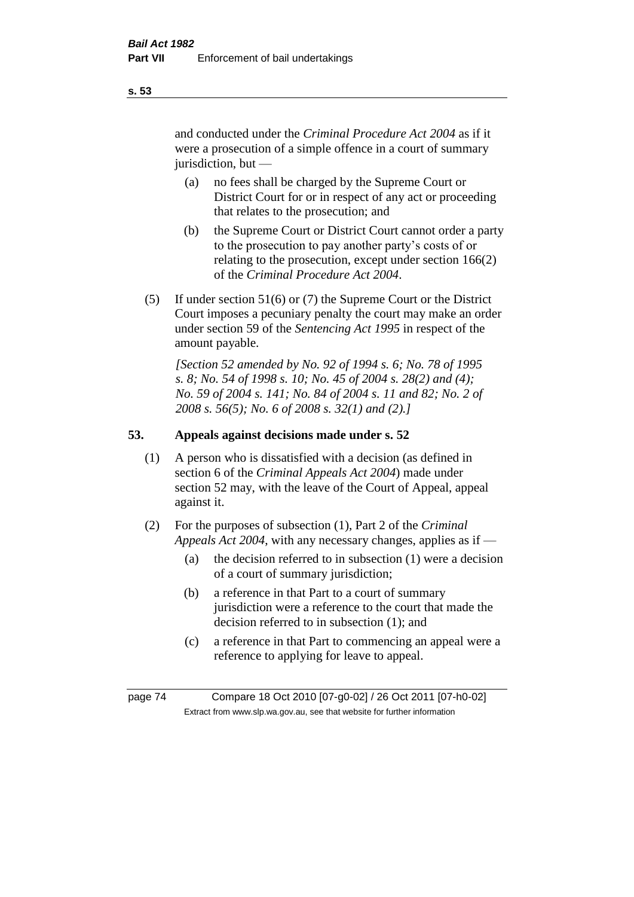and conducted under the *Criminal Procedure Act 2004* as if it were a prosecution of a simple offence in a court of summary jurisdiction, but —

- (a) no fees shall be charged by the Supreme Court or District Court for or in respect of any act or proceeding that relates to the prosecution; and
- (b) the Supreme Court or District Court cannot order a party to the prosecution to pay another party's costs of or relating to the prosecution, except under section 166(2) of the *Criminal Procedure Act 2004*.
- (5) If under section 51(6) or (7) the Supreme Court or the District Court imposes a pecuniary penalty the court may make an order under section 59 of the *Sentencing Act 1995* in respect of the amount payable.

*[Section 52 amended by No. 92 of 1994 s. 6; No. 78 of 1995 s. 8; No. 54 of 1998 s. 10; No. 45 of 2004 s. 28(2) and (4); No. 59 of 2004 s. 141; No. 84 of 2004 s. 11 and 82; No. 2 of 2008 s. 56(5); No. 6 of 2008 s. 32(1) and (2).]* 

# **53. Appeals against decisions made under s. 52**

- (1) A person who is dissatisfied with a decision (as defined in section 6 of the *Criminal Appeals Act 2004*) made under section 52 may, with the leave of the Court of Appeal, appeal against it.
- (2) For the purposes of subsection (1), Part 2 of the *Criminal Appeals Act 2004*, with any necessary changes, applies as if —
	- (a) the decision referred to in subsection (1) were a decision of a court of summary jurisdiction;
	- (b) a reference in that Part to a court of summary jurisdiction were a reference to the court that made the decision referred to in subsection (1); and
	- (c) a reference in that Part to commencing an appeal were a reference to applying for leave to appeal.

page 74 Compare 18 Oct 2010 [07-g0-02] / 26 Oct 2011 [07-h0-02] Extract from www.slp.wa.gov.au, see that website for further information

**s. 53**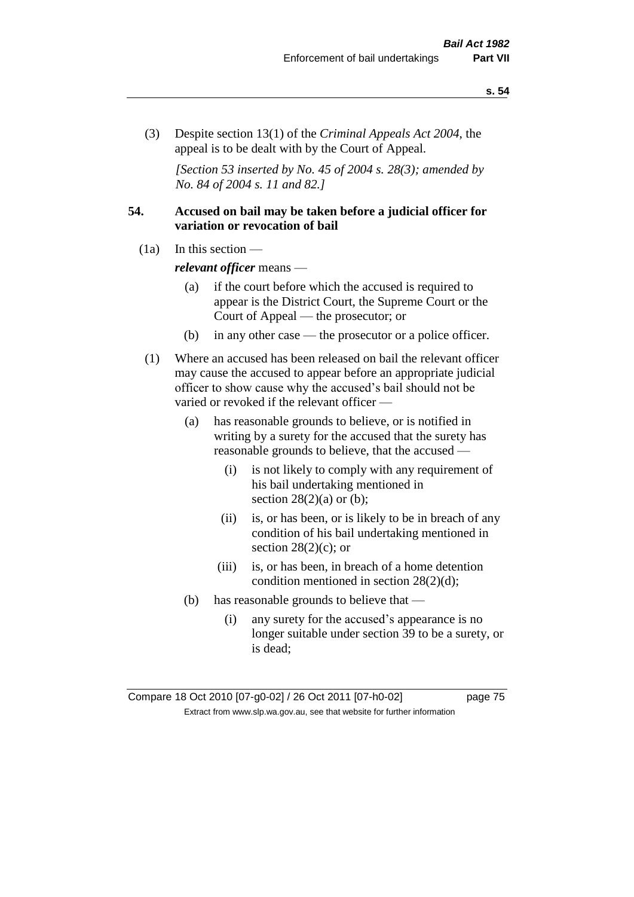(3) Despite section 13(1) of the *Criminal Appeals Act 2004*, the appeal is to be dealt with by the Court of Appeal.

*[Section 53 inserted by No. 45 of 2004 s. 28(3); amended by No. 84 of 2004 s. 11 and 82.]*

# **54. Accused on bail may be taken before a judicial officer for variation or revocation of bail**

(1a) In this section —

*relevant officer* means —

- (a) if the court before which the accused is required to appear is the District Court, the Supreme Court or the Court of Appeal — the prosecutor; or
- (b) in any other case the prosecutor or a police officer.
- (1) Where an accused has been released on bail the relevant officer may cause the accused to appear before an appropriate judicial officer to show cause why the accused's bail should not be varied or revoked if the relevant officer —
	- (a) has reasonable grounds to believe, or is notified in writing by a surety for the accused that the surety has reasonable grounds to believe, that the accused —
		- (i) is not likely to comply with any requirement of his bail undertaking mentioned in section  $28(2)(a)$  or (b);
		- (ii) is, or has been, or is likely to be in breach of any condition of his bail undertaking mentioned in section  $28(2)(c)$ ; or
		- (iii) is, or has been, in breach of a home detention condition mentioned in section 28(2)(d);
	- (b) has reasonable grounds to believe that
		- (i) any surety for the accused's appearance is no longer suitable under section 39 to be a surety, or is dead;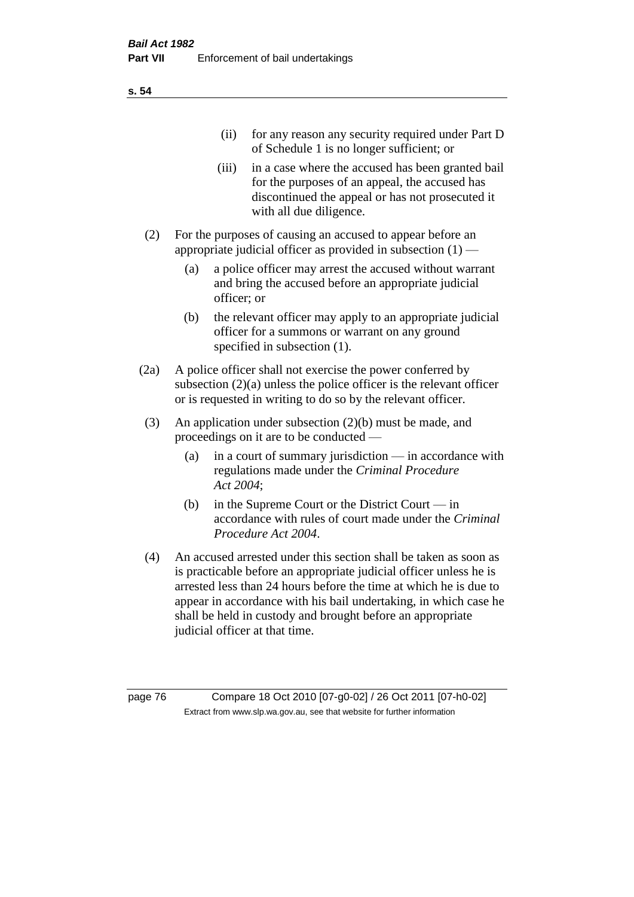| (11)  | for any reason any security required under Part D<br>of Schedule 1 is no longer sufficient; or                                                                                     |
|-------|------------------------------------------------------------------------------------------------------------------------------------------------------------------------------------|
| (111) | in a case where the accused has been granted bail<br>for the purposes of an appeal, the accused has<br>discontinued the appeal or has not prosecuted it<br>with all due diligence. |

- (2) For the purposes of causing an accused to appear before an appropriate judicial officer as provided in subsection  $(1)$  –
	- (a) a police officer may arrest the accused without warrant and bring the accused before an appropriate judicial officer; or
	- (b) the relevant officer may apply to an appropriate judicial officer for a summons or warrant on any ground specified in subsection  $(1)$ .
- (2a) A police officer shall not exercise the power conferred by subsection (2)(a) unless the police officer is the relevant officer or is requested in writing to do so by the relevant officer.
- (3) An application under subsection (2)(b) must be made, and proceedings on it are to be conducted —
	- (a) in a court of summary jurisdiction in accordance with regulations made under the *Criminal Procedure Act 2004*;
	- (b) in the Supreme Court or the District Court in accordance with rules of court made under the *Criminal Procedure Act 2004*.
- (4) An accused arrested under this section shall be taken as soon as is practicable before an appropriate judicial officer unless he is arrested less than 24 hours before the time at which he is due to appear in accordance with his bail undertaking, in which case he shall be held in custody and brought before an appropriate judicial officer at that time.

page 76 Compare 18 Oct 2010 [07-g0-02] / 26 Oct 2011 [07-h0-02] Extract from www.slp.wa.gov.au, see that website for further information

**s. 54**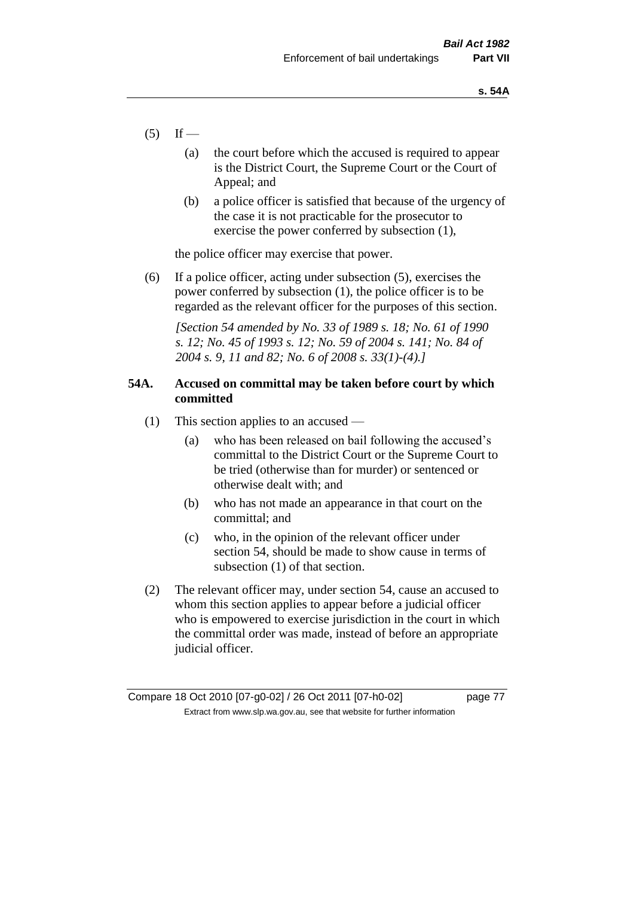- $(5)$  If
	- (a) the court before which the accused is required to appear is the District Court, the Supreme Court or the Court of Appeal; and
	- (b) a police officer is satisfied that because of the urgency of the case it is not practicable for the prosecutor to exercise the power conferred by subsection (1),

the police officer may exercise that power.

(6) If a police officer, acting under subsection (5), exercises the power conferred by subsection (1), the police officer is to be regarded as the relevant officer for the purposes of this section.

*[Section 54 amended by No. 33 of 1989 s. 18; No. 61 of 1990 s. 12; No. 45 of 1993 s. 12; No. 59 of 2004 s. 141; No. 84 of 2004 s. 9, 11 and 82; No. 6 of 2008 s. 33(1)-(4).]* 

# **54A. Accused on committal may be taken before court by which committed**

- (1) This section applies to an accused
	- (a) who has been released on bail following the accused's committal to the District Court or the Supreme Court to be tried (otherwise than for murder) or sentenced or otherwise dealt with; and
	- (b) who has not made an appearance in that court on the committal; and
	- (c) who, in the opinion of the relevant officer under section 54, should be made to show cause in terms of subsection (1) of that section.
- (2) The relevant officer may, under section 54, cause an accused to whom this section applies to appear before a judicial officer who is empowered to exercise jurisdiction in the court in which the committal order was made, instead of before an appropriate judicial officer.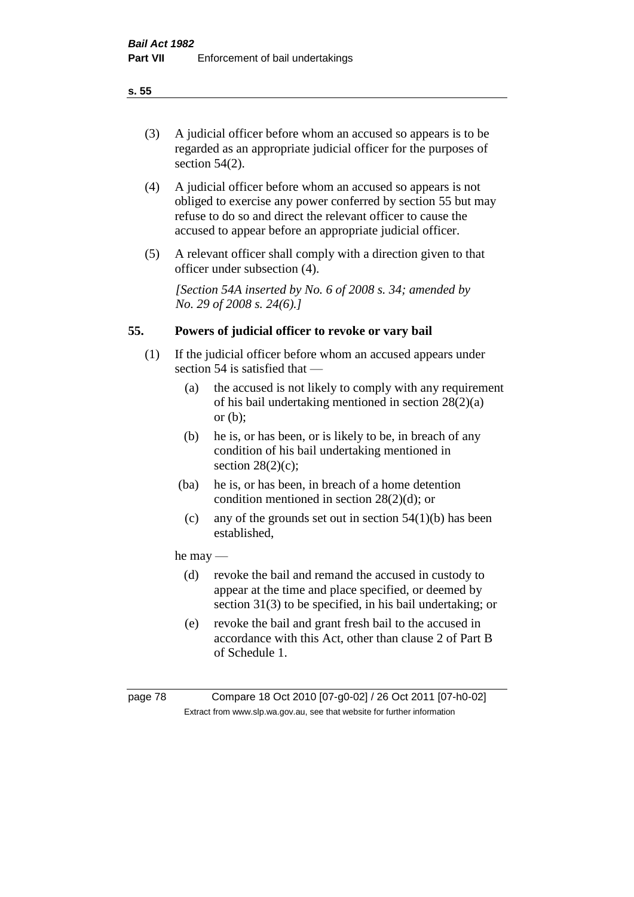(3) A judicial officer before whom an accused so appears is to be regarded as an appropriate judicial officer for the purposes of section 54(2).

- (4) A judicial officer before whom an accused so appears is not obliged to exercise any power conferred by section 55 but may refuse to do so and direct the relevant officer to cause the accused to appear before an appropriate judicial officer.
- (5) A relevant officer shall comply with a direction given to that officer under subsection (4).

*[Section 54A inserted by No. 6 of 2008 s. 34; amended by No. 29 of 2008 s. 24(6).]*

# **55. Powers of judicial officer to revoke or vary bail**

- (1) If the judicial officer before whom an accused appears under section 54 is satisfied that —
	- (a) the accused is not likely to comply with any requirement of his bail undertaking mentioned in section 28(2)(a) or (b);
	- (b) he is, or has been, or is likely to be, in breach of any condition of his bail undertaking mentioned in section  $28(2)(c)$ ;
	- (ba) he is, or has been, in breach of a home detention condition mentioned in section 28(2)(d); or
		- (c) any of the grounds set out in section  $54(1)(b)$  has been established,

# he may —

- (d) revoke the bail and remand the accused in custody to appear at the time and place specified, or deemed by section 31(3) to be specified, in his bail undertaking; or
- (e) revoke the bail and grant fresh bail to the accused in accordance with this Act, other than clause 2 of Part B of Schedule 1.

page 78 Compare 18 Oct 2010 [07-g0-02] / 26 Oct 2011 [07-h0-02] Extract from www.slp.wa.gov.au, see that website for further information

**s. 55**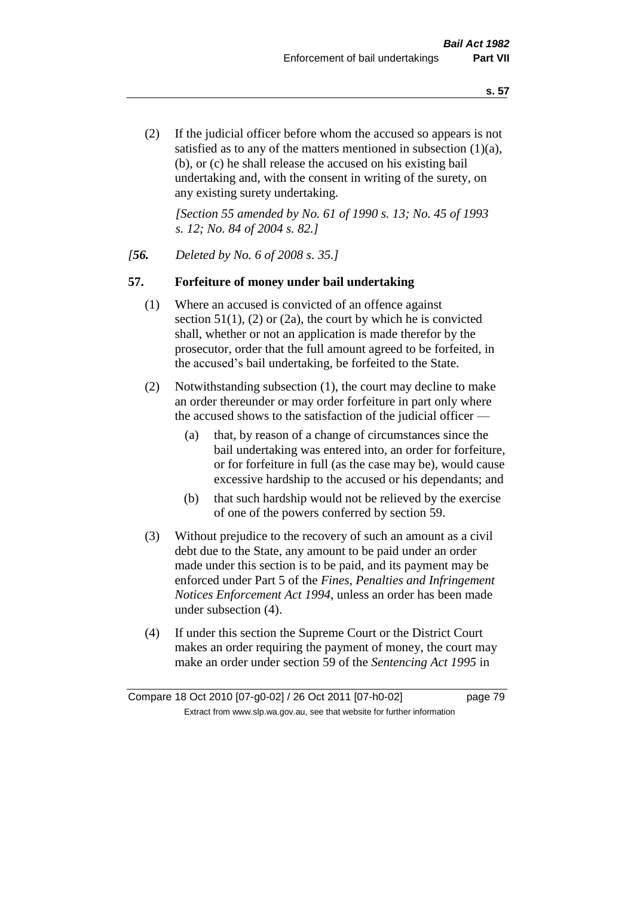(2) If the judicial officer before whom the accused so appears is not satisfied as to any of the matters mentioned in subsection (1)(a), (b), or (c) he shall release the accused on his existing bail undertaking and, with the consent in writing of the surety, on any existing surety undertaking.

*[Section 55 amended by No. 61 of 1990 s. 13; No. 45 of 1993 s. 12; No. 84 of 2004 s. 82.]* 

# *[56. Deleted by No. 6 of 2008 s. 35.]*

# **57. Forfeiture of money under bail undertaking**

- (1) Where an accused is convicted of an offence against section  $51(1)$ , (2) or (2a), the court by which he is convicted shall, whether or not an application is made therefor by the prosecutor, order that the full amount agreed to be forfeited, in the accused's bail undertaking, be forfeited to the State.
- (2) Notwithstanding subsection (1), the court may decline to make an order thereunder or may order forfeiture in part only where the accused shows to the satisfaction of the judicial officer —
	- (a) that, by reason of a change of circumstances since the bail undertaking was entered into, an order for forfeiture, or for forfeiture in full (as the case may be), would cause excessive hardship to the accused or his dependants; and
	- (b) that such hardship would not be relieved by the exercise of one of the powers conferred by section 59.
- (3) Without prejudice to the recovery of such an amount as a civil debt due to the State, any amount to be paid under an order made under this section is to be paid, and its payment may be enforced under Part 5 of the *Fines, Penalties and Infringement Notices Enforcement Act 1994*, unless an order has been made under subsection (4).
- (4) If under this section the Supreme Court or the District Court makes an order requiring the payment of money, the court may make an order under section 59 of the *Sentencing Act 1995* in

Compare 18 Oct 2010 [07-g0-02] / 26 Oct 2011 [07-h0-02] page 79 Extract from www.slp.wa.gov.au, see that website for further information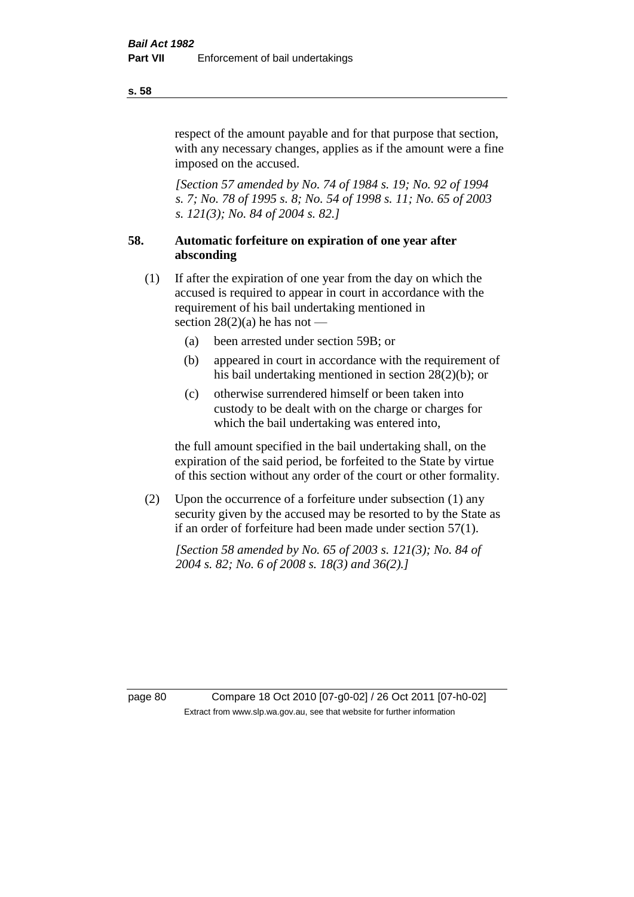respect of the amount payable and for that purpose that section, with any necessary changes, applies as if the amount were a fine imposed on the accused.

*[Section 57 amended by No. 74 of 1984 s. 19; No. 92 of 1994 s. 7; No. 78 of 1995 s. 8; No. 54 of 1998 s. 11; No. 65 of 2003 s. 121(3); No. 84 of 2004 s. 82.]* 

# **58. Automatic forfeiture on expiration of one year after absconding**

- (1) If after the expiration of one year from the day on which the accused is required to appear in court in accordance with the requirement of his bail undertaking mentioned in section  $28(2)(a)$  he has not —
	- (a) been arrested under section 59B; or
	- (b) appeared in court in accordance with the requirement of his bail undertaking mentioned in section 28(2)(b); or
	- (c) otherwise surrendered himself or been taken into custody to be dealt with on the charge or charges for which the bail undertaking was entered into,

the full amount specified in the bail undertaking shall, on the expiration of the said period, be forfeited to the State by virtue of this section without any order of the court or other formality.

(2) Upon the occurrence of a forfeiture under subsection (1) any security given by the accused may be resorted to by the State as if an order of forfeiture had been made under section 57(1).

*[Section 58 amended by No. 65 of 2003 s. 121(3); No. 84 of 2004 s. 82; No. 6 of 2008 s. 18(3) and 36(2).]*

page 80 Compare 18 Oct 2010 [07-g0-02] / 26 Oct 2011 [07-h0-02] Extract from www.slp.wa.gov.au, see that website for further information

#### **s. 58**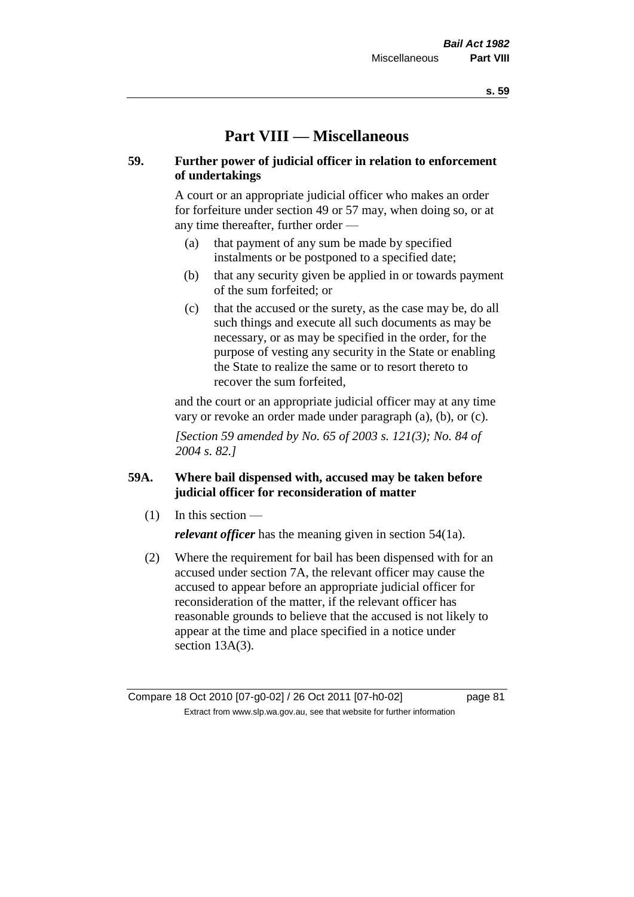# **Part VIII — Miscellaneous**

# **59. Further power of judicial officer in relation to enforcement of undertakings**

A court or an appropriate judicial officer who makes an order for forfeiture under section 49 or 57 may, when doing so, or at any time thereafter, further order —

- (a) that payment of any sum be made by specified instalments or be postponed to a specified date;
- (b) that any security given be applied in or towards payment of the sum forfeited; or
- (c) that the accused or the surety, as the case may be, do all such things and execute all such documents as may be necessary, or as may be specified in the order, for the purpose of vesting any security in the State or enabling the State to realize the same or to resort thereto to recover the sum forfeited,

and the court or an appropriate judicial officer may at any time vary or revoke an order made under paragraph (a), (b), or (c).

*[Section 59 amended by No. 65 of 2003 s. 121(3); No. 84 of 2004 s. 82.]*

# **59A. Where bail dispensed with, accused may be taken before judicial officer for reconsideration of matter**

- $(1)$  In this section *relevant officer* has the meaning given in section 54(1a).
- (2) Where the requirement for bail has been dispensed with for an accused under section 7A, the relevant officer may cause the accused to appear before an appropriate judicial officer for reconsideration of the matter, if the relevant officer has reasonable grounds to believe that the accused is not likely to appear at the time and place specified in a notice under section 13A(3).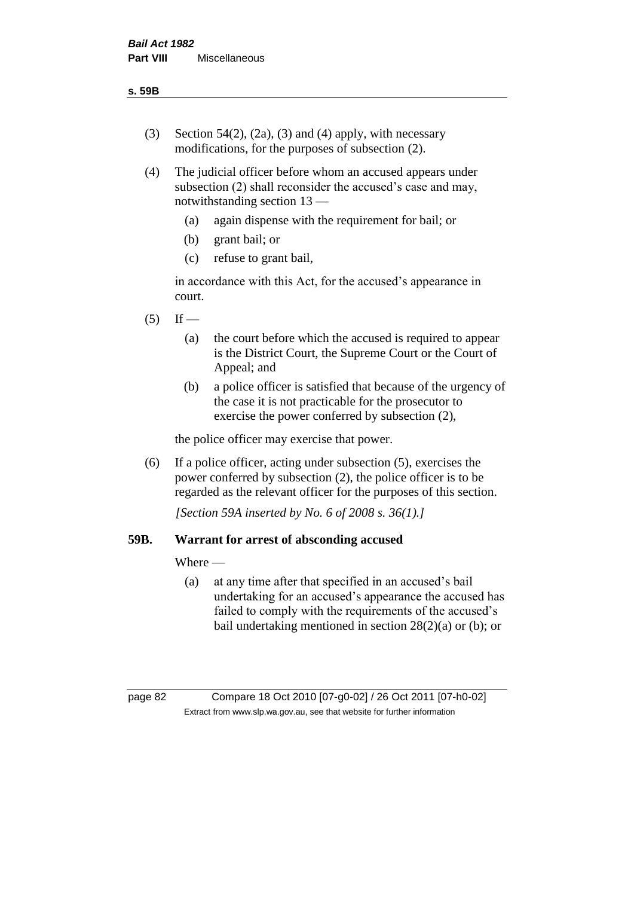- (3) Section 54(2), (2a), (3) and (4) apply, with necessary modifications, for the purposes of subsection (2).
- (4) The judicial officer before whom an accused appears under subsection (2) shall reconsider the accused's case and may, notwithstanding section 13 —
	- (a) again dispense with the requirement for bail; or
	- (b) grant bail; or
	- (c) refuse to grant bail,

in accordance with this Act, for the accused's appearance in court.

- $(5)$  If
	- (a) the court before which the accused is required to appear is the District Court, the Supreme Court or the Court of Appeal; and
	- (b) a police officer is satisfied that because of the urgency of the case it is not practicable for the prosecutor to exercise the power conferred by subsection (2),

the police officer may exercise that power.

(6) If a police officer, acting under subsection (5), exercises the power conferred by subsection (2), the police officer is to be regarded as the relevant officer for the purposes of this section.

*[Section 59A inserted by No. 6 of 2008 s. 36(1).]*

# **59B. Warrant for arrest of absconding accused**

Where —

(a) at any time after that specified in an accused's bail undertaking for an accused's appearance the accused has failed to comply with the requirements of the accused's bail undertaking mentioned in section 28(2)(a) or (b); or

page 82 Compare 18 Oct 2010 [07-g0-02] / 26 Oct 2011 [07-h0-02] Extract from www.slp.wa.gov.au, see that website for further information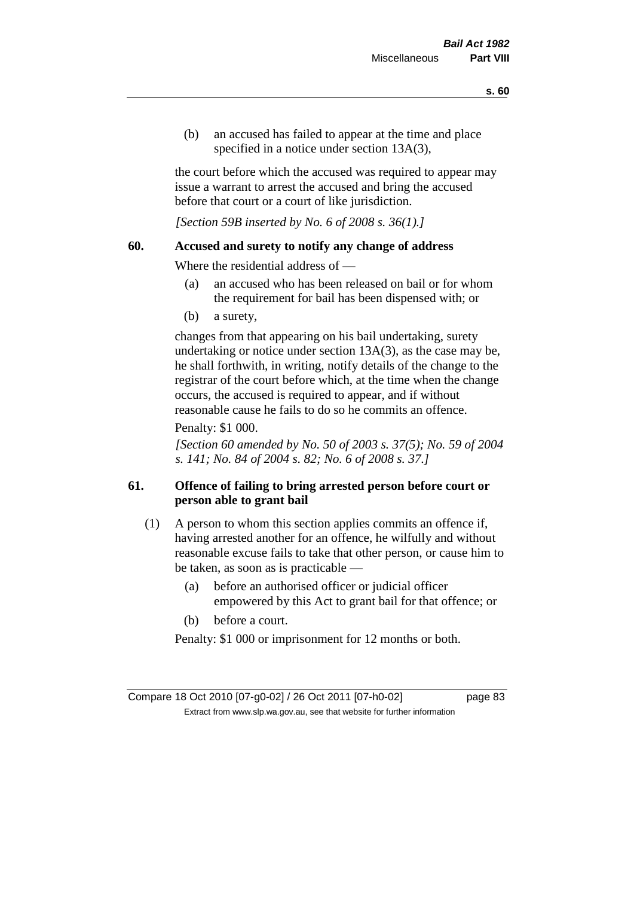(b) an accused has failed to appear at the time and place specified in a notice under section 13A(3).

the court before which the accused was required to appear may issue a warrant to arrest the accused and bring the accused before that court or a court of like jurisdiction.

*[Section 59B inserted by No. 6 of 2008 s. 36(1).]*

# **60. Accused and surety to notify any change of address**

Where the residential address of —

- (a) an accused who has been released on bail or for whom the requirement for bail has been dispensed with; or
- (b) a surety,

changes from that appearing on his bail undertaking, surety undertaking or notice under section 13A(3), as the case may be, he shall forthwith, in writing, notify details of the change to the registrar of the court before which, at the time when the change occurs, the accused is required to appear, and if without reasonable cause he fails to do so he commits an offence.

# Penalty: \$1 000.

*[Section 60 amended by No. 50 of 2003 s. 37(5); No. 59 of 2004 s. 141; No. 84 of 2004 s. 82; No. 6 of 2008 s. 37.]*

# **61. Offence of failing to bring arrested person before court or person able to grant bail**

- (1) A person to whom this section applies commits an offence if, having arrested another for an offence, he wilfully and without reasonable excuse fails to take that other person, or cause him to be taken, as soon as is practicable —
	- (a) before an authorised officer or judicial officer empowered by this Act to grant bail for that offence; or
	- (b) before a court.

Penalty: \$1 000 or imprisonment for 12 months or both.

Compare 18 Oct 2010 [07-g0-02] / 26 Oct 2011 [07-h0-02] page 83 Extract from www.slp.wa.gov.au, see that website for further information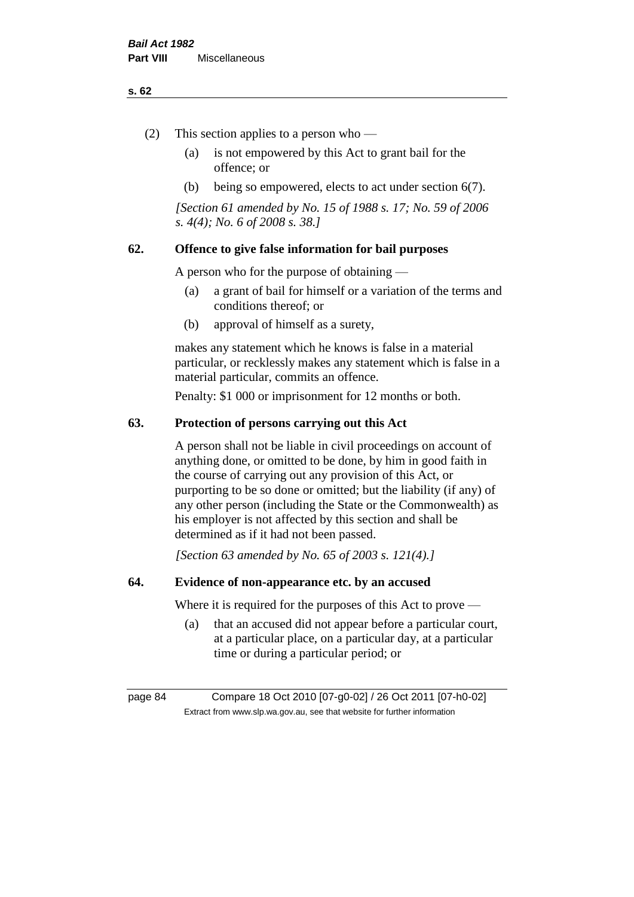#### **s. 62**

- (2) This section applies to a person who
	- (a) is not empowered by this Act to grant bail for the offence; or
	- (b) being so empowered, elects to act under section 6(7).

*[Section 61 amended by No. 15 of 1988 s. 17; No. 59 of 2006 s. 4(4); No. 6 of 2008 s. 38.]* 

# **62. Offence to give false information for bail purposes**

A person who for the purpose of obtaining —

- (a) a grant of bail for himself or a variation of the terms and conditions thereof; or
- (b) approval of himself as a surety,

makes any statement which he knows is false in a material particular, or recklessly makes any statement which is false in a material particular, commits an offence.

Penalty: \$1 000 or imprisonment for 12 months or both.

### **63. Protection of persons carrying out this Act**

A person shall not be liable in civil proceedings on account of anything done, or omitted to be done, by him in good faith in the course of carrying out any provision of this Act, or purporting to be so done or omitted; but the liability (if any) of any other person (including the State or the Commonwealth) as his employer is not affected by this section and shall be determined as if it had not been passed.

*[Section 63 amended by No. 65 of 2003 s. 121(4).]*

# **64. Evidence of non-appearance etc. by an accused**

Where it is required for the purposes of this Act to prove —

(a) that an accused did not appear before a particular court, at a particular place, on a particular day, at a particular time or during a particular period; or

page 84 Compare 18 Oct 2010 [07-g0-02] / 26 Oct 2011 [07-h0-02] Extract from www.slp.wa.gov.au, see that website for further information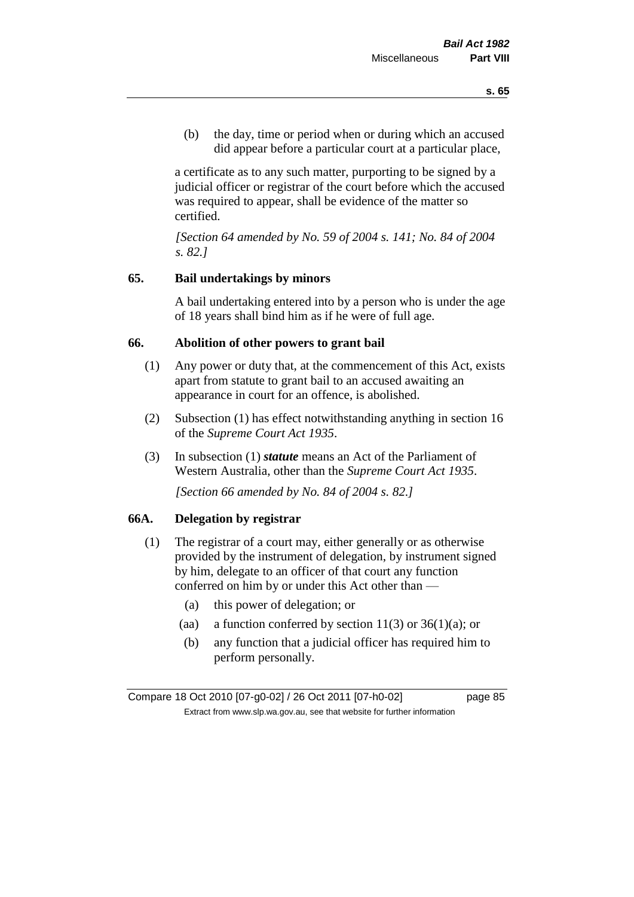(b) the day, time or period when or during which an accused did appear before a particular court at a particular place,

a certificate as to any such matter, purporting to be signed by a judicial officer or registrar of the court before which the accused was required to appear, shall be evidence of the matter so certified.

*[Section 64 amended by No. 59 of 2004 s. 141; No. 84 of 2004 s. 82.]* 

# **65. Bail undertakings by minors**

A bail undertaking entered into by a person who is under the age of 18 years shall bind him as if he were of full age.

# **66. Abolition of other powers to grant bail**

- (1) Any power or duty that, at the commencement of this Act, exists apart from statute to grant bail to an accused awaiting an appearance in court for an offence, is abolished.
- (2) Subsection (1) has effect notwithstanding anything in section 16 of the *Supreme Court Act 1935*.
- (3) In subsection (1) *statute* means an Act of the Parliament of Western Australia, other than the *Supreme Court Act 1935*.

*[Section 66 amended by No. 84 of 2004 s. 82.]*

# **66A. Delegation by registrar**

- (1) The registrar of a court may, either generally or as otherwise provided by the instrument of delegation, by instrument signed by him, delegate to an officer of that court any function conferred on him by or under this Act other than —
	- (a) this power of delegation; or
	- (aa) a function conferred by section  $11(3)$  or  $36(1)(a)$ ; or
	- (b) any function that a judicial officer has required him to perform personally.

Compare 18 Oct 2010 [07-g0-02] / 26 Oct 2011 [07-h0-02] page 85 Extract from www.slp.wa.gov.au, see that website for further information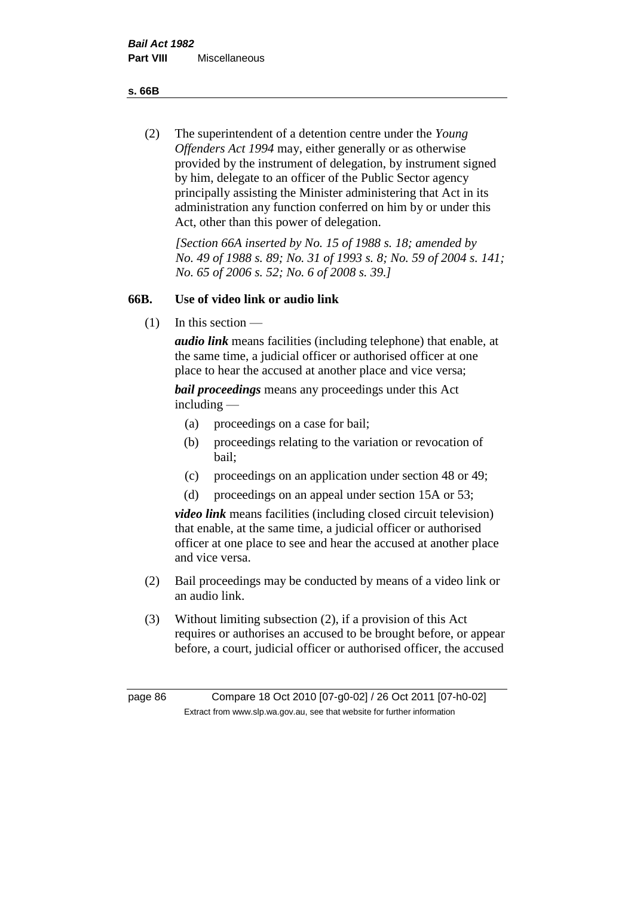**s. 66B**

(2) The superintendent of a detention centre under the *Young Offenders Act 1994* may, either generally or as otherwise provided by the instrument of delegation, by instrument signed by him, delegate to an officer of the Public Sector agency principally assisting the Minister administering that Act in its administration any function conferred on him by or under this Act, other than this power of delegation.

*[Section 66A inserted by No. 15 of 1988 s. 18; amended by No. 49 of 1988 s. 89; No. 31 of 1993 s. 8; No. 59 of 2004 s. 141; No. 65 of 2006 s. 52; No. 6 of 2008 s. 39.]* 

# **66B. Use of video link or audio link**

(1) In this section —

*audio link* means facilities (including telephone) that enable, at the same time, a judicial officer or authorised officer at one place to hear the accused at another place and vice versa;

*bail proceedings* means any proceedings under this Act including —

- (a) proceedings on a case for bail;
- (b) proceedings relating to the variation or revocation of bail;
- (c) proceedings on an application under section 48 or 49;
- (d) proceedings on an appeal under section 15A or 53;

*video link* means facilities (including closed circuit television) that enable, at the same time, a judicial officer or authorised officer at one place to see and hear the accused at another place and vice versa.

- (2) Bail proceedings may be conducted by means of a video link or an audio link.
- (3) Without limiting subsection (2), if a provision of this Act requires or authorises an accused to be brought before, or appear before, a court, judicial officer or authorised officer, the accused

page 86 Compare 18 Oct 2010 [07-g0-02] / 26 Oct 2011 [07-h0-02] Extract from www.slp.wa.gov.au, see that website for further information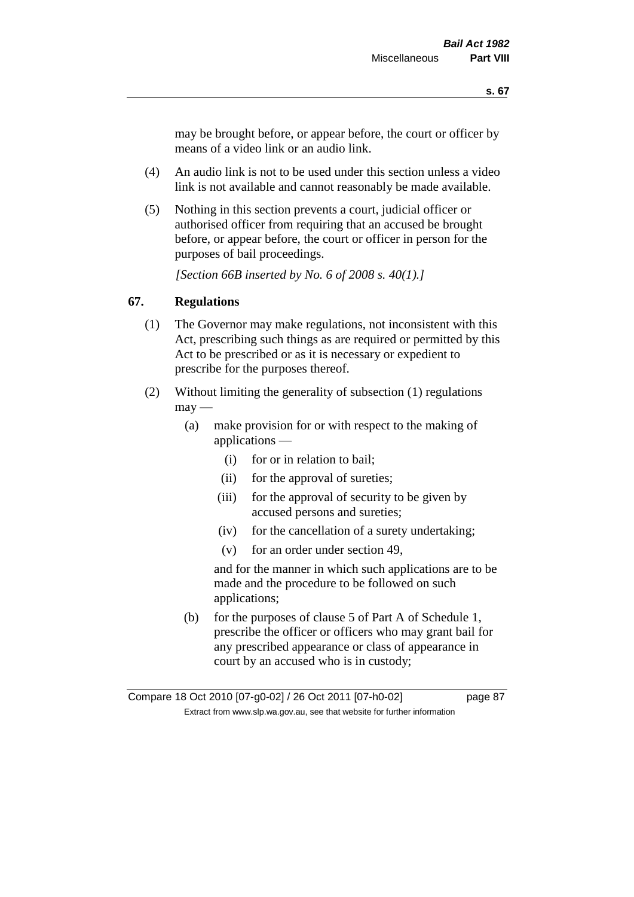may be brought before, or appear before, the court or officer by means of a video link or an audio link.

- (4) An audio link is not to be used under this section unless a video link is not available and cannot reasonably be made available.
- (5) Nothing in this section prevents a court, judicial officer or authorised officer from requiring that an accused be brought before, or appear before, the court or officer in person for the purposes of bail proceedings.

*[Section 66B inserted by No. 6 of 2008 s. 40(1).]*

# **67. Regulations**

- (1) The Governor may make regulations, not inconsistent with this Act, prescribing such things as are required or permitted by this Act to be prescribed or as it is necessary or expedient to prescribe for the purposes thereof.
- (2) Without limiting the generality of subsection (1) regulations  $\text{max}$  —
	- (a) make provision for or with respect to the making of applications —
		- (i) for or in relation to bail;
		- (ii) for the approval of sureties;
		- (iii) for the approval of security to be given by accused persons and sureties;
		- (iv) for the cancellation of a surety undertaking;
		- (v) for an order under section 49,

and for the manner in which such applications are to be made and the procedure to be followed on such applications;

(b) for the purposes of clause 5 of Part A of Schedule 1, prescribe the officer or officers who may grant bail for any prescribed appearance or class of appearance in court by an accused who is in custody;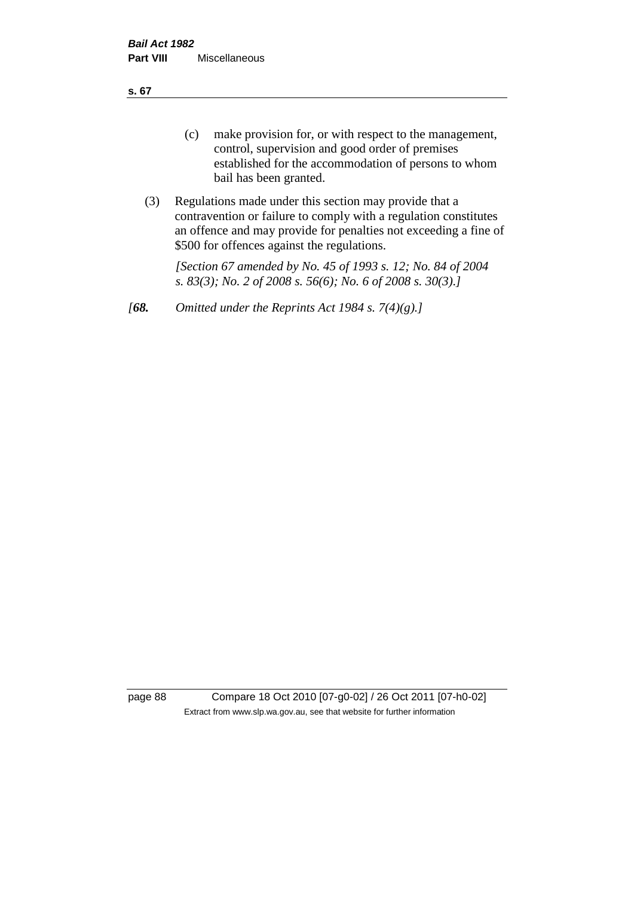**s. 67**

- (c) make provision for, or with respect to the management, control, supervision and good order of premises established for the accommodation of persons to whom bail has been granted.
- (3) Regulations made under this section may provide that a contravention or failure to comply with a regulation constitutes an offence and may provide for penalties not exceeding a fine of \$500 for offences against the regulations.

*[Section 67 amended by No. 45 of 1993 s. 12; No. 84 of 2004 s. 83(3); No. 2 of 2008 s. 56(6); No. 6 of 2008 s. 30(3).]* 

*[68. Omitted under the Reprints Act 1984 s. 7(4)(g).]*

page 88 Compare 18 Oct 2010 [07-g0-02] / 26 Oct 2011 [07-h0-02] Extract from www.slp.wa.gov.au, see that website for further information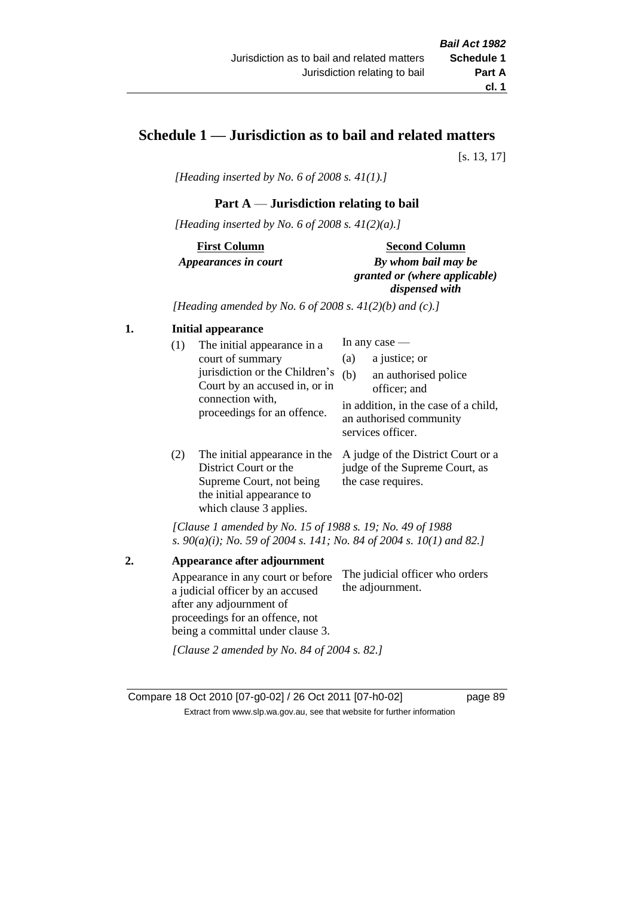# **Schedule 1 — Jurisdiction as to bail and related matters**

[s. 13, 17]

*[Heading inserted by No. 6 of 2008 s. 41(1).]*

### **Part A** — **Jurisdiction relating to bail**

*[Heading inserted by No. 6 of 2008 s. 41(2)(a).]*

**First Column** *Appearances in court* 

#### **Second Column**

*By whom bail may be granted or (where applicable) dispensed with*

*[Heading amended by No. 6 of 2008 s. 41(2)(b) and (c).]*

# **1. Initial appearance**

| (1) | The initial appearance in a<br>court of summary<br>jurisdiction or the Children's<br>Court by an accused in, or in<br>connection with,<br>proceedings for an offence. | (a)<br>(b) | In any case $-$<br>a justice; or<br>an authorised police<br>officer; and<br>in addition, in the case of a child,<br>an authorised community<br>services officer. |
|-----|-----------------------------------------------------------------------------------------------------------------------------------------------------------------------|------------|------------------------------------------------------------------------------------------------------------------------------------------------------------------|
|     | The initial ennearance in the $\Lambda$ indee of the District Court or a                                                                                              |            |                                                                                                                                                                  |

(2) The initial appearance in the A judge of the District Court or a District Court or the Supreme Court, not being the initial appearance to which clause 3 applies. judge of the Supreme Court, as the case requires.

*[Clause 1 amended by No. 15 of 1988 s. 19; No. 49 of 1988 s. 90(a)(i); No. 59 of 2004 s. 141; No. 84 of 2004 s. 10(1) and 82.]*

**2. Appearance after adjournment** Appearance in any court or before a judicial officer by an accused after any adjournment of proceedings for an offence, not being a committal under clause 3. The judicial officer who orders the adjournment. *[Clause 2 amended by No. 84 of 2004 s. 82.]*

Compare 18 Oct 2010 [07-g0-02] / 26 Oct 2011 [07-h0-02] page 89 Extract from www.slp.wa.gov.au, see that website for further information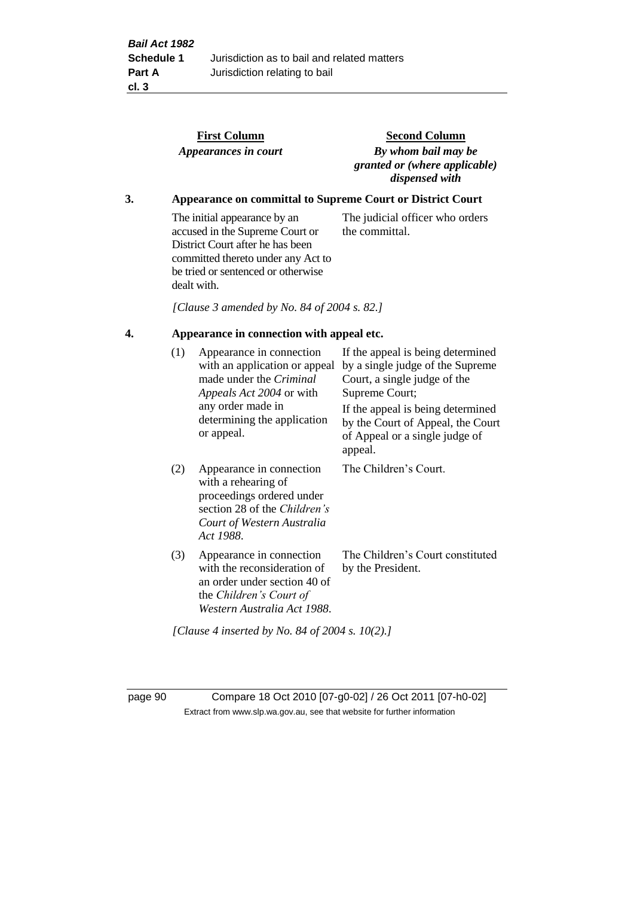|    |                                                                   | <b>First Column</b><br>Appearances in court                                                                                                                                                    | <b>Second Column</b><br>By whom bail may be<br>granted or (where applicable)<br>dispensed with                                                               |  |  |  |
|----|-------------------------------------------------------------------|------------------------------------------------------------------------------------------------------------------------------------------------------------------------------------------------|--------------------------------------------------------------------------------------------------------------------------------------------------------------|--|--|--|
| 3. | <b>Appearance on committal to Supreme Court or District Court</b> |                                                                                                                                                                                                |                                                                                                                                                              |  |  |  |
|    |                                                                   | The initial appearance by an<br>accused in the Supreme Court or<br>District Court after he has been<br>committed thereto under any Act to<br>be tried or sentenced or otherwise<br>dealt with. | The judicial officer who orders<br>the committal.                                                                                                            |  |  |  |
|    |                                                                   | [Clause 3 amended by No. 84 of 2004 s. 82.]                                                                                                                                                    |                                                                                                                                                              |  |  |  |
| 4. | Appearance in connection with appeal etc.                         |                                                                                                                                                                                                |                                                                                                                                                              |  |  |  |
|    | (1)                                                               | Appearance in connection<br>with an application or appeal<br>made under the Criminal<br>Appeals Act 2004 or with<br>any order made in                                                          | If the appeal is being determined<br>by a single judge of the Supreme<br>Court, a single judge of the<br>Supreme Court;<br>If the appeal is being determined |  |  |  |
|    |                                                                   | determining the application<br>or appeal.                                                                                                                                                      | by the Court of Appeal, the Court<br>of Appeal or a single judge of<br>appeal.                                                                               |  |  |  |
|    | (2)                                                               | Appearance in connection<br>with a rehearing of<br>proceedings ordered under<br>section 28 of the Children's<br>Court of Western Australia<br>Act 1988.                                        | The Children's Court.                                                                                                                                        |  |  |  |
|    | (3)                                                               | Appearance in connection<br>with the reconsideration of<br>an order under section 40 of<br>the Children's Court of<br>Western Australia Act 1988.                                              | The Children's Court constituted<br>by the President.                                                                                                        |  |  |  |

*[Clause 4 inserted by No. 84 of 2004 s. 10(2).]*

page 90 Compare 18 Oct 2010 [07-g0-02] / 26 Oct 2011 [07-h0-02] Extract from www.slp.wa.gov.au, see that website for further information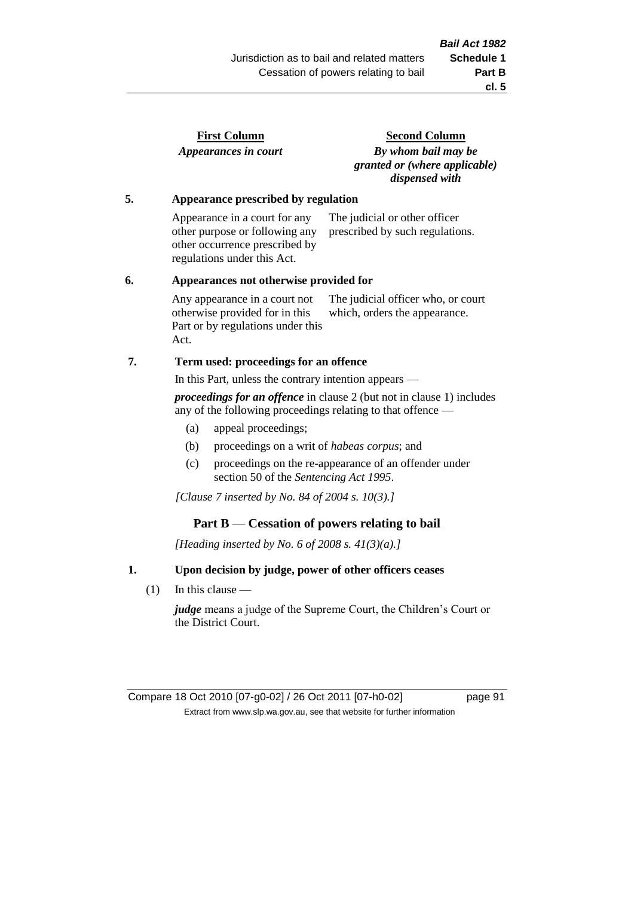| <b>First Column</b>  |  |
|----------------------|--|
| Appearances in court |  |

**Second Column** *By whom bail may be granted or (where applicable) dispensed with*

### **5. Appearance prescribed by regulation**

Appearance in a court for any other purpose or following any other occurrence prescribed by regulations under this Act. The judicial or other officer prescribed by such regulations.

#### **6. Appearances not otherwise provided for**

Any appearance in a court not otherwise provided for in this Part or by regulations under this Act. The judicial officer who, or court which, orders the appearance.

### **7. Term used: proceedings for an offence**

In this Part, unless the contrary intention appears —

*proceedings for an offence* in clause 2 (but not in clause 1) includes any of the following proceedings relating to that offence —

- (a) appeal proceedings;
- (b) proceedings on a writ of *habeas corpus*; and
- (c) proceedings on the re-appearance of an offender under section 50 of the *Sentencing Act 1995*.

*[Clause 7 inserted by No. 84 of 2004 s. 10(3).]*

### **Part B** — **Cessation of powers relating to bail**

*[Heading inserted by No. 6 of 2008 s. 41(3)(a).]*

### **1. Upon decision by judge, power of other officers ceases**

(1) In this clause —

*judge* means a judge of the Supreme Court, the Children's Court or the District Court.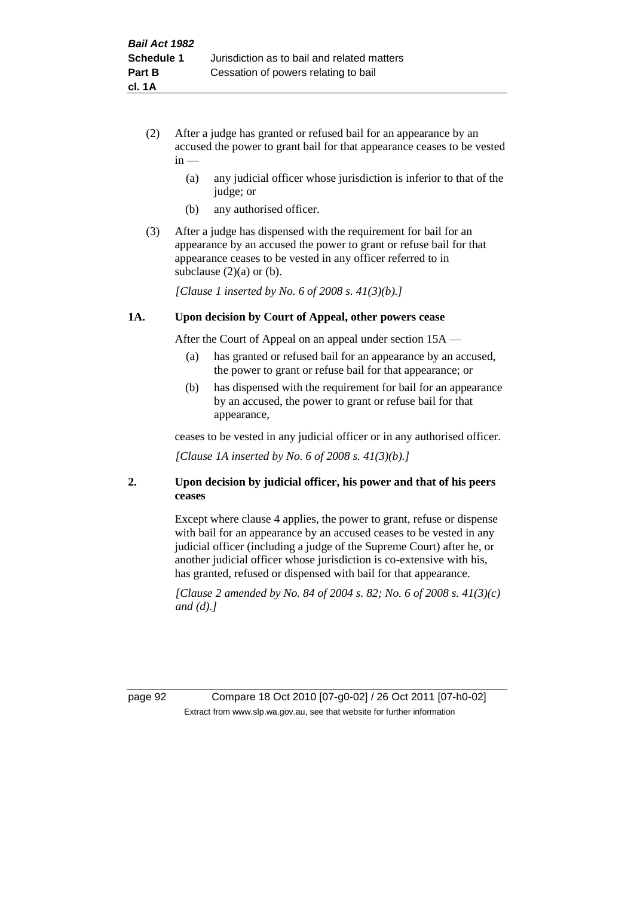- (2) After a judge has granted or refused bail for an appearance by an accused the power to grant bail for that appearance ceases to be vested  $in -$ 
	- (a) any judicial officer whose jurisdiction is inferior to that of the judge; or
	- (b) any authorised officer.
- (3) After a judge has dispensed with the requirement for bail for an appearance by an accused the power to grant or refuse bail for that appearance ceases to be vested in any officer referred to in subclause  $(2)(a)$  or  $(b)$ .

*[Clause 1 inserted by No. 6 of 2008 s. 41(3)(b).]*

#### **1A. Upon decision by Court of Appeal, other powers cease**

After the Court of Appeal on an appeal under section 15A —

- (a) has granted or refused bail for an appearance by an accused, the power to grant or refuse bail for that appearance; or
- (b) has dispensed with the requirement for bail for an appearance by an accused, the power to grant or refuse bail for that appearance,

ceases to be vested in any judicial officer or in any authorised officer.

*[Clause 1A inserted by No. 6 of 2008 s. 41(3)(b).]*

### **2. Upon decision by judicial officer, his power and that of his peers ceases**

Except where clause 4 applies, the power to grant, refuse or dispense with bail for an appearance by an accused ceases to be vested in any judicial officer (including a judge of the Supreme Court) after he, or another judicial officer whose jurisdiction is co-extensive with his, has granted, refused or dispensed with bail for that appearance.

*[Clause 2 amended by No. 84 of 2004 s. 82; No. 6 of 2008 s. 41(3)(c) and (d).]*

page 92 Compare 18 Oct 2010 [07-g0-02] / 26 Oct 2011 [07-h0-02] Extract from www.slp.wa.gov.au, see that website for further information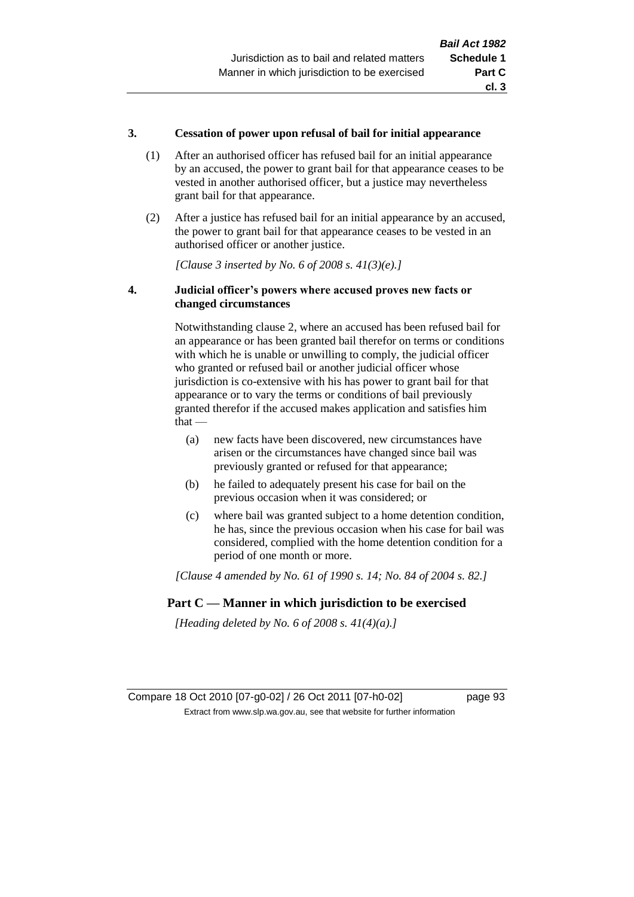### **3. Cessation of power upon refusal of bail for initial appearance**

- (1) After an authorised officer has refused bail for an initial appearance by an accused, the power to grant bail for that appearance ceases to be vested in another authorised officer, but a justice may nevertheless grant bail for that appearance.
- (2) After a justice has refused bail for an initial appearance by an accused, the power to grant bail for that appearance ceases to be vested in an authorised officer or another justice.

*[Clause 3 inserted by No. 6 of 2008 s. 41(3)(e).]*

### **4. Judicial officer's powers where accused proves new facts or changed circumstances**

Notwithstanding clause 2, where an accused has been refused bail for an appearance or has been granted bail therefor on terms or conditions with which he is unable or unwilling to comply, the judicial officer who granted or refused bail or another judicial officer whose jurisdiction is co-extensive with his has power to grant bail for that appearance or to vary the terms or conditions of bail previously granted therefor if the accused makes application and satisfies him  $that -$ 

- (a) new facts have been discovered, new circumstances have arisen or the circumstances have changed since bail was previously granted or refused for that appearance;
- (b) he failed to adequately present his case for bail on the previous occasion when it was considered; or
- (c) where bail was granted subject to a home detention condition, he has, since the previous occasion when his case for bail was considered, complied with the home detention condition for a period of one month or more.

*[Clause 4 amended by No. 61 of 1990 s. 14; No. 84 of 2004 s. 82.]*

# **Part C — Manner in which jurisdiction to be exercised**

*[Heading deleted by No. 6 of 2008 s. 41(4)(a).]*

Compare 18 Oct 2010 [07-g0-02] / 26 Oct 2011 [07-h0-02] page 93 Extract from www.slp.wa.gov.au, see that website for further information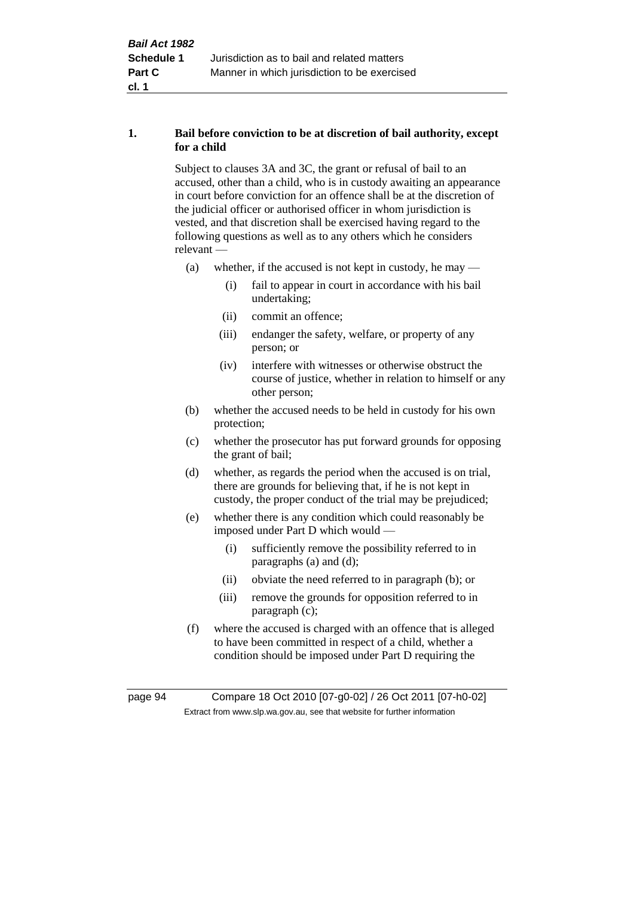# **1. Bail before conviction to be at discretion of bail authority, except for a child**

Subject to clauses 3A and 3C, the grant or refusal of bail to an accused, other than a child, who is in custody awaiting an appearance in court before conviction for an offence shall be at the discretion of the judicial officer or authorised officer in whom jurisdiction is vested, and that discretion shall be exercised having regard to the following questions as well as to any others which he considers relevant —

- (a) whether, if the accused is not kept in custody, he may
	- (i) fail to appear in court in accordance with his bail undertaking;
	- (ii) commit an offence;
	- (iii) endanger the safety, welfare, or property of any person; or
	- (iv) interfere with witnesses or otherwise obstruct the course of justice, whether in relation to himself or any other person;
- (b) whether the accused needs to be held in custody for his own protection;
- (c) whether the prosecutor has put forward grounds for opposing the grant of bail;
- (d) whether, as regards the period when the accused is on trial, there are grounds for believing that, if he is not kept in custody, the proper conduct of the trial may be prejudiced;
- (e) whether there is any condition which could reasonably be imposed under Part D which would —
	- (i) sufficiently remove the possibility referred to in paragraphs (a) and (d);
	- (ii) obviate the need referred to in paragraph (b); or
	- (iii) remove the grounds for opposition referred to in paragraph (c);
- (f) where the accused is charged with an offence that is alleged to have been committed in respect of a child, whether a condition should be imposed under Part D requiring the

page 94 Compare 18 Oct 2010 [07-g0-02] / 26 Oct 2011 [07-h0-02] Extract from www.slp.wa.gov.au, see that website for further information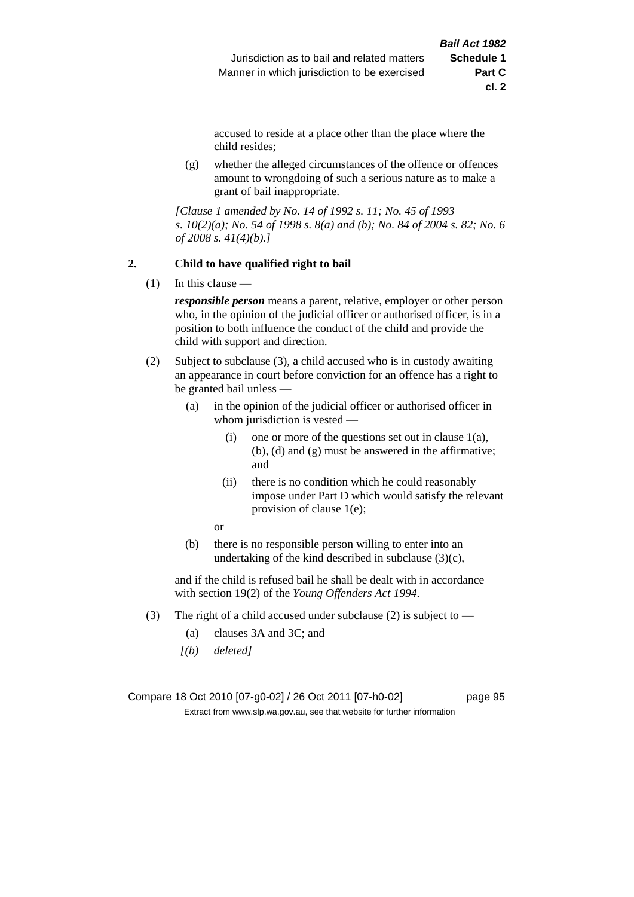accused to reside at a place other than the place where the child resides;

(g) whether the alleged circumstances of the offence or offences amount to wrongdoing of such a serious nature as to make a grant of bail inappropriate.

*[Clause 1 amended by No. 14 of 1992 s. 11; No. 45 of 1993 s. 10(2)(a); No. 54 of 1998 s. 8(a) and (b); No. 84 of 2004 s. 82; No. 6 of 2008 s. 41(4)(b).]*

#### **2. Child to have qualified right to bail**

 $(1)$  In this clause —

*responsible person* means a parent, relative, employer or other person who, in the opinion of the judicial officer or authorised officer, is in a position to both influence the conduct of the child and provide the child with support and direction.

- (2) Subject to subclause (3), a child accused who is in custody awaiting an appearance in court before conviction for an offence has a right to be granted bail unless —
	- (a) in the opinion of the judicial officer or authorised officer in whom jurisdiction is vested —
		- (i) one or more of the questions set out in clause  $1(a)$ , (b), (d) and (g) must be answered in the affirmative; and
		- (ii) there is no condition which he could reasonably impose under Part D which would satisfy the relevant provision of clause 1(e);
		- or
	- (b) there is no responsible person willing to enter into an undertaking of the kind described in subclause  $(3)(c)$ ,

and if the child is refused bail he shall be dealt with in accordance with section 19(2) of the *Young Offenders Act 1994*.

- (3) The right of a child accused under subclause (2) is subject to
	- (a) clauses 3A and 3C; and
	- *[(b) deleted]*

Compare 18 Oct 2010 [07-g0-02] / 26 Oct 2011 [07-h0-02] page 95 Extract from www.slp.wa.gov.au, see that website for further information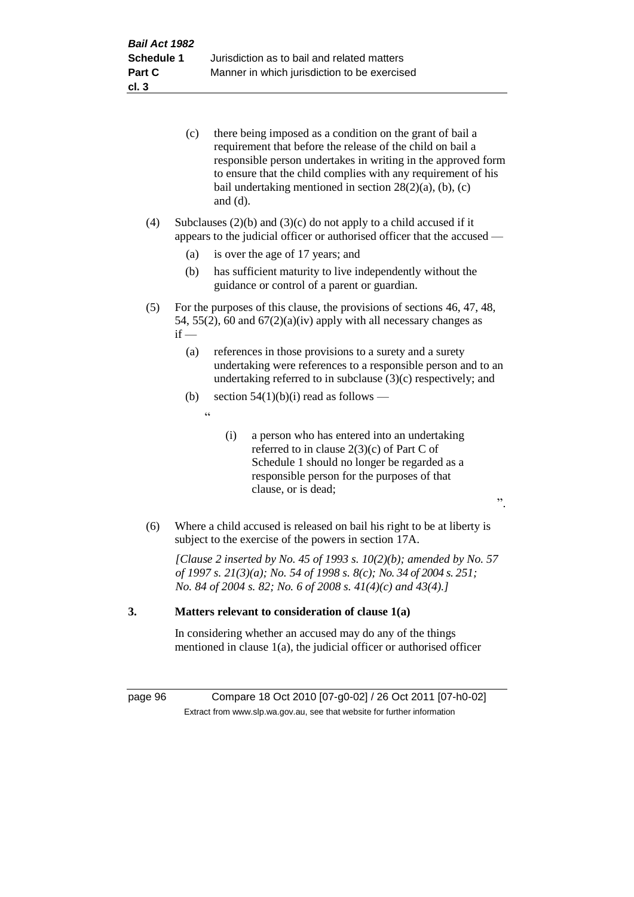|     | (c)    | there being imposed as a condition on the grant of bail a<br>requirement that before the release of the child on bail a<br>responsible person undertakes in writing in the approved form<br>to ensure that the child complies with any requirement of his<br>bail undertaking mentioned in section $28(2)(a)$ , (b), (c)<br>and $(d)$ . |
|-----|--------|-----------------------------------------------------------------------------------------------------------------------------------------------------------------------------------------------------------------------------------------------------------------------------------------------------------------------------------------|
| (4) |        | Subclauses $(2)(b)$ and $(3)(c)$ do not apply to a child accused if it<br>appears to the judicial officer or authorised officer that the accused -                                                                                                                                                                                      |
|     | (a)    | is over the age of 17 years; and                                                                                                                                                                                                                                                                                                        |
|     | (b)    | has sufficient maturity to live independently without the<br>guidance or control of a parent or guardian.                                                                                                                                                                                                                               |
| (5) | $if -$ | For the purposes of this clause, the provisions of sections 46, 47, 48,<br>54, 55(2), 60 and $67(2)(a)(iv)$ apply with all necessary changes as                                                                                                                                                                                         |
|     | (a)    | references in those provisions to a surety and a surety<br>undertaking were references to a responsible person and to an<br>undertaking referred to in subclause $(3)(c)$ respectively; and                                                                                                                                             |
|     | (b)    | section $54(1)(b)(i)$ read as follows —                                                                                                                                                                                                                                                                                                 |
|     |        | $\zeta$ $\zeta$                                                                                                                                                                                                                                                                                                                         |
|     |        | (i)<br>a person who has entered into an undertaking<br>referred to in clause $2(3)(c)$ of Part C of<br>Schedule 1 should no longer be regarded as a<br>responsible person for the purposes of that<br>clause, or is dead;<br>$\ddot{\phantom{0}}$                                                                                       |
| (6) |        | Where a child accused is released on bail his right to be at liberty is<br>subject to the exercise of the powers in section 17A.                                                                                                                                                                                                        |
|     |        | [Clause 2 inserted by No. 45 of 1993 s. $10(2)(b)$ ; amended by No. 57<br>of 1997 s. 21(3)(a); No. 54 of 1998 s. 8(c); No. 34 of 2004 s. 251;<br>No. 84 of 2004 s. 82; No. 6 of 2008 s. $41(4)(c)$ and $43(4)$ .]                                                                                                                       |
| 3.  |        | Matters relevant to consideration of clause 1(a)                                                                                                                                                                                                                                                                                        |

In considering whether an accused may do any of the things mentioned in clause 1(a), the judicial officer or authorised officer

page 96 Compare 18 Oct 2010 [07-g0-02] / 26 Oct 2011 [07-h0-02] Extract from www.slp.wa.gov.au, see that website for further information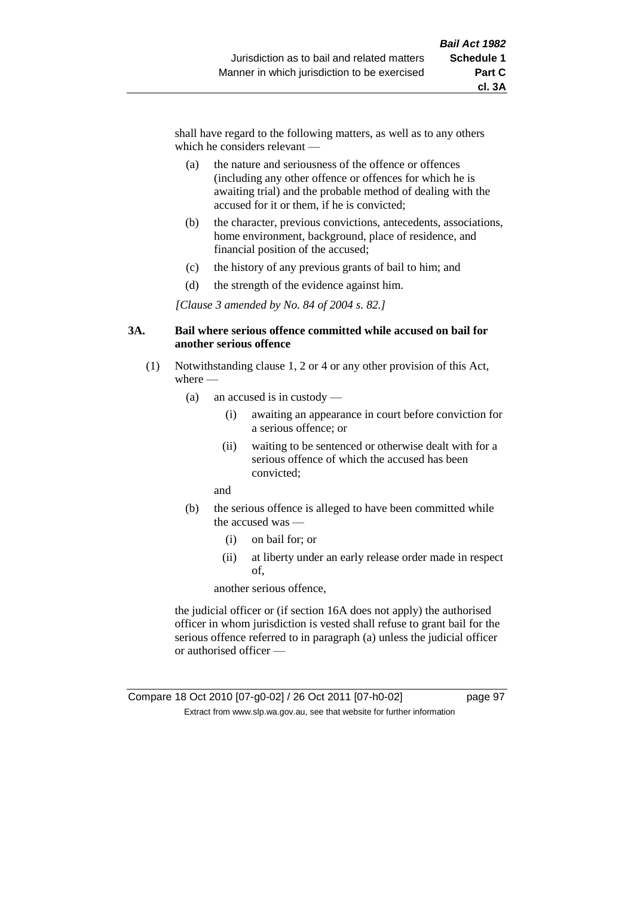shall have regard to the following matters, as well as to any others which he considers relevant —

- (a) the nature and seriousness of the offence or offences (including any other offence or offences for which he is awaiting trial) and the probable method of dealing with the accused for it or them, if he is convicted;
- (b) the character, previous convictions, antecedents, associations, home environment, background, place of residence, and financial position of the accused;
- (c) the history of any previous grants of bail to him; and
- (d) the strength of the evidence against him.

*[Clause 3 amended by No. 84 of 2004 s. 82.]*

#### **3A. Bail where serious offence committed while accused on bail for another serious offence**

- (1) Notwithstanding clause 1, 2 or 4 or any other provision of this Act, where —
	- (a) an accused is in custody
		- (i) awaiting an appearance in court before conviction for a serious offence; or
		- (ii) waiting to be sentenced or otherwise dealt with for a serious offence of which the accused has been convicted;

and

- (b) the serious offence is alleged to have been committed while the accused was —
	- (i) on bail for; or
	- (ii) at liberty under an early release order made in respect of,

another serious offence,

the judicial officer or (if section 16A does not apply) the authorised officer in whom jurisdiction is vested shall refuse to grant bail for the serious offence referred to in paragraph (a) unless the judicial officer or authorised officer —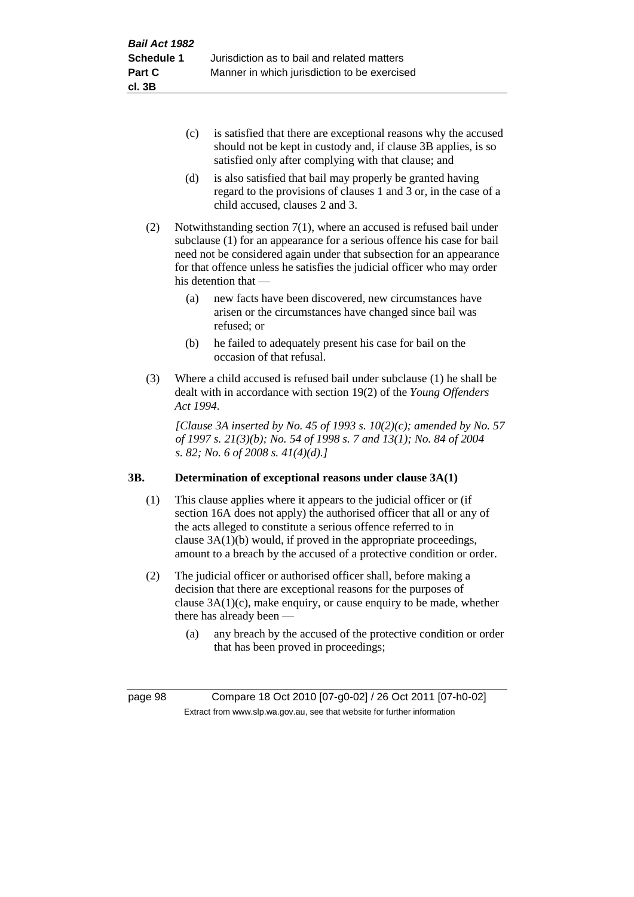- (c) is satisfied that there are exceptional reasons why the accused should not be kept in custody and, if clause 3B applies, is so satisfied only after complying with that clause; and
- (d) is also satisfied that bail may properly be granted having regard to the provisions of clauses 1 and 3 or, in the case of a child accused, clauses 2 and 3.
- (2) Notwithstanding section 7(1), where an accused is refused bail under subclause (1) for an appearance for a serious offence his case for bail need not be considered again under that subsection for an appearance for that offence unless he satisfies the judicial officer who may order his detention that —
	- (a) new facts have been discovered, new circumstances have arisen or the circumstances have changed since bail was refused; or
	- (b) he failed to adequately present his case for bail on the occasion of that refusal.
- (3) Where a child accused is refused bail under subclause (1) he shall be dealt with in accordance with section 19(2) of the *Young Offenders Act 1994*.

*[Clause 3A inserted by No. 45 of 1993 s. 10(2)(c); amended by No. 57 of 1997 s. 21(3)(b); No. 54 of 1998 s. 7 and 13(1); No. 84 of 2004 s. 82; No. 6 of 2008 s. 41(4)(d).]*

# **3B. Determination of exceptional reasons under clause 3A(1)**

- (1) This clause applies where it appears to the judicial officer or (if section 16A does not apply) the authorised officer that all or any of the acts alleged to constitute a serious offence referred to in clause 3A(1)(b) would, if proved in the appropriate proceedings, amount to a breach by the accused of a protective condition or order.
- (2) The judicial officer or authorised officer shall, before making a decision that there are exceptional reasons for the purposes of clause  $3A(1)(c)$ , make enquiry, or cause enquiry to be made, whether there has already been —
	- (a) any breach by the accused of the protective condition or order that has been proved in proceedings;

page 98 Compare 18 Oct 2010 [07-g0-02] / 26 Oct 2011 [07-h0-02] Extract from www.slp.wa.gov.au, see that website for further information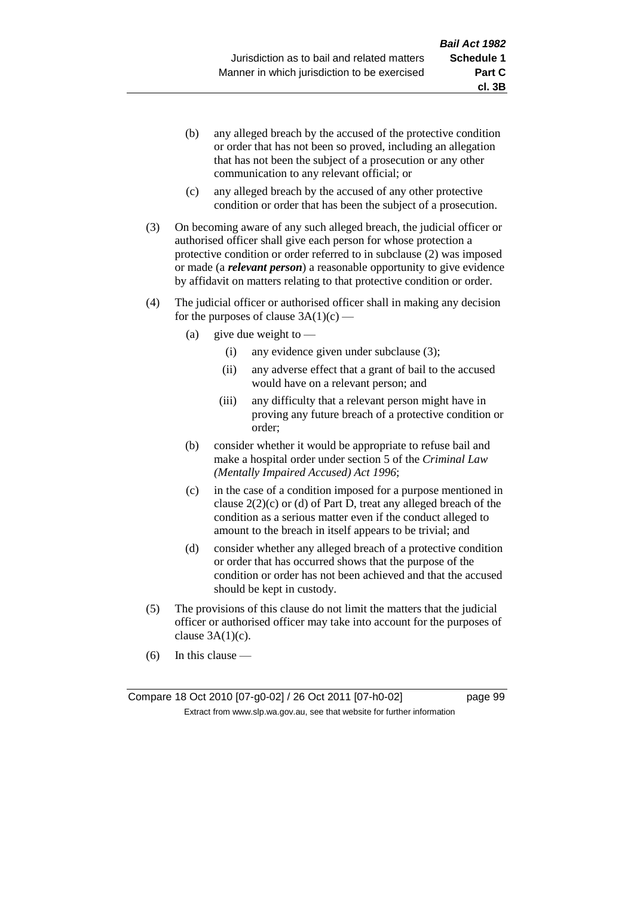- (b) any alleged breach by the accused of the protective condition or order that has not been so proved, including an allegation that has not been the subject of a prosecution or any other communication to any relevant official; or
- (c) any alleged breach by the accused of any other protective condition or order that has been the subject of a prosecution.
- (3) On becoming aware of any such alleged breach, the judicial officer or authorised officer shall give each person for whose protection a protective condition or order referred to in subclause (2) was imposed or made (a *relevant person*) a reasonable opportunity to give evidence by affidavit on matters relating to that protective condition or order.
- (4) The judicial officer or authorised officer shall in making any decision for the purposes of clause  $3A(1)(c)$  —
	- (a) give due weight to  $-$ 
		- (i) any evidence given under subclause (3);
		- (ii) any adverse effect that a grant of bail to the accused would have on a relevant person; and
		- (iii) any difficulty that a relevant person might have in proving any future breach of a protective condition or order;
	- (b) consider whether it would be appropriate to refuse bail and make a hospital order under section 5 of the *Criminal Law (Mentally Impaired Accused) Act 1996*;
	- (c) in the case of a condition imposed for a purpose mentioned in clause  $2(2)(c)$  or (d) of Part D, treat any alleged breach of the condition as a serious matter even if the conduct alleged to amount to the breach in itself appears to be trivial; and
	- (d) consider whether any alleged breach of a protective condition or order that has occurred shows that the purpose of the condition or order has not been achieved and that the accused should be kept in custody.
- (5) The provisions of this clause do not limit the matters that the judicial officer or authorised officer may take into account for the purposes of clause  $3A(1)(c)$ .
- (6) In this clause —

**cl. 3B**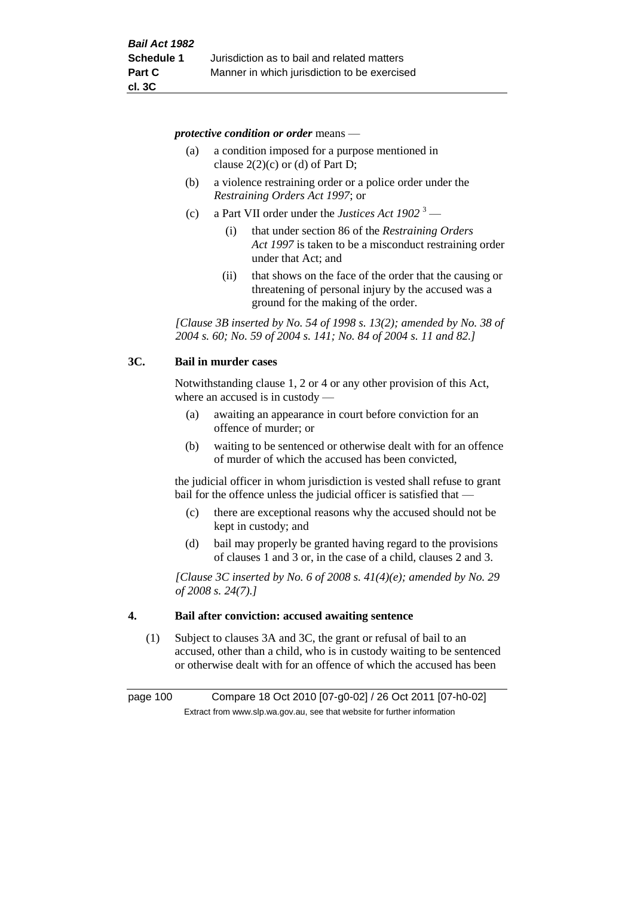*protective condition or order* means —

- (a) a condition imposed for a purpose mentioned in clause  $2(2)(c)$  or (d) of Part D;
- (b) a violence restraining order or a police order under the *Restraining Orders Act 1997*; or
- (c) a Part VII order under the *Justices Act 1902* <sup>3</sup>
	- (i) that under section 86 of the *Restraining Orders Act 1997* is taken to be a misconduct restraining order under that Act; and
	- (ii) that shows on the face of the order that the causing or threatening of personal injury by the accused was a ground for the making of the order.

*[Clause 3B inserted by No. 54 of 1998 s. 13(2); amended by No. 38 of 2004 s. 60; No. 59 of 2004 s. 141; No. 84 of 2004 s. 11 and 82.]*

### **3C. Bail in murder cases**

Notwithstanding clause 1, 2 or 4 or any other provision of this Act, where an accused is in custody —

- (a) awaiting an appearance in court before conviction for an offence of murder; or
- (b) waiting to be sentenced or otherwise dealt with for an offence of murder of which the accused has been convicted,

the judicial officer in whom jurisdiction is vested shall refuse to grant bail for the offence unless the judicial officer is satisfied that —

- (c) there are exceptional reasons why the accused should not be kept in custody; and
- (d) bail may properly be granted having regard to the provisions of clauses 1 and 3 or, in the case of a child, clauses 2 and 3.

*[Clause 3C inserted by No. 6 of 2008 s. 41(4)(e); amended by No. 29 of 2008 s. 24(7).]*

### **4. Bail after conviction: accused awaiting sentence**

(1) Subject to clauses 3A and 3C, the grant or refusal of bail to an accused, other than a child, who is in custody waiting to be sentenced or otherwise dealt with for an offence of which the accused has been

page 100 Compare 18 Oct 2010 [07-g0-02] / 26 Oct 2011 [07-h0-02] Extract from www.slp.wa.gov.au, see that website for further information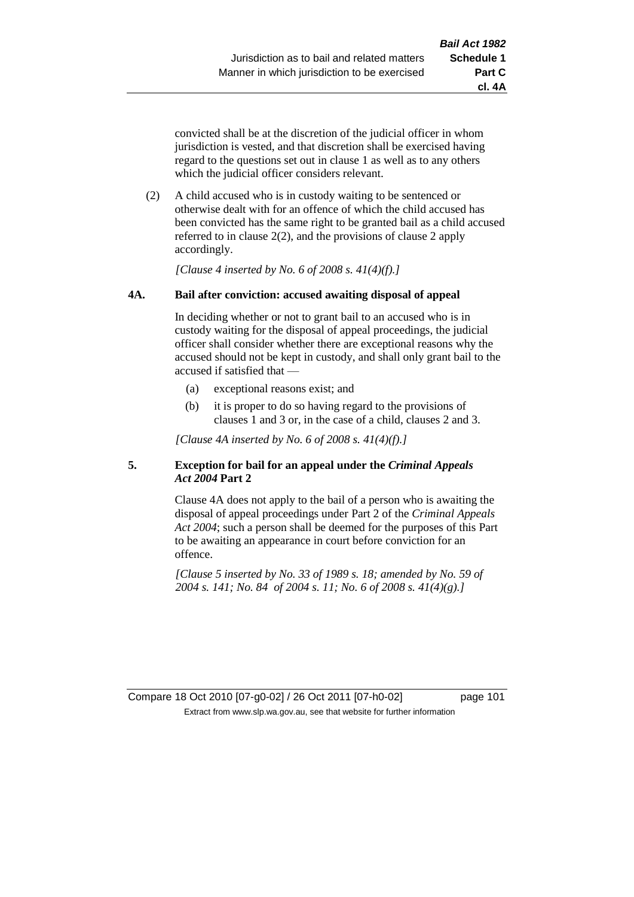**cl. 4A**

convicted shall be at the discretion of the judicial officer in whom jurisdiction is vested, and that discretion shall be exercised having regard to the questions set out in clause 1 as well as to any others which the judicial officer considers relevant.

(2) A child accused who is in custody waiting to be sentenced or otherwise dealt with for an offence of which the child accused has been convicted has the same right to be granted bail as a child accused referred to in clause 2(2), and the provisions of clause 2 apply accordingly.

*[Clause 4 inserted by No. 6 of 2008 s. 41(4)(f).]*

# **4A. Bail after conviction: accused awaiting disposal of appeal**

In deciding whether or not to grant bail to an accused who is in custody waiting for the disposal of appeal proceedings, the judicial officer shall consider whether there are exceptional reasons why the accused should not be kept in custody, and shall only grant bail to the accused if satisfied that —

- (a) exceptional reasons exist; and
- (b) it is proper to do so having regard to the provisions of clauses 1 and 3 or, in the case of a child, clauses 2 and 3.

*[Clause 4A inserted by No. 6 of 2008 s. 41(4)(f).]*

# **5. Exception for bail for an appeal under the** *Criminal Appeals Act 2004* **Part 2**

Clause 4A does not apply to the bail of a person who is awaiting the disposal of appeal proceedings under Part 2 of the *Criminal Appeals Act 2004*; such a person shall be deemed for the purposes of this Part to be awaiting an appearance in court before conviction for an offence.

*[Clause 5 inserted by No. 33 of 1989 s. 18; amended by No. 59 of 2004 s. 141; No. 84 of 2004 s. 11; No. 6 of 2008 s. 41(4)(g).]*

Compare 18 Oct 2010 [07-g0-02] / 26 Oct 2011 [07-h0-02] page 101 Extract from www.slp.wa.gov.au, see that website for further information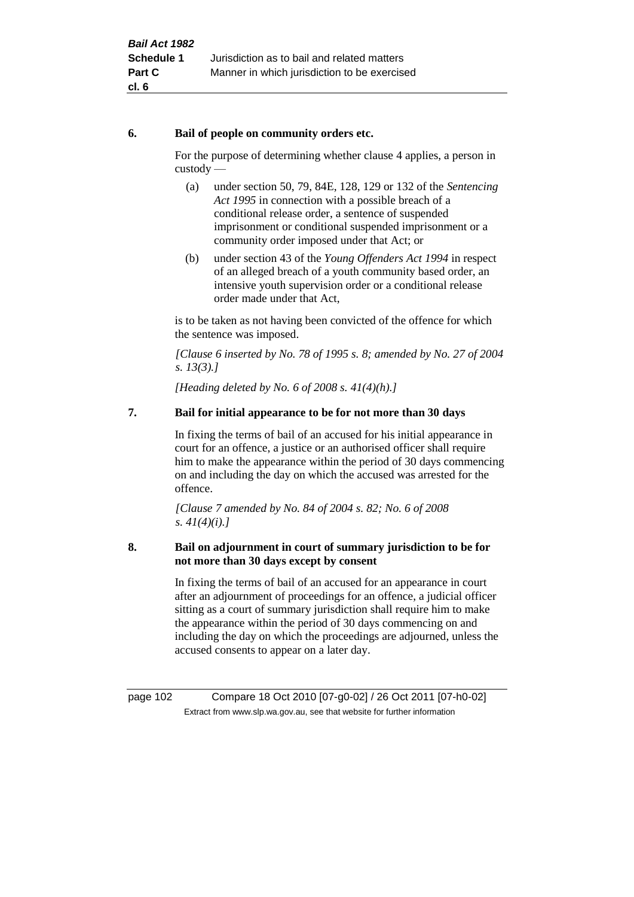### **6. Bail of people on community orders etc.**

For the purpose of determining whether clause 4 applies, a person in custody —

- (a) under section 50, 79, 84E, 128, 129 or 132 of the *Sentencing Act 1995* in connection with a possible breach of a conditional release order, a sentence of suspended imprisonment or conditional suspended imprisonment or a community order imposed under that Act; or
- (b) under section 43 of the *Young Offenders Act 1994* in respect of an alleged breach of a youth community based order, an intensive youth supervision order or a conditional release order made under that Act,

is to be taken as not having been convicted of the offence for which the sentence was imposed.

*[Clause 6 inserted by No. 78 of 1995 s. 8; amended by No. 27 of 2004 s. 13(3).]*

*[Heading deleted by No. 6 of 2008 s. 41(4)(h).]*

# **7. Bail for initial appearance to be for not more than 30 days**

In fixing the terms of bail of an accused for his initial appearance in court for an offence, a justice or an authorised officer shall require him to make the appearance within the period of 30 days commencing on and including the day on which the accused was arrested for the offence.

*[Clause 7 amended by No. 84 of 2004 s. 82; No. 6 of 2008 s. 41(4)(i).]*

# **8. Bail on adjournment in court of summary jurisdiction to be for not more than 30 days except by consent**

In fixing the terms of bail of an accused for an appearance in court after an adjournment of proceedings for an offence, a judicial officer sitting as a court of summary jurisdiction shall require him to make the appearance within the period of 30 days commencing on and including the day on which the proceedings are adjourned, unless the accused consents to appear on a later day.

page 102 Compare 18 Oct 2010 [07-g0-02] / 26 Oct 2011 [07-h0-02] Extract from www.slp.wa.gov.au, see that website for further information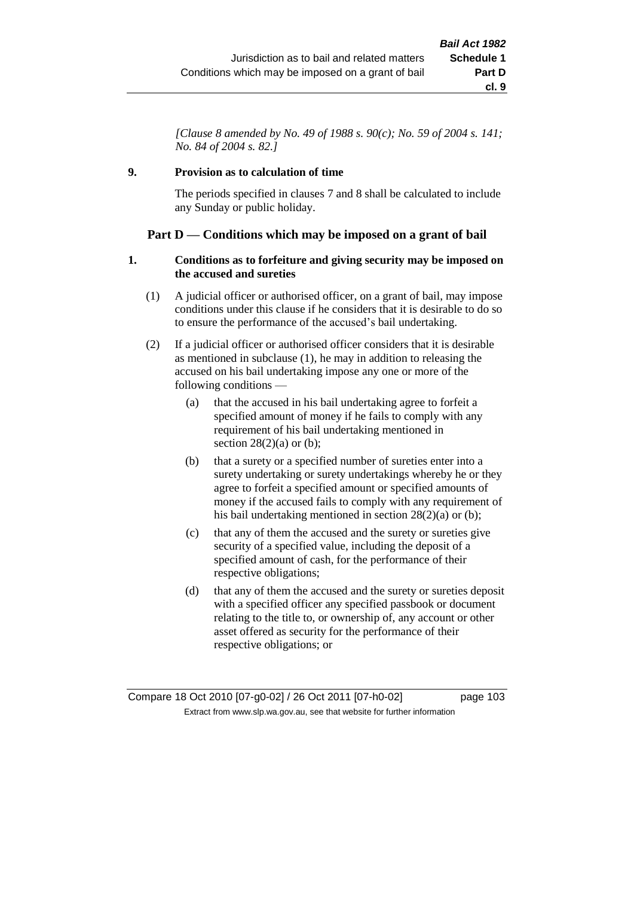*[Clause 8 amended by No. 49 of 1988 s. 90(c); No. 59 of 2004 s. 141; No. 84 of 2004 s. 82.]*

# **9. Provision as to calculation of time**

The periods specified in clauses 7 and 8 shall be calculated to include any Sunday or public holiday.

# **Part D — Conditions which may be imposed on a grant of bail**

# **1. Conditions as to forfeiture and giving security may be imposed on the accused and sureties**

- (1) A judicial officer or authorised officer, on a grant of bail, may impose conditions under this clause if he considers that it is desirable to do so to ensure the performance of the accused's bail undertaking.
- (2) If a judicial officer or authorised officer considers that it is desirable as mentioned in subclause (1), he may in addition to releasing the accused on his bail undertaking impose any one or more of the following conditions —
	- (a) that the accused in his bail undertaking agree to forfeit a specified amount of money if he fails to comply with any requirement of his bail undertaking mentioned in section  $28(2)(a)$  or (b);
	- (b) that a surety or a specified number of sureties enter into a surety undertaking or surety undertakings whereby he or they agree to forfeit a specified amount or specified amounts of money if the accused fails to comply with any requirement of his bail undertaking mentioned in section 28(2)(a) or (b);
	- (c) that any of them the accused and the surety or sureties give security of a specified value, including the deposit of a specified amount of cash, for the performance of their respective obligations;
	- (d) that any of them the accused and the surety or sureties deposit with a specified officer any specified passbook or document relating to the title to, or ownership of, any account or other asset offered as security for the performance of their respective obligations; or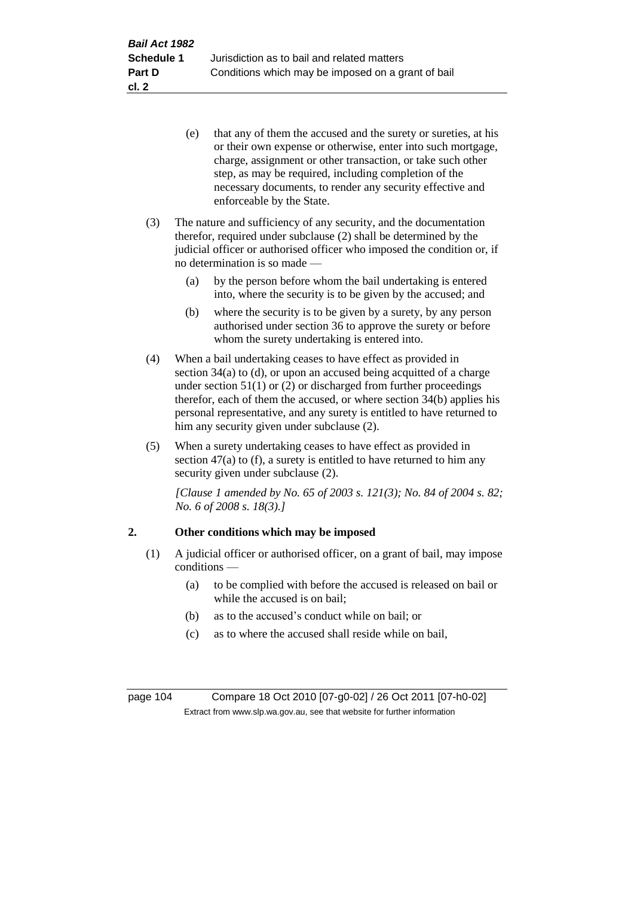- (e) that any of them the accused and the surety or sureties, at his or their own expense or otherwise, enter into such mortgage, charge, assignment or other transaction, or take such other step, as may be required, including completion of the necessary documents, to render any security effective and enforceable by the State.
- (3) The nature and sufficiency of any security, and the documentation therefor, required under subclause (2) shall be determined by the judicial officer or authorised officer who imposed the condition or, if no determination is so made —
	- (a) by the person before whom the bail undertaking is entered into, where the security is to be given by the accused; and
	- (b) where the security is to be given by a surety, by any person authorised under section 36 to approve the surety or before whom the surety undertaking is entered into.
- (4) When a bail undertaking ceases to have effect as provided in section 34(a) to (d), or upon an accused being acquitted of a charge under section  $51(1)$  or (2) or discharged from further proceedings therefor, each of them the accused, or where section 34(b) applies his personal representative, and any surety is entitled to have returned to him any security given under subclause (2).
- (5) When a surety undertaking ceases to have effect as provided in section  $47(a)$  to (f), a surety is entitled to have returned to him any security given under subclause (2).

*[Clause 1 amended by No. 65 of 2003 s. 121(3); No. 84 of 2004 s. 82; No. 6 of 2008 s. 18(3).]*

# **2. Other conditions which may be imposed**

- (1) A judicial officer or authorised officer, on a grant of bail, may impose conditions —
	- (a) to be complied with before the accused is released on bail or while the accused is on bail;
	- (b) as to the accused's conduct while on bail; or
	- (c) as to where the accused shall reside while on bail,

page 104 Compare 18 Oct 2010 [07-g0-02] / 26 Oct 2011 [07-h0-02] Extract from www.slp.wa.gov.au, see that website for further information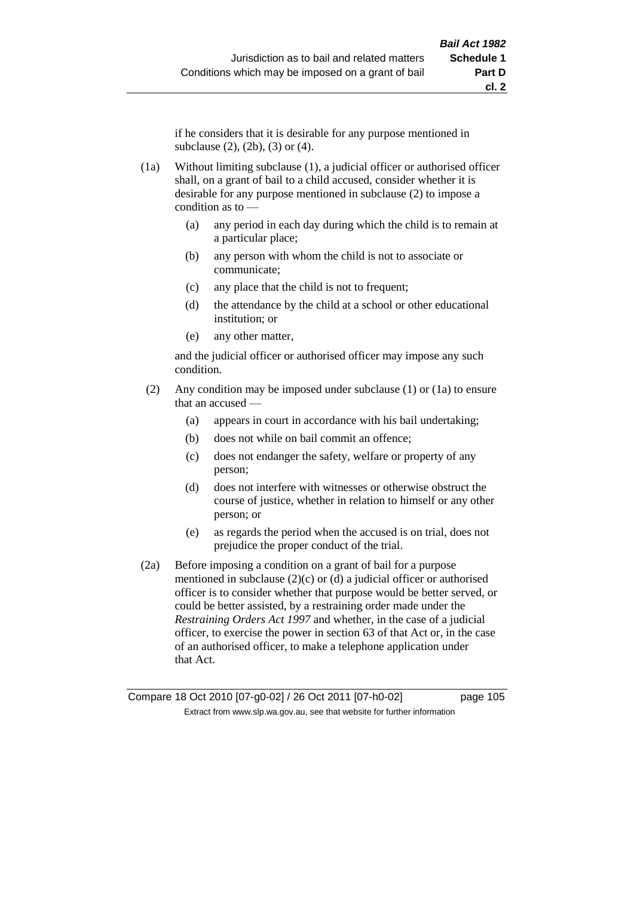if he considers that it is desirable for any purpose mentioned in subclause (2), (2b), (3) or (4).

(1a) Without limiting subclause (1), a judicial officer or authorised officer shall, on a grant of bail to a child accused, consider whether it is desirable for any purpose mentioned in subclause (2) to impose a condition as to —

- (a) any period in each day during which the child is to remain at a particular place;
- (b) any person with whom the child is not to associate or communicate;
- (c) any place that the child is not to frequent;
- (d) the attendance by the child at a school or other educational institution; or
- (e) any other matter,

and the judicial officer or authorised officer may impose any such condition.

- (2) Any condition may be imposed under subclause (1) or (1a) to ensure that an accused —
	- (a) appears in court in accordance with his bail undertaking;
	- (b) does not while on bail commit an offence;
	- (c) does not endanger the safety, welfare or property of any person;
	- (d) does not interfere with witnesses or otherwise obstruct the course of justice, whether in relation to himself or any other person; or
	- (e) as regards the period when the accused is on trial, does not prejudice the proper conduct of the trial.
- (2a) Before imposing a condition on a grant of bail for a purpose mentioned in subclause  $(2)(c)$  or  $(d)$  a judicial officer or authorised officer is to consider whether that purpose would be better served, or could be better assisted, by a restraining order made under the *Restraining Orders Act 1997* and whether, in the case of a judicial officer, to exercise the power in section 63 of that Act or, in the case of an authorised officer, to make a telephone application under that Act.

Compare 18 Oct 2010 [07-g0-02] / 26 Oct 2011 [07-h0-02] page 105 Extract from www.slp.wa.gov.au, see that website for further information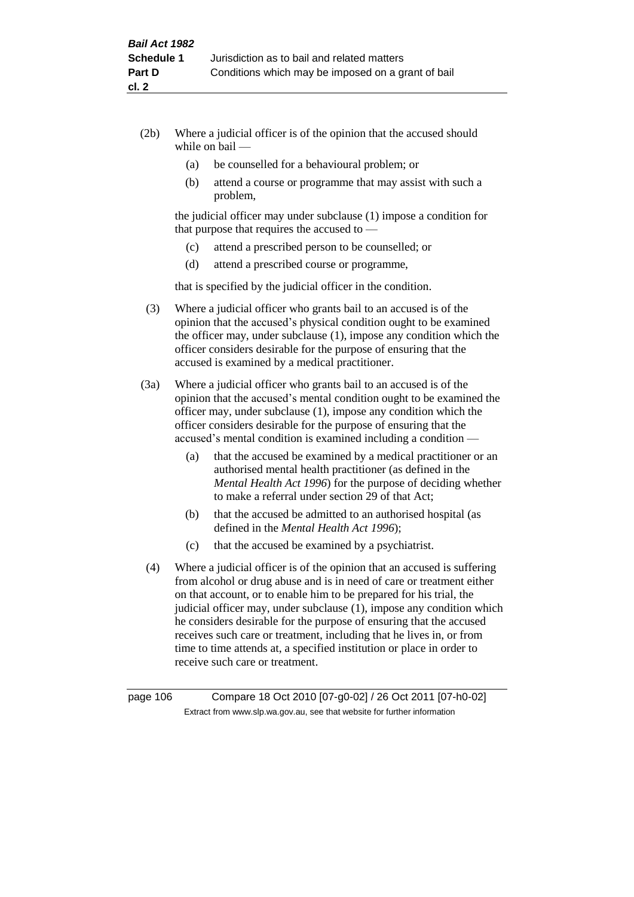- (2b) Where a judicial officer is of the opinion that the accused should while on bail —
	- (a) be counselled for a behavioural problem; or
	- (b) attend a course or programme that may assist with such a problem,

the judicial officer may under subclause (1) impose a condition for that purpose that requires the accused to —

- (c) attend a prescribed person to be counselled; or
- (d) attend a prescribed course or programme,

that is specified by the judicial officer in the condition.

- (3) Where a judicial officer who grants bail to an accused is of the opinion that the accused's physical condition ought to be examined the officer may, under subclause (1), impose any condition which the officer considers desirable for the purpose of ensuring that the accused is examined by a medical practitioner.
- (3a) Where a judicial officer who grants bail to an accused is of the opinion that the accused's mental condition ought to be examined the officer may, under subclause (1), impose any condition which the officer considers desirable for the purpose of ensuring that the accused's mental condition is examined including a condition —
	- (a) that the accused be examined by a medical practitioner or an authorised mental health practitioner (as defined in the *Mental Health Act 1996*) for the purpose of deciding whether to make a referral under section 29 of that Act;
	- (b) that the accused be admitted to an authorised hospital (as defined in the *Mental Health Act 1996*);
	- (c) that the accused be examined by a psychiatrist.
- (4) Where a judicial officer is of the opinion that an accused is suffering from alcohol or drug abuse and is in need of care or treatment either on that account, or to enable him to be prepared for his trial, the judicial officer may, under subclause (1), impose any condition which he considers desirable for the purpose of ensuring that the accused receives such care or treatment, including that he lives in, or from time to time attends at, a specified institution or place in order to receive such care or treatment.

page 106 Compare 18 Oct 2010 [07-g0-02] / 26 Oct 2011 [07-h0-02] Extract from www.slp.wa.gov.au, see that website for further information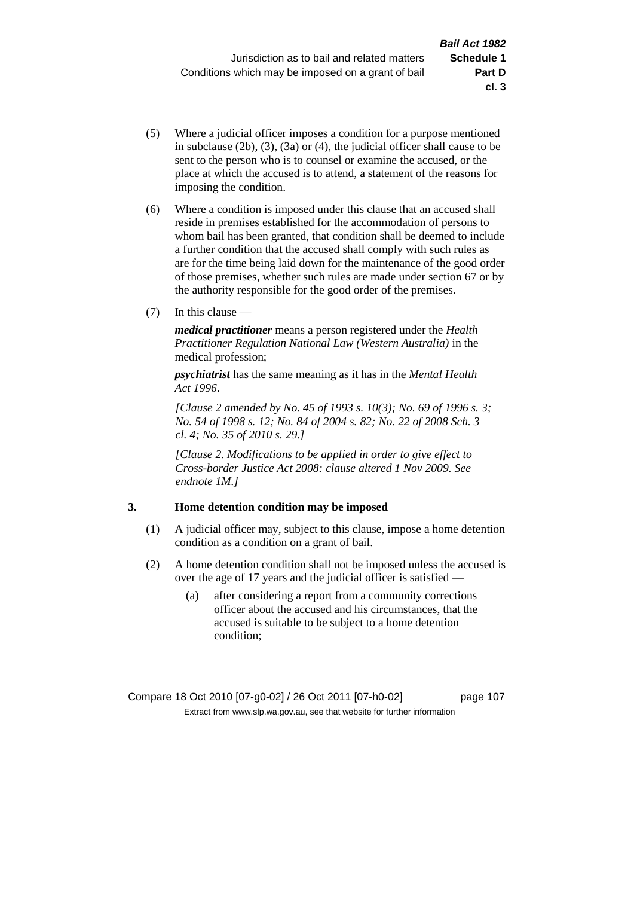- (5) Where a judicial officer imposes a condition for a purpose mentioned in subclause (2b), (3), (3a) or (4), the judicial officer shall cause to be sent to the person who is to counsel or examine the accused, or the place at which the accused is to attend, a statement of the reasons for imposing the condition.
- (6) Where a condition is imposed under this clause that an accused shall reside in premises established for the accommodation of persons to whom bail has been granted, that condition shall be deemed to include a further condition that the accused shall comply with such rules as are for the time being laid down for the maintenance of the good order of those premises, whether such rules are made under section 67 or by the authority responsible for the good order of the premises.
- (7) In this clause —

*medical practitioner* means a person registered under the *Health Practitioner Regulation National Law (Western Australia)* in the medical profession;

*psychiatrist* has the same meaning as it has in the *Mental Health Act 1996*.

*[Clause 2 amended by No. 45 of 1993 s. 10(3); No. 69 of 1996 s. 3; No. 54 of 1998 s. 12; No. 84 of 2004 s. 82; No. 22 of 2008 Sch. 3 cl. 4; No. 35 of 2010 s. 29.]*

*[Clause 2. Modifications to be applied in order to give effect to Cross-border Justice Act 2008: clause altered 1 Nov 2009. See endnote 1M.]*

# **3. Home detention condition may be imposed**

- (1) A judicial officer may, subject to this clause, impose a home detention condition as a condition on a grant of bail.
- (2) A home detention condition shall not be imposed unless the accused is over the age of 17 years and the judicial officer is satisfied —
	- (a) after considering a report from a community corrections officer about the accused and his circumstances, that the accused is suitable to be subject to a home detention condition;

**cl. 3**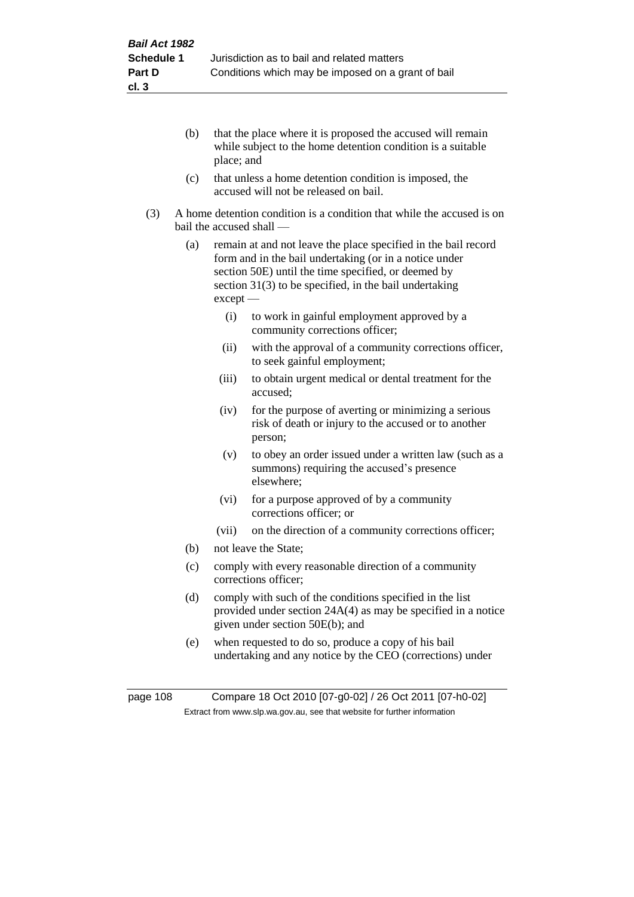- (b) that the place where it is proposed the accused will remain while subject to the home detention condition is a suitable place; and
- (c) that unless a home detention condition is imposed, the accused will not be released on bail.
- (3) A home detention condition is a condition that while the accused is on bail the accused shall —
	- (a) remain at and not leave the place specified in the bail record form and in the bail undertaking (or in a notice under section 50E) until the time specified, or deemed by section 31(3) to be specified, in the bail undertaking except —
		- (i) to work in gainful employment approved by a community corrections officer;
		- (ii) with the approval of a community corrections officer, to seek gainful employment;
		- (iii) to obtain urgent medical or dental treatment for the accused;
		- (iv) for the purpose of averting or minimizing a serious risk of death or injury to the accused or to another person;
		- (v) to obey an order issued under a written law (such as a summons) requiring the accused's presence elsewhere;
		- (vi) for a purpose approved of by a community corrections officer; or
		- (vii) on the direction of a community corrections officer;
	- (b) not leave the State;
	- (c) comply with every reasonable direction of a community corrections officer;
	- (d) comply with such of the conditions specified in the list provided under section 24A(4) as may be specified in a notice given under section 50E(b); and
	- (e) when requested to do so, produce a copy of his bail undertaking and any notice by the CEO (corrections) under

page 108 Compare 18 Oct 2010 [07-g0-02] / 26 Oct 2011 [07-h0-02] Extract from www.slp.wa.gov.au, see that website for further information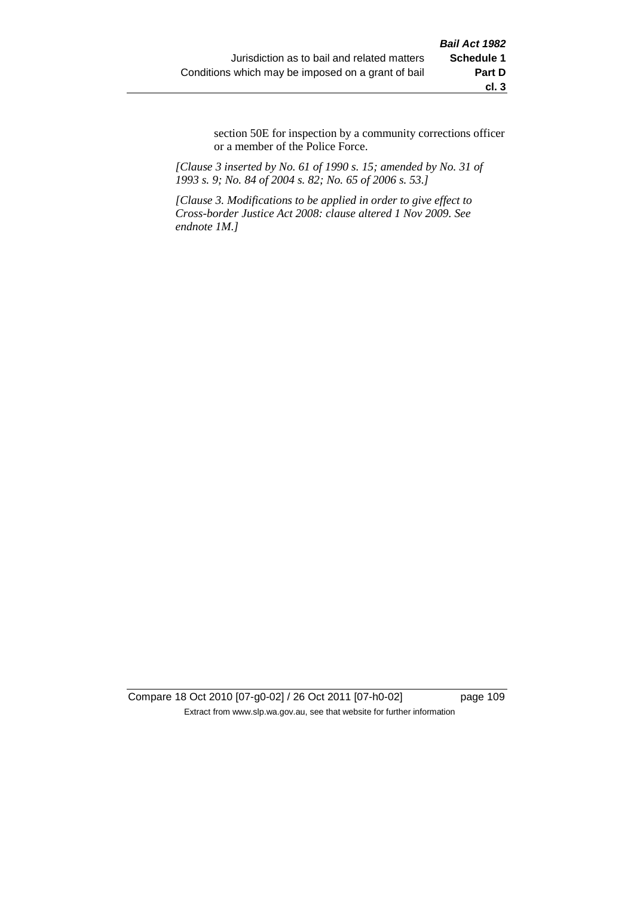section 50E for inspection by a community corrections officer or a member of the Police Force.

*[Clause 3 inserted by No. 61 of 1990 s. 15; amended by No. 31 of 1993 s. 9; No. 84 of 2004 s. 82; No. 65 of 2006 s. 53.]*

*[Clause 3. Modifications to be applied in order to give effect to Cross-border Justice Act 2008: clause altered 1 Nov 2009. See endnote 1M.]*

Compare 18 Oct 2010 [07-g0-02] / 26 Oct 2011 [07-h0-02] page 109 Extract from www.slp.wa.gov.au, see that website for further information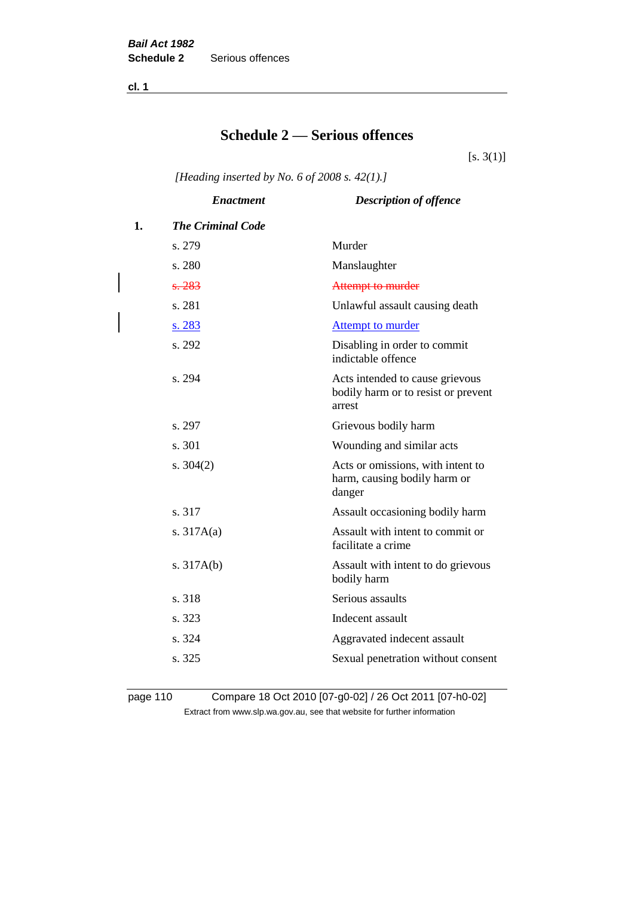**cl. 1**

# **Schedule 2 — Serious offences**

 $[s. 3(1)]$ 

*[Heading inserted by No. 6 of 2008 s. 42(1).]*

|    | <b>Enactment</b>         | <b>Description of offence</b>                                                    |
|----|--------------------------|----------------------------------------------------------------------------------|
| 1. | <b>The Criminal Code</b> |                                                                                  |
|    | s. 279                   | Murder                                                                           |
|    | s. 280                   | Manslaughter                                                                     |
|    | s.283                    | Attempt to murder                                                                |
|    | s. 281                   | Unlawful assault causing death                                                   |
|    | <u>s. 283</u>            | <b>Attempt to murder</b>                                                         |
|    | s. 292                   | Disabling in order to commit<br>indictable offence                               |
|    | s. 294                   | Acts intended to cause grievous<br>bodily harm or to resist or prevent<br>arrest |
|    | s. 297                   | Grievous bodily harm                                                             |
|    | s. 301                   | Wounding and similar acts                                                        |
|    | s. $304(2)$              | Acts or omissions, with intent to<br>harm, causing bodily harm or<br>danger      |
|    | s. 317                   | Assault occasioning bodily harm                                                  |
|    | s. $317A(a)$             | Assault with intent to commit or<br>facilitate a crime                           |
|    | s. $317A(b)$             | Assault with intent to do grievous<br>bodily harm                                |
|    | s. 318                   | Serious assaults                                                                 |
|    | s. 323                   | Indecent assault                                                                 |
|    | s. 324                   | Aggravated indecent assault                                                      |
|    | s. 325                   | Sexual penetration without consent                                               |

page 110 Compare 18 Oct 2010 [07-g0-02] / 26 Oct 2011 [07-h0-02] Extract from www.slp.wa.gov.au, see that website for further information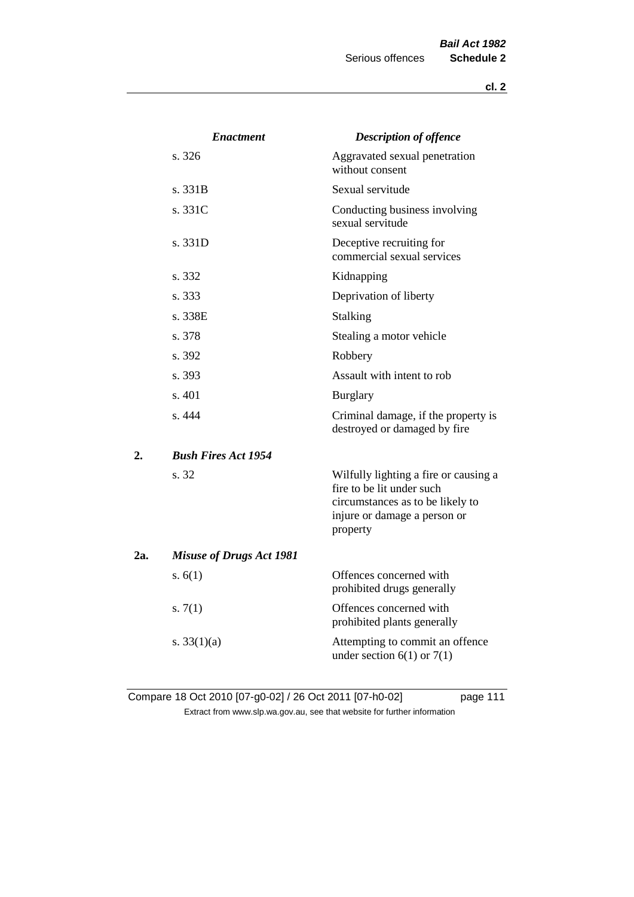|     | <b>Enactment</b>                | <b>Description of offence</b>                                                                                                                      |
|-----|---------------------------------|----------------------------------------------------------------------------------------------------------------------------------------------------|
|     | s.326                           | Aggravated sexual penetration<br>without consent                                                                                                   |
|     | s. 331B                         | Sexual servitude                                                                                                                                   |
|     | s. 331C                         | Conducting business involving<br>sexual servitude                                                                                                  |
|     | s. 331D                         | Deceptive recruiting for<br>commercial sexual services                                                                                             |
|     | s. 332                          | Kidnapping                                                                                                                                         |
|     | s. 333                          | Deprivation of liberty                                                                                                                             |
|     | s. 338E                         | Stalking                                                                                                                                           |
|     | s. 378                          | Stealing a motor vehicle                                                                                                                           |
|     | s. 392                          | Robbery                                                                                                                                            |
|     | s. 393                          | Assault with intent to rob                                                                                                                         |
|     | s. 401                          | <b>Burglary</b>                                                                                                                                    |
|     | s. 444                          | Criminal damage, if the property is<br>destroyed or damaged by fire                                                                                |
| 2.  | <b>Bush Fires Act 1954</b>      |                                                                                                                                                    |
|     | s. 32                           | Wilfully lighting a fire or causing a<br>fire to be lit under such<br>circumstances as to be likely to<br>injure or damage a person or<br>property |
| 2a. | <b>Misuse of Drugs Act 1981</b> |                                                                                                                                                    |
|     | s. $6(1)$                       | Offences concerned with<br>prohibited drugs generally                                                                                              |
|     | s. $7(1)$                       | Offences concerned with<br>prohibited plants generally                                                                                             |
|     | s. $33(1)(a)$                   | Attempting to commit an offence<br>under section $6(1)$ or $7(1)$                                                                                  |

Compare 18 Oct 2010 [07-g0-02] / 26 Oct 2011 [07-h0-02] page 111 Extract from www.slp.wa.gov.au, see that website for further information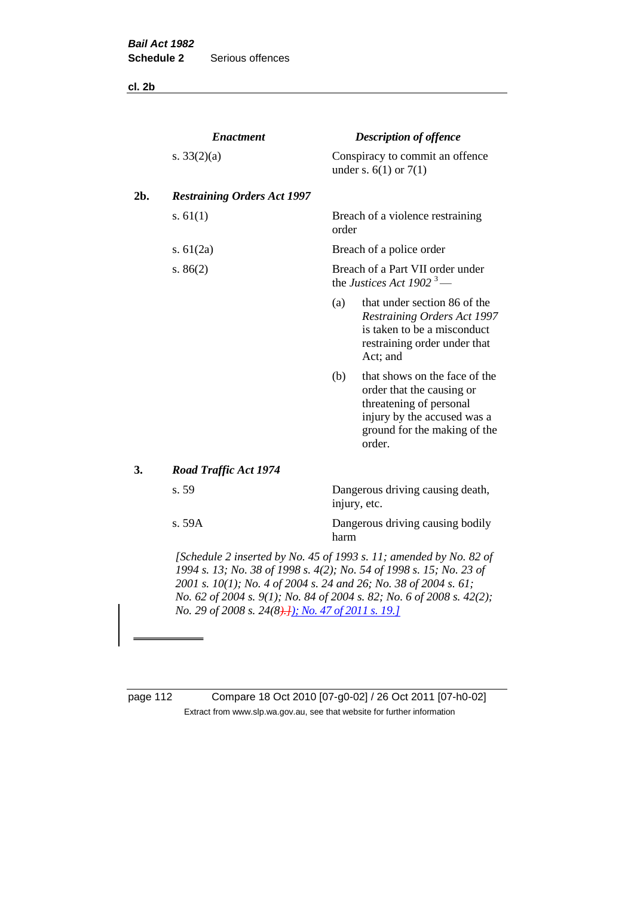**cl. 2b**

|     | <b>Enactment</b><br>s. $33(2)(a)$  |                                                                          | <b>Description of offence</b><br>Conspiracy to commit an offence<br>under s. $6(1)$ or $7(1)$                                                                                                                 |  |  |
|-----|------------------------------------|--------------------------------------------------------------------------|---------------------------------------------------------------------------------------------------------------------------------------------------------------------------------------------------------------|--|--|
|     |                                    |                                                                          |                                                                                                                                                                                                               |  |  |
| 2b. | <b>Restraining Orders Act 1997</b> |                                                                          |                                                                                                                                                                                                               |  |  |
|     | s. $61(1)$                         | order                                                                    | Breach of a violence restraining                                                                                                                                                                              |  |  |
|     | s. $61(2a)$                        |                                                                          | Breach of a police order                                                                                                                                                                                      |  |  |
|     | s. $86(2)$                         | Breach of a Part VII order under<br>the Justices Act 1902 <sup>3</sup> — |                                                                                                                                                                                                               |  |  |
|     |                                    | (a)                                                                      | that under section 86 of the<br><b>Restraining Orders Act 1997</b><br>is taken to be a misconduct<br>restraining order under that<br>Act; and                                                                 |  |  |
|     |                                    | (b)                                                                      | that shows on the face of the<br>order that the causing or<br>threatening of personal<br>injury by the accused was a<br>ground for the making of the<br>order.                                                |  |  |
| 3.  | <b>Road Traffic Act 1974</b>       |                                                                          |                                                                                                                                                                                                               |  |  |
|     | s. 59                              |                                                                          | Dangerous driving causing death,<br>injury, etc.                                                                                                                                                              |  |  |
|     | s. 59A                             | harm                                                                     | Dangerous driving causing bodily                                                                                                                                                                              |  |  |
|     |                                    |                                                                          | [Schedule 2 inserted by No. 45 of 1993 s. 11; amended by No. 82 of<br>1994 s. 13; No. 38 of 1998 s. 4(2); No. 54 of 1998 s. 15; No. 23 of<br>2001 s. 10(1); No. 4 of 2004 s. 24 and 26; No. 38 of 2004 s. 61; |  |  |

*No. 62 of 2004 s. 9(1); No. 84 of 2004 s. 82; No. 6 of 2008 s. 42(2); No. 29 of 2008 s. 24(8).]); No. 47 of 2011 s. 19.]*

page 112 Compare 18 Oct 2010 [07-g0-02] / 26 Oct 2011 [07-h0-02] Extract from www.slp.wa.gov.au, see that website for further information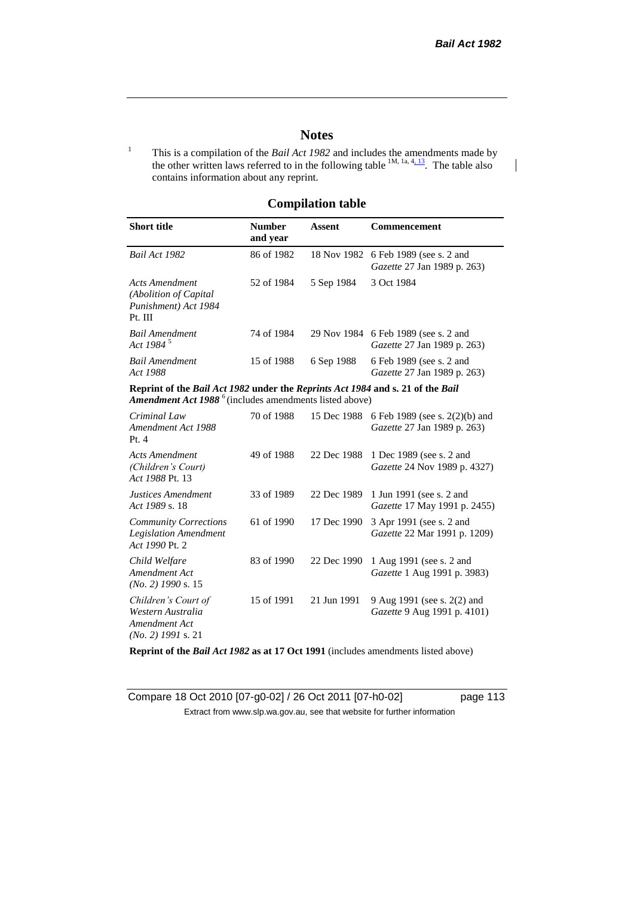$\overline{\phantom{a}}$ 

# **Notes**

<sup>1</sup> This is a compilation of the *Bail Act 1982* and includes the amendments made by the other written laws referred to in the following table  $1M$ ,  $1a$ ,  $4$ ,  $13$ . The table also contains information about any reprint.

# **Compilation table**

| <b>Short title</b>                                                                                                                                   | <b>Number</b><br>and year | Assent     | <b>Commencement</b>                                                              |  |
|------------------------------------------------------------------------------------------------------------------------------------------------------|---------------------------|------------|----------------------------------------------------------------------------------|--|
| <b>Bail Act 1982</b>                                                                                                                                 | 86 of 1982                |            | 18 Nov 1982 6 Feb 1989 (see s. 2 and<br><i>Gazette</i> 27 Jan 1989 p. 263)       |  |
| Acts Amendment<br>(Abolition of Capital)<br>Punishment) Act 1984<br>Pt. III                                                                          | 52 of 1984                | 5 Sep 1984 | 3 Oct 1984                                                                       |  |
| Bail Amendment<br>Act 1984 <sup>5</sup>                                                                                                              | 74 of 1984                |            | 29 Nov 1984 6 Feb 1989 (see s. 2 and<br><i>Gazette</i> 27 Jan 1989 p. 263)       |  |
| <b>Bail Amendment</b><br>Act 1988                                                                                                                    | 15 of 1988                | 6 Sep 1988 | 6 Feb 1989 (see s. 2 and<br><i>Gazette</i> 27 Jan 1989 p. 263)                   |  |
| Reprint of the Bail Act 1982 under the Reprints Act 1984 and s. 21 of the Bail<br>Amendment Act 1988 <sup>6</sup> (includes amendments listed above) |                           |            |                                                                                  |  |
| Criminal Law<br>Amendment Act 1988                                                                                                                   | 70 of 1988                |            | 15 Dec 1988 6 Feb 1989 (see s. 2(2)(b) and<br><i>Gazette</i> 27 Jan 1989 p. 263) |  |

| Amendment Act 1988<br>Pt.4                                                        |            |             | Gazette 27 Jan 1989 p. 263)                                     |
|-----------------------------------------------------------------------------------|------------|-------------|-----------------------------------------------------------------|
| Acts Amendment<br>(Children's Court)<br>Act 1988 Pt. 13                           | 49 of 1988 | 22 Dec 1988 | 1 Dec 1989 (see s. 2 and<br>Gazette 24 Nov 1989 p. 4327)        |
| Justices Amendment<br>Act 1989 s. 18                                              | 33 of 1989 | 22 Dec 1989 | 1 Jun 1991 (see s. 2 and<br><i>Gazette</i> 17 May 1991 p. 2455) |
| <b>Community Corrections</b><br><b>Legislation Amendment</b><br>Act 1990 Pt. 2    | 61 of 1990 | 17 Dec 1990 | 3 Apr 1991 (see s. 2 and<br><i>Gazette</i> 22 Mar 1991 p. 1209) |
| Child Welfare<br>Amendment Act<br>$(No. 2)$ 1990 s. 15                            | 83 of 1990 | 22 Dec 1990 | 1 Aug 1991 (see s. 2 and<br>Gazette 1 Aug 1991 p. 3983)         |
| Children's Court of<br>Western Australia<br>Amendment Act<br>$(No. 2)$ 1991 s. 21 | 15 of 1991 | 21 Jun 1991 | 9 Aug 1991 (see s. 2(2) and<br>Gazette 9 Aug 1991 p. 4101)      |

**Reprint of the** *Bail Act 1982* **as at 17 Oct 1991** (includes amendments listed above)

Compare 18 Oct 2010 [07-g0-02] / 26 Oct 2011 [07-h0-02] page 113 Extract from www.slp.wa.gov.au, see that website for further information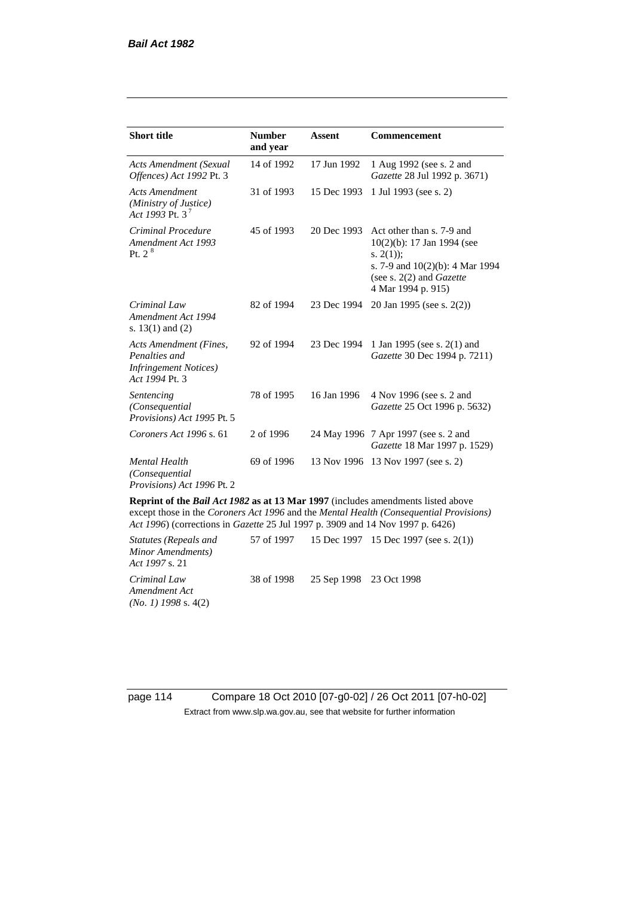| <b>Short title</b>                                                                         | <b>Number</b><br>and year | <b>Assent</b> | Commencement                                                                                                                                                               |
|--------------------------------------------------------------------------------------------|---------------------------|---------------|----------------------------------------------------------------------------------------------------------------------------------------------------------------------------|
| <b>Acts Amendment (Sexual</b><br>Offences) Act 1992 Pt. 3                                  | 14 of 1992                | 17 Jun 1992   | 1 Aug 1992 (see s. 2 and<br><i>Gazette</i> 28 Jul 1992 p. 3671)                                                                                                            |
| <b>Acts Amendment</b><br>(Ministry of Justice)<br>Act 1993 Pt. 3 <sup>7</sup>              | 31 of 1993                | 15 Dec 1993   | 1 Jul 1993 (see s. 2)                                                                                                                                                      |
| Criminal Procedure<br>Amendment Act 1993<br>Pt. $2^8$                                      | 45 of 1993                | 20 Dec 1993   | Act other than s. 7-9 and<br>$10(2)(b)$ : 17 Jan 1994 (see<br>s. $2(1)$ :<br>s. 7-9 and $10(2)(b)$ : 4 Mar 1994<br>(see s. $2(2)$ and <i>Gazette</i><br>4 Mar 1994 p. 915) |
| Criminal Law<br>Amendment Act 1994<br>s. $13(1)$ and $(2)$                                 | 82 of 1994                | 23 Dec 1994   | 20 Jan 1995 (see s. 2(2))                                                                                                                                                  |
| Acts Amendment (Fines,<br>Penalties and<br><b>Infringement Notices</b> )<br>Act 1994 Pt. 3 | 92 of 1994                | 23 Dec 1994   | 1 Jan 1995 (see s. 2(1) and<br>Gazette 30 Dec 1994 p. 7211)                                                                                                                |
| Sentencing<br>(Consequential<br>Provisions) Act 1995 Pt. 5                                 | 78 of 1995                | 16 Jan 1996   | 4 Nov 1996 (see s. 2 and<br>Gazette 25 Oct 1996 p. 5632)                                                                                                                   |
| Coroners Act 1996 s. 61                                                                    | 2 of 1996                 |               | 24 May 1996 7 Apr 1997 (see s. 2 and<br>Gazette 18 Mar 1997 p. 1529)                                                                                                       |
| <b>Mental Health</b><br>(Consequential<br>Provisions) Act 1996 Pt. 2                       | 69 of 1996                | 13 Nov 1996   | 13 Nov 1997 (see s. 2)                                                                                                                                                     |

**Reprint of the** *Bail Act 1982* **as at 13 Mar 1997** (includes amendments listed above except those in the *Coroners Act 1996* and the *Mental Health (Consequential Provisions) Act 1996*) (corrections in *Gazette* 25 Jul 1997 p. 3909 and 14 Nov 1997 p. 6426)

*Statutes (Repeals and Minor Amendments) Act 1997* s. 21 57 of 1997 15 Dec 1997 15 Dec 1997 (see s. 2(1)) *Criminal Law Amendment Act (No. 1) 1998* s. 4(2) 38 of 1998 25 Sep 1998 23 Oct 1998

page 114 Compare 18 Oct 2010 [07-g0-02] / 26 Oct 2011 [07-h0-02] Extract from www.slp.wa.gov.au, see that website for further information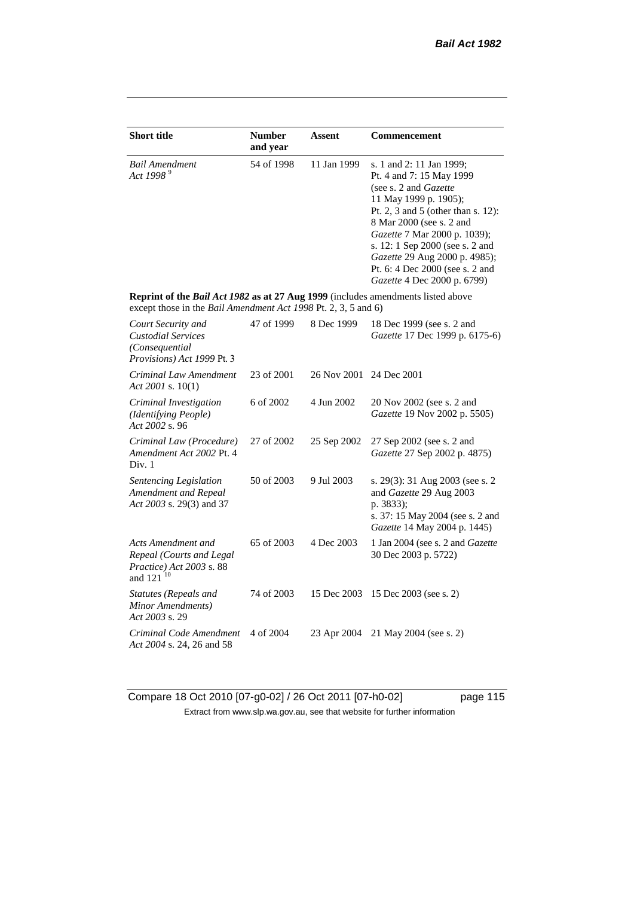| <b>Short title</b>                                                                                                                                 | <b>Number</b><br>and year                                                                               | Assent      | <b>Commencement</b>                                                                                                                                                                                                                                              |  |
|----------------------------------------------------------------------------------------------------------------------------------------------------|---------------------------------------------------------------------------------------------------------|-------------|------------------------------------------------------------------------------------------------------------------------------------------------------------------------------------------------------------------------------------------------------------------|--|
| <b>Bail Amendment</b><br>Act 1998 <sup>9</sup>                                                                                                     | 54 of 1998<br>11 Jan 1999<br>s. 1 and 2: 11 Jan 1999;<br>(see s. 2 and Gazette<br>11 May 1999 p. 1905); |             | Pt. 4 and 7: 15 May 1999<br>Pt. 2, 3 and 5 (other than s. 12):<br>8 Mar 2000 (see s. 2 and<br>Gazette 7 Mar 2000 p. 1039);<br>s. 12: 1 Sep 2000 (see s. 2 and<br>Gazette 29 Aug 2000 p. 4985);<br>Pt. 6: 4 Dec 2000 (see s. 2 and<br>Gazette 4 Dec 2000 p. 6799) |  |
| Reprint of the Bail Act 1982 as at 27 Aug 1999 (includes amendments listed above<br>except those in the Bail Amendment Act 1998 Pt. 2, 3, 5 and 6) |                                                                                                         |             |                                                                                                                                                                                                                                                                  |  |
| Court Security and<br><b>Custodial Services</b><br>(Consequential<br>Provisions) Act 1999 Pt. 3                                                    | 47 of 1999                                                                                              | 8 Dec 1999  | 18 Dec 1999 (see s. 2 and<br>Gazette 17 Dec 1999 p. 6175-6)                                                                                                                                                                                                      |  |
| Criminal Law Amendment<br>Act 2001 s. $10(1)$                                                                                                      | 23 of 2001                                                                                              | 26 Nov 2001 | 24 Dec 2001                                                                                                                                                                                                                                                      |  |
| Criminal Investigation<br>(Identifying People)<br>Act 2002 s. 96                                                                                   | 6 of 2002                                                                                               | 4 Jun 2002  | 20 Nov 2002 (see s. 2 and<br>Gazette 19 Nov 2002 p. 5505)                                                                                                                                                                                                        |  |
| Criminal Law (Procedure)<br>Amendment Act 2002 Pt. 4<br>Div. 1                                                                                     | 27 of 2002                                                                                              | 25 Sep 2002 | 27 Sep 2002 (see s. 2 and<br>Gazette 27 Sep 2002 p. 4875)                                                                                                                                                                                                        |  |
| Sentencing Legislation<br>Amendment and Repeal<br>Act 2003 s. 29(3) and 37                                                                         | 50 of 2003                                                                                              | 9 Jul 2003  | s. 29(3): 31 Aug 2003 (see s. 2<br>and Gazette 29 Aug 2003<br>p. 3833);<br>s. 37: 15 May 2004 (see s. 2 and<br>Gazette 14 May 2004 p. 1445)                                                                                                                      |  |
| Acts Amendment and<br>Repeal (Courts and Legal<br>Practice) Act 2003 s. 88<br>and 121 <sup>10</sup>                                                | 65 of 2003                                                                                              | 4 Dec 2003  | 1 Jan 2004 (see s. 2 and <i>Gazette</i><br>30 Dec 2003 p. 5722)                                                                                                                                                                                                  |  |
| Statutes (Repeals and<br>Minor Amendments)<br>Act 2003 s. 29                                                                                       | 74 of 2003                                                                                              | 15 Dec 2003 | 15 Dec 2003 (see s. 2)                                                                                                                                                                                                                                           |  |
| Criminal Code Amendment<br>Act 2004 s. 24, 26 and 58                                                                                               | 4 of 2004                                                                                               | 23 Apr 2004 | 21 May 2004 (see s. 2)                                                                                                                                                                                                                                           |  |

Compare 18 Oct 2010 [07-g0-02] / 26 Oct 2011 [07-h0-02] page 115 Extract from www.slp.wa.gov.au, see that website for further information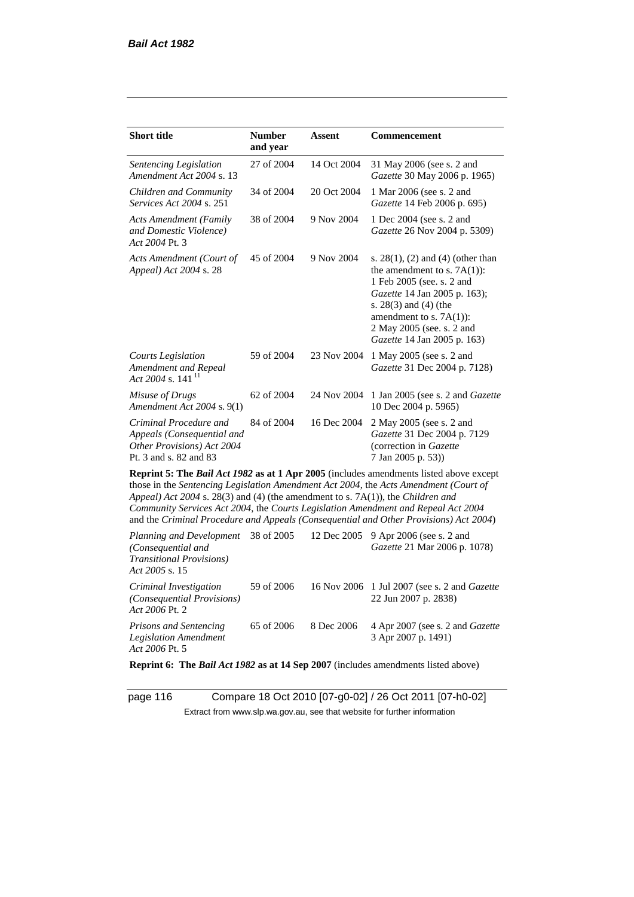*Act 2006* Pt. 2

| <b>Short title</b>                                                                                                                                                   | <b>Number</b><br>Assent<br>and year |             | <b>Commencement</b>                                                                                                                                                                                                                                                     |  |
|----------------------------------------------------------------------------------------------------------------------------------------------------------------------|-------------------------------------|-------------|-------------------------------------------------------------------------------------------------------------------------------------------------------------------------------------------------------------------------------------------------------------------------|--|
| Sentencing Legislation<br>Amendment Act 2004 s. 13                                                                                                                   | 27 of 2004                          | 14 Oct 2004 | 31 May 2006 (see s. 2 and<br>Gazette 30 May 2006 p. 1965)                                                                                                                                                                                                               |  |
| Children and Community<br><i>Services Act 2004 s. 251</i>                                                                                                            | 34 of 2004                          | 20 Oct 2004 | 1 Mar 2006 (see s. 2 and<br>Gazette 14 Feb 2006 p. 695)                                                                                                                                                                                                                 |  |
| <b>Acts Amendment (Family</b><br>and Domestic Violence)<br>Act 2004 Pt. 3                                                                                            | 38 of 2004                          | 9 Nov 2004  | 1 Dec 2004 (see s. 2 and<br>Gazette 26 Nov 2004 p. 5309)                                                                                                                                                                                                                |  |
| Acts Amendment (Court of<br>Appeal) Act 2004 s. 28                                                                                                                   | 45 of 2004                          | 9 Nov 2004  | s. $28(1)$ , (2) and (4) (other than<br>the amendment to s. $7A(1)$ :<br>1 Feb 2005 (see. s. 2 and<br>Gazette 14 Jan 2005 p. 163);<br>s. 28(3) and (4) (the<br>amendment to s. $7A(1)$ :<br>2 May 2005 (see. s. 2 and<br>Gazette 14 Jan 2005 p. 163)                    |  |
| <b>Courts Legislation</b><br>Amendment and Repeal<br>Act 2004 s. 141 <sup>11</sup>                                                                                   | 59 of 2004                          | 23 Nov 2004 | 1 May 2005 (see s. 2 and<br>Gazette 31 Dec 2004 p. 7128)                                                                                                                                                                                                                |  |
| Misuse of Drugs<br>Amendment Act 2004 s. 9(1)                                                                                                                        | 62 of 2004                          | 24 Nov 2004 | 1 Jan 2005 (see s. 2 and Gazette<br>10 Dec 2004 p. 5965)                                                                                                                                                                                                                |  |
| Criminal Procedure and<br>Appeals (Consequential and<br>Other Provisions) Act 2004<br>Pt. 3 and s. 82 and 83                                                         | 84 of 2004                          | 16 Dec 2004 | 2 May 2005 (see s. 2 and<br>Gazette 31 Dec 2004 p. 7129<br>(correction in Gazette<br>7 Jan 2005 p. 53))                                                                                                                                                                 |  |
| Appeal) Act 2004 s. 28(3) and (4) (the amendment to s. 7A(1)), the Children and<br>Community Services Act 2004, the Courts Legislation Amendment and Repeal Act 2004 |                                     |             | Reprint 5: The Bail Act 1982 as at 1 Apr 2005 (includes amendments listed above except<br>those in the Sentencing Legislation Amendment Act 2004, the Acts Amendment (Court of<br>and the Criminal Procedure and Appeals (Consequential and Other Provisions) Act 2004) |  |
| Planning and Development<br>(Consequential and<br><b>Transitional Provisions)</b><br>Act 2005 s. 15                                                                  | 38 of 2005                          | 12 Dec 2005 | 9 Apr 2006 (see s. 2 and<br>Gazette 21 Mar 2006 p. 1078)                                                                                                                                                                                                                |  |
| Criminal Investigation<br>(Consequential Provisions)                                                                                                                 | 59 of 2006<br>16 Nov 2006           |             | 1 Jul 2007 (see s. 2 and Gazette<br>22 Jun 2007 p. 2838)                                                                                                                                                                                                                |  |

*Prisons and Sentencing Legislation Amendment Act 2006* Pt. 5 65 of 2006 8 Dec 2006 4 Apr 2007 (see s. 2 and *Gazette* 3 Apr 2007 p. 1491)

**Reprint 6: The** *Bail Act 1982* **as at 14 Sep 2007** (includes amendments listed above)

page 116 Compare 18 Oct 2010 [07-g0-02] / 26 Oct 2011 [07-h0-02] Extract from www.slp.wa.gov.au, see that website for further information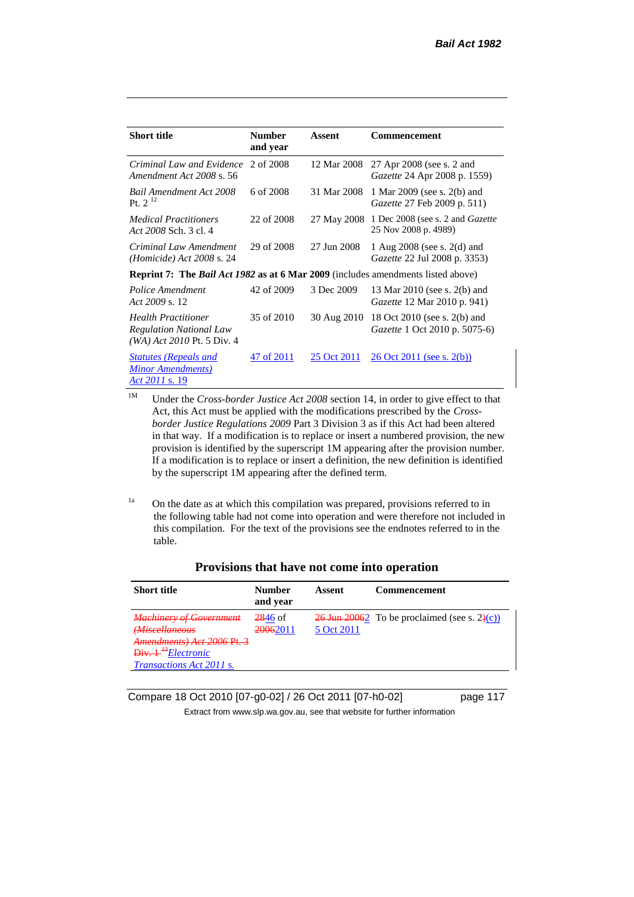| Short title                                                                                  | <b>Number</b><br>and year                                                               | Assent      | <b>Commencement</b>                                                  |  |
|----------------------------------------------------------------------------------------------|-----------------------------------------------------------------------------------------|-------------|----------------------------------------------------------------------|--|
| Criminal Law and Evidence<br>Amendment Act 2008 s. 56                                        | 2 of 2008                                                                               | 12 Mar 2008 | 27 Apr 2008 (see s. 2 and<br><i>Gazette</i> 24 Apr 2008 p. 1559)     |  |
| <b>Bail Amendment Act 2008</b><br>Pt. $2^{12}$                                               | 6 of 2008                                                                               | 31 Mar 2008 | 1 Mar 2009 (see s. 2(b) and<br>Gazette 27 Feb 2009 p. 511)           |  |
| <b>Medical Practitioners</b><br>Act 2008 Sch. 3 cl. 4                                        | 22 of 2008                                                                              |             | 27 May 2008 1 Dec 2008 (see s. 2 and Gazette<br>25 Nov 2008 p. 4989) |  |
| Criminal Law Amendment<br>$(Homicide)$ Act 2008 s. 24                                        | 29 of 2008                                                                              | 27 Jun 2008 | 1 Aug 2008 (see s. 2(d) and<br>Gazette 22 Jul 2008 p. 3353)          |  |
|                                                                                              | <b>Reprint 7: The Bail Act 1982 as at 6 Mar 2009</b> (includes amendments listed above) |             |                                                                      |  |
| Police Amendment<br>Act $2009$ s. 12.                                                        | 42 of 2009                                                                              | 3 Dec 2009  | 13 Mar 2010 (see s. 2(b) and<br><i>Gazette</i> 12 Mar 2010 p. 941)   |  |
| <b>Health Practitioner</b><br><b>Regulation National Law</b><br>$(WA)$ Act 2010 Pt. 5 Div. 4 | 35 of 2010                                                                              | 30 Aug 2010 | 18 Oct 2010 (see s. 2(b) and<br>Gazette 1 Oct 2010 p. 5075-6)        |  |
| <b>Statutes (Repeals and</b><br><b>Minor Amendments</b> )<br>Act 2011 s. 19                  | 47 of 2011                                                                              | 25 Oct 2011 | $26$ Oct $2011$ (see s. $2(b)$ )                                     |  |

<sup>1M</sup> Under the *Cross-border Justice Act 2008* section 14, in order to give effect to that Act, this Act must be applied with the modifications prescribed by the *Crossborder Justice Regulations 2009* Part 3 Division 3 as if this Act had been altered in that way. If a modification is to replace or insert a numbered provision, the new provision is identified by the superscript 1M appearing after the provision number. If a modification is to replace or insert a definition, the new definition is identified by the superscript 1M appearing after the defined term.

<sup>1a</sup> On the date as at which this compilation was prepared, provisions referred to in the following table had not come into operation and were therefore not included in this compilation. For the text of the provisions see the endnotes referred to in the table.

| Provisions that have not come into operation |  |
|----------------------------------------------|--|
|----------------------------------------------|--|

| <b>Short title</b>                                                                                                                                                       | <b>Number</b><br>and year | Assent     | <b>Commencement</b>                                                          |
|--------------------------------------------------------------------------------------------------------------------------------------------------------------------------|---------------------------|------------|------------------------------------------------------------------------------|
| <b>Machinery of Government</b><br>(Miscellaneous<br><del>Amendments) Act 2006 Pt. 3</del><br>$Div. +$ <sup>43</sup> <i>Electronic</i><br><i>Transactions Act 2011 s.</i> | $2846$ of<br>20062011     | 5 Oct 2011 | $\frac{26 \text{ Jun } 20062}{26 \text{ U}}$ To be proclaimed (see s. 2)(c)) |

Compare 18 Oct 2010 [07-g0-02] / 26 Oct 2011 [07-h0-02] page 117

Extract from www.slp.wa.gov.au, see that website for further information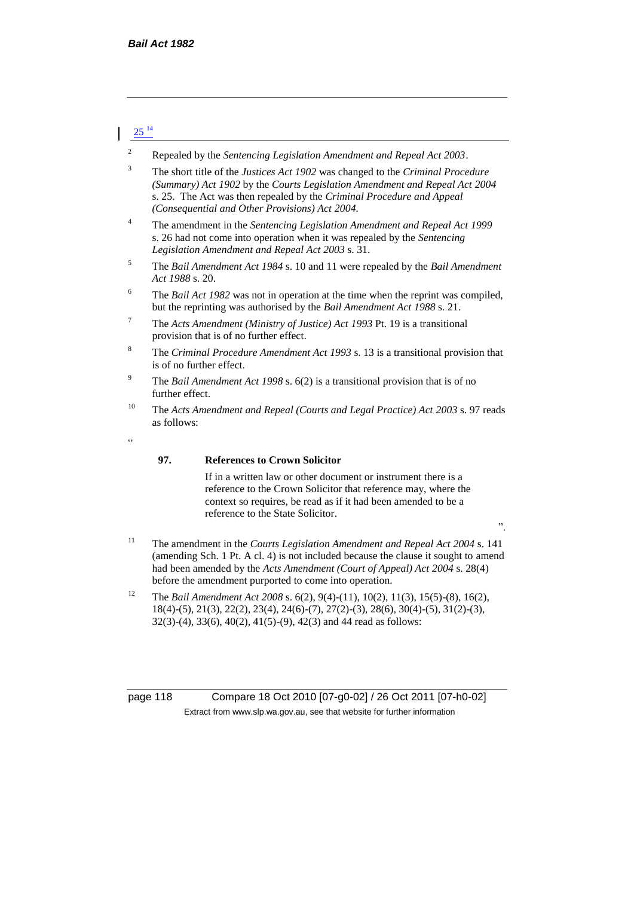# $25^{14}$

- <sup>2</sup> Repealed by the *Sentencing Legislation Amendment and Repeal Act 2003*.
- <sup>3</sup> The short title of the *Justices Act 1902* was changed to the *Criminal Procedure (Summary) Act 1902* by the *Courts Legislation Amendment and Repeal Act 2004*  s. 25. The Act was then repealed by the *Criminal Procedure and Appeal (Consequential and Other Provisions) Act 2004.*
- <sup>4</sup> The amendment in the *Sentencing Legislation Amendment and Repeal Act 1999* s. 26 had not come into operation when it was repealed by the *Sentencing Legislation Amendment and Repeal Act 2003* s. 31.
- <sup>5</sup> The *Bail Amendment Act 1984* s. 10 and 11 were repealed by the *Bail Amendment Act 1988* s. 20.
- 6 The *Bail Act 1982* was not in operation at the time when the reprint was compiled, but the reprinting was authorised by the *Bail Amendment Act 1988* s. 21.
- <sup>7</sup> The *Acts Amendment (Ministry of Justice) Act 1993* Pt. 19 is a transitional provision that is of no further effect.
- <sup>8</sup> The *Criminal Procedure Amendment Act 1993* s. 13 is a transitional provision that is of no further effect.
- <sup>9</sup> The *Bail Amendment Act 1998* s. 6(2) is a transitional provision that is of no further effect.
- <sup>10</sup> The *Acts Amendment and Repeal (Courts and Legal Practice) Act 2003* s. 97 reads as follows:
- "

#### **97. References to Crown Solicitor**

If in a written law or other document or instrument there is a reference to the Crown Solicitor that reference may, where the context so requires, be read as if it had been amended to be a reference to the State Solicitor.

".

- <sup>11</sup> The amendment in the *Courts Legislation Amendment and Repeal Act 2004* s. 141 (amending Sch. 1 Pt. A cl. 4) is not included because the clause it sought to amend had been amended by the *Acts Amendment (Court of Appeal) Act 2004* s. 28(4) before the amendment purported to come into operation.
- <sup>12</sup> The *Bail Amendment Act 2008* s. 6(2), 9(4)-(11), 10(2), 11(3), 15(5)-(8), 16(2), 18(4)-(5), 21(3), 22(2), 23(4), 24(6)-(7), 27(2)-(3), 28(6), 30(4)-(5), 31(2)-(3), 32(3)-(4), 33(6), 40(2), 41(5)-(9), 42(3) and 44 read as follows:

page 118 Compare 18 Oct 2010 [07-g0-02] / 26 Oct 2011 [07-h0-02] Extract from www.slp.wa.gov.au, see that website for further information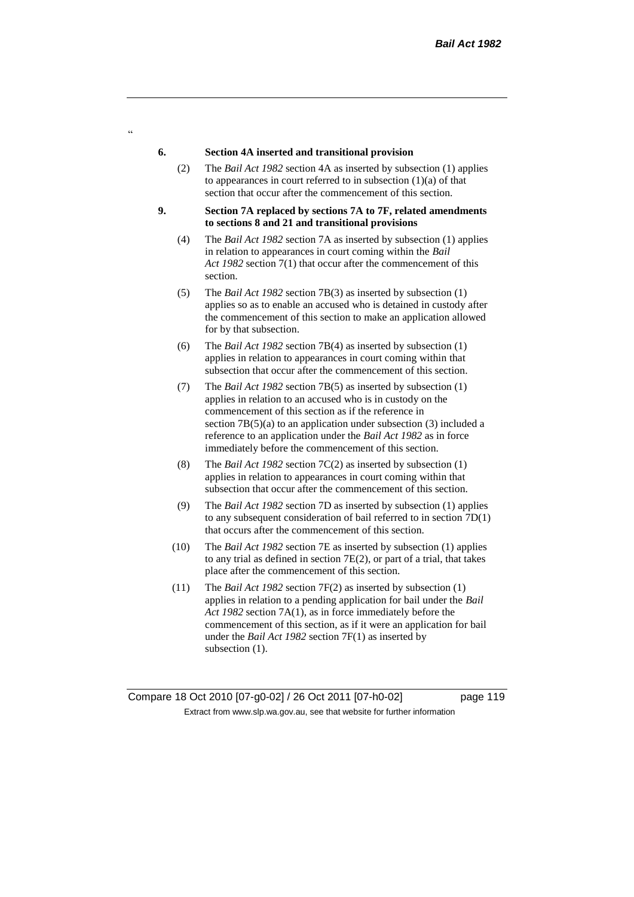#### **6. Section 4A inserted and transitional provision**

- (2) The *Bail Act 1982* section 4A as inserted by subsection (1) applies to appearances in court referred to in subsection  $(1)(a)$  of that section that occur after the commencement of this section.
- **9. Section 7A replaced by sections 7A to 7F, related amendments to sections 8 and 21 and transitional provisions**
	- (4) The *Bail Act 1982* section 7A as inserted by subsection (1) applies in relation to appearances in court coming within the *Bail Act 1982* section 7(1) that occur after the commencement of this section.
	- (5) The *Bail Act 1982* section 7B(3) as inserted by subsection (1) applies so as to enable an accused who is detained in custody after the commencement of this section to make an application allowed for by that subsection.
	- (6) The *Bail Act 1982* section 7B(4) as inserted by subsection (1) applies in relation to appearances in court coming within that subsection that occur after the commencement of this section.
	- (7) The *Bail Act 1982* section 7B(5) as inserted by subsection (1) applies in relation to an accused who is in custody on the commencement of this section as if the reference in section 7B(5)(a) to an application under subsection (3) included a reference to an application under the *Bail Act 1982* as in force immediately before the commencement of this section.
	- (8) The *Bail Act 1982* section 7C(2) as inserted by subsection (1) applies in relation to appearances in court coming within that subsection that occur after the commencement of this section.
	- (9) The *Bail Act 1982* section 7D as inserted by subsection (1) applies to any subsequent consideration of bail referred to in section 7D(1) that occurs after the commencement of this section.
	- (10) The *Bail Act 1982* section 7E as inserted by subsection (1) applies to any trial as defined in section 7E(2), or part of a trial, that takes place after the commencement of this section.
	- (11) The *Bail Act 1982* section 7F(2) as inserted by subsection (1) applies in relation to a pending application for bail under the *Bail Act 1982* section 7A(1), as in force immediately before the commencement of this section, as if it were an application for bail under the *Bail Act 1982* section 7F(1) as inserted by subsection  $(1)$ .

 $\alpha$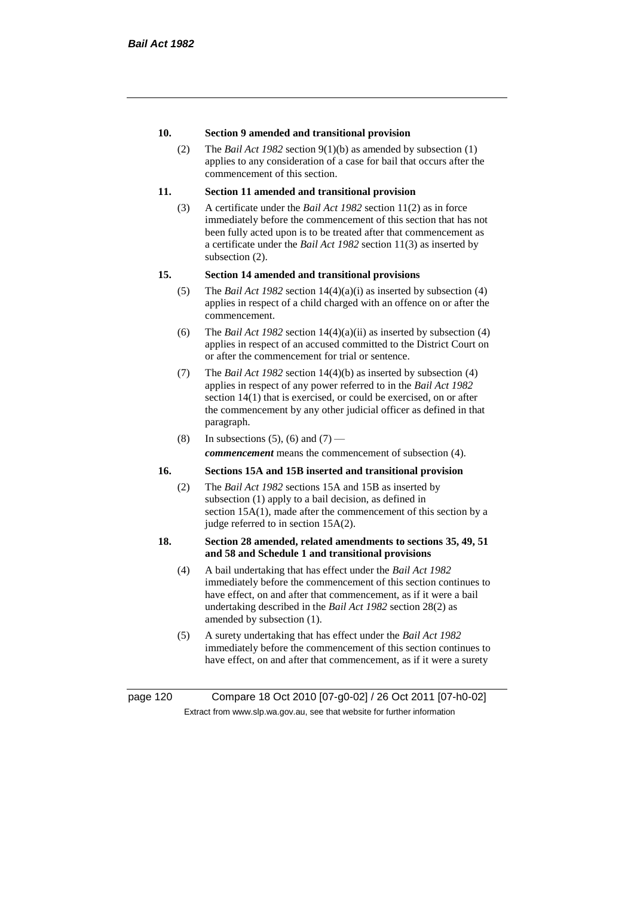# **10. Section 9 amended and transitional provision**

(2) The *Bail Act 1982* section 9(1)(b) as amended by subsection (1) applies to any consideration of a case for bail that occurs after the commencement of this section.

# **11. Section 11 amended and transitional provision**

(3) A certificate under the *Bail Act 1982* section 11(2) as in force immediately before the commencement of this section that has not been fully acted upon is to be treated after that commencement as a certificate under the *Bail Act 1982* section 11(3) as inserted by subsection (2).

# **15. Section 14 amended and transitional provisions**

- (5) The *Bail Act 1982* section 14(4)(a)(i) as inserted by subsection (4) applies in respect of a child charged with an offence on or after the commencement.
- (6) The *Bail Act 1982* section 14(4)(a)(ii) as inserted by subsection (4) applies in respect of an accused committed to the District Court on or after the commencement for trial or sentence.
- (7) The *Bail Act 1982* section 14(4)(b) as inserted by subsection (4) applies in respect of any power referred to in the *Bail Act 1982* section 14(1) that is exercised, or could be exercised, on or after the commencement by any other judicial officer as defined in that paragraph.
- (8) In subsections (5), (6) and (7) *commencement* means the commencement of subsection (4).

# **16. Sections 15A and 15B inserted and transitional provision**

(2) The *Bail Act 1982* sections 15A and 15B as inserted by subsection (1) apply to a bail decision, as defined in section 15A(1), made after the commencement of this section by a judge referred to in section 15A(2).

## **18. Section 28 amended, related amendments to sections 35, 49, 51 and 58 and Schedule 1 and transitional provisions**

- (4) A bail undertaking that has effect under the *Bail Act 1982* immediately before the commencement of this section continues to have effect, on and after that commencement, as if it were a bail undertaking described in the *Bail Act 1982* section 28(2) as amended by subsection (1).
- (5) A surety undertaking that has effect under the *Bail Act 1982* immediately before the commencement of this section continues to have effect, on and after that commencement, as if it were a surety

page 120 Compare 18 Oct 2010 [07-g0-02] / 26 Oct 2011 [07-h0-02] Extract from www.slp.wa.gov.au, see that website for further information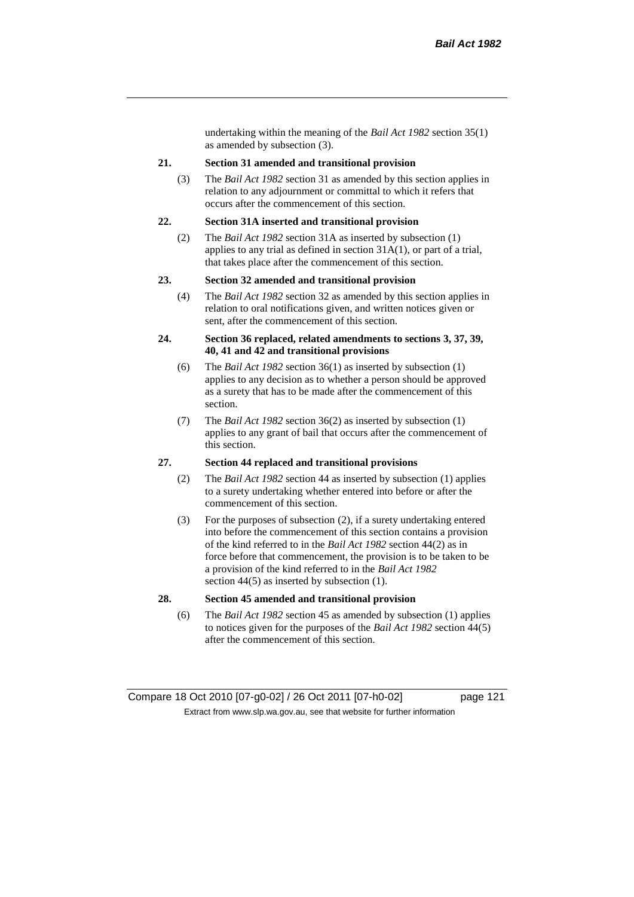undertaking within the meaning of the *Bail Act 1982* section 35(1) as amended by subsection (3).

#### **21. Section 31 amended and transitional provision**

(3) The *Bail Act 1982* section 31 as amended by this section applies in relation to any adjournment or committal to which it refers that occurs after the commencement of this section.

#### **22. Section 31A inserted and transitional provision**

(2) The *Bail Act 1982* section 31A as inserted by subsection (1) applies to any trial as defined in section 31A(1), or part of a trial, that takes place after the commencement of this section.

#### **23. Section 32 amended and transitional provision**

(4) The *Bail Act 1982* section 32 as amended by this section applies in relation to oral notifications given, and written notices given or sent, after the commencement of this section.

#### **24. Section 36 replaced, related amendments to sections 3, 37, 39, 40, 41 and 42 and transitional provisions**

- (6) The *Bail Act 1982* section 36(1) as inserted by subsection (1) applies to any decision as to whether a person should be approved as a surety that has to be made after the commencement of this section.
- (7) The *Bail Act 1982* section 36(2) as inserted by subsection (1) applies to any grant of bail that occurs after the commencement of this section.

#### **27. Section 44 replaced and transitional provisions**

- (2) The *Bail Act 1982* section 44 as inserted by subsection (1) applies to a surety undertaking whether entered into before or after the commencement of this section.
- (3) For the purposes of subsection (2), if a surety undertaking entered into before the commencement of this section contains a provision of the kind referred to in the *Bail Act 1982* section 44(2) as in force before that commencement, the provision is to be taken to be a provision of the kind referred to in the *Bail Act 1982*  section 44(5) as inserted by subsection (1).

# **28. Section 45 amended and transitional provision**

(6) The *Bail Act 1982* section 45 as amended by subsection (1) applies to notices given for the purposes of the *Bail Act 1982* section 44(5) after the commencement of this section.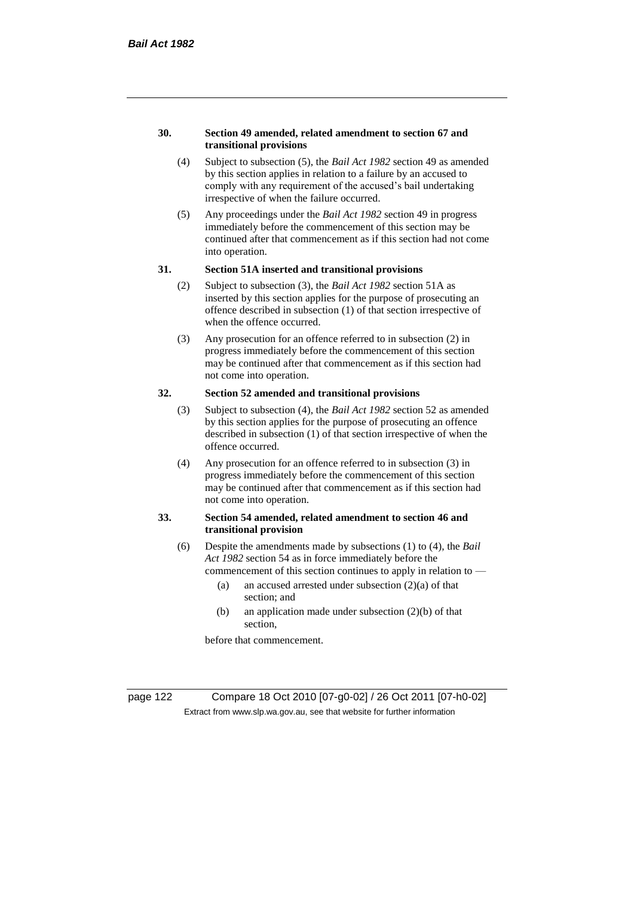#### **30. Section 49 amended, related amendment to section 67 and transitional provisions**

- (4) Subject to subsection (5), the *Bail Act 1982* section 49 as amended by this section applies in relation to a failure by an accused to comply with any requirement of the accused's bail undertaking irrespective of when the failure occurred.
- (5) Any proceedings under the *Bail Act 1982* section 49 in progress immediately before the commencement of this section may be continued after that commencement as if this section had not come into operation.

#### **31. Section 51A inserted and transitional provisions**

- (2) Subject to subsection (3), the *Bail Act 1982* section 51A as inserted by this section applies for the purpose of prosecuting an offence described in subsection (1) of that section irrespective of when the offence occurred.
- (3) Any prosecution for an offence referred to in subsection (2) in progress immediately before the commencement of this section may be continued after that commencement as if this section had not come into operation.

# **32. Section 52 amended and transitional provisions**

- (3) Subject to subsection (4), the *Bail Act 1982* section 52 as amended by this section applies for the purpose of prosecuting an offence described in subsection (1) of that section irrespective of when the offence occurred.
- (4) Any prosecution for an offence referred to in subsection (3) in progress immediately before the commencement of this section may be continued after that commencement as if this section had not come into operation.

# **33. Section 54 amended, related amendment to section 46 and transitional provision**

- (6) Despite the amendments made by subsections (1) to (4), the *Bail Act 1982* section 54 as in force immediately before the
	- commencement of this section continues to apply in relation to
		- (a) an accused arrested under subsection  $(2)(a)$  of that section; and
		- (b) an application made under subsection (2)(b) of that section,

before that commencement.

page 122 Compare 18 Oct 2010 [07-g0-02] / 26 Oct 2011 [07-h0-02] Extract from www.slp.wa.gov.au, see that website for further information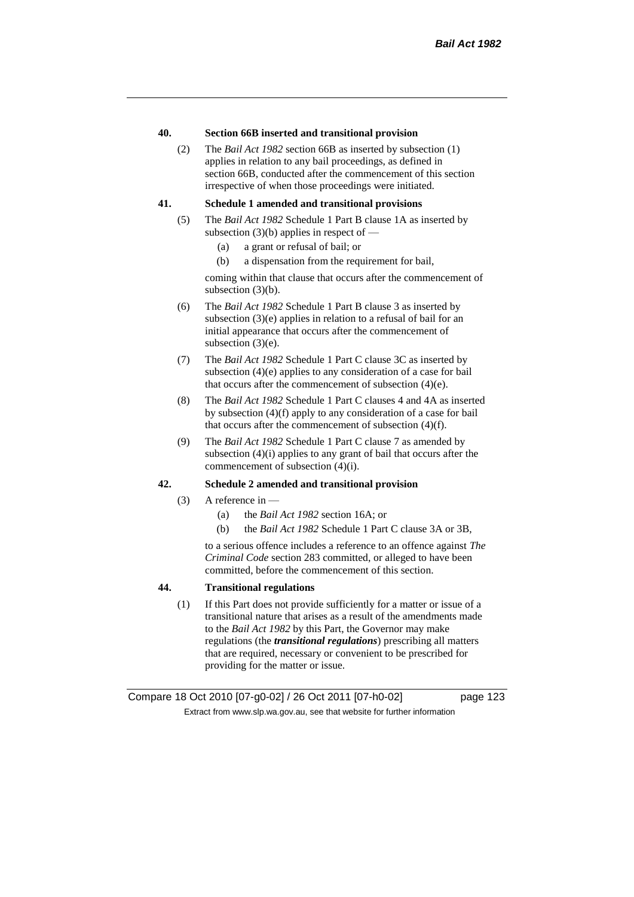## **40. Section 66B inserted and transitional provision**

(2) The *Bail Act 1982* section 66B as inserted by subsection (1) applies in relation to any bail proceedings, as defined in section 66B, conducted after the commencement of this section irrespective of when those proceedings were initiated.

## **41. Schedule 1 amended and transitional provisions**

- (5) The *Bail Act 1982* Schedule 1 Part B clause 1A as inserted by subsection  $(3)(b)$  applies in respect of —
	- (a) a grant or refusal of bail; or
	- (b) a dispensation from the requirement for bail,

coming within that clause that occurs after the commencement of subsection (3)(b).

- (6) The *Bail Act 1982* Schedule 1 Part B clause 3 as inserted by subsection (3)(e) applies in relation to a refusal of bail for an initial appearance that occurs after the commencement of subsection (3)(e).
- (7) The *Bail Act 1982* Schedule 1 Part C clause 3C as inserted by subsection (4)(e) applies to any consideration of a case for bail that occurs after the commencement of subsection (4)(e).
- (8) The *Bail Act 1982* Schedule 1 Part C clauses 4 and 4A as inserted by subsection (4)(f) apply to any consideration of a case for bail that occurs after the commencement of subsection (4)(f).
- (9) The *Bail Act 1982* Schedule 1 Part C clause 7 as amended by subsection (4)(i) applies to any grant of bail that occurs after the commencement of subsection (4)(i).

## **42. Schedule 2 amended and transitional provision**

- (3) A reference in  $-$ 
	- (a) the *Bail Act 1982* section 16A; or
	- (b) the *Bail Act 1982* Schedule 1 Part C clause 3A or 3B,

to a serious offence includes a reference to an offence against *The Criminal Code* section 283 committed, or alleged to have been committed, before the commencement of this section.

# **44. Transitional regulations**

(1) If this Part does not provide sufficiently for a matter or issue of a transitional nature that arises as a result of the amendments made to the *Bail Act 1982* by this Part, the Governor may make regulations (the *transitional regulations*) prescribing all matters that are required, necessary or convenient to be prescribed for providing for the matter or issue.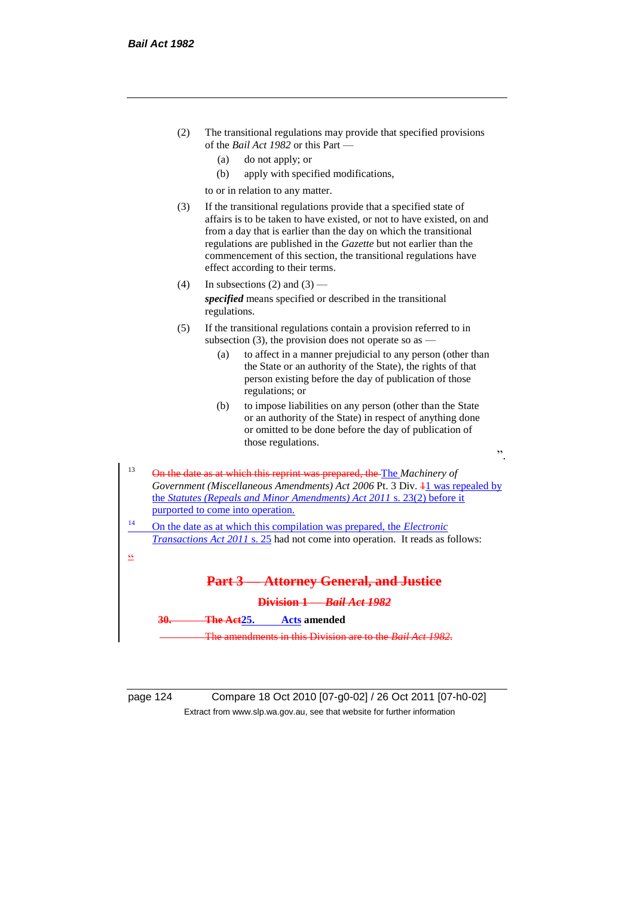

| page 124 |  |
|----------|--|
|          |  |

page 124 Compare 18 Oct 2010 [07-g0-02] / 26 Oct 2011 [07-h0-02] Extract from www.slp.wa.gov.au, see that website for further information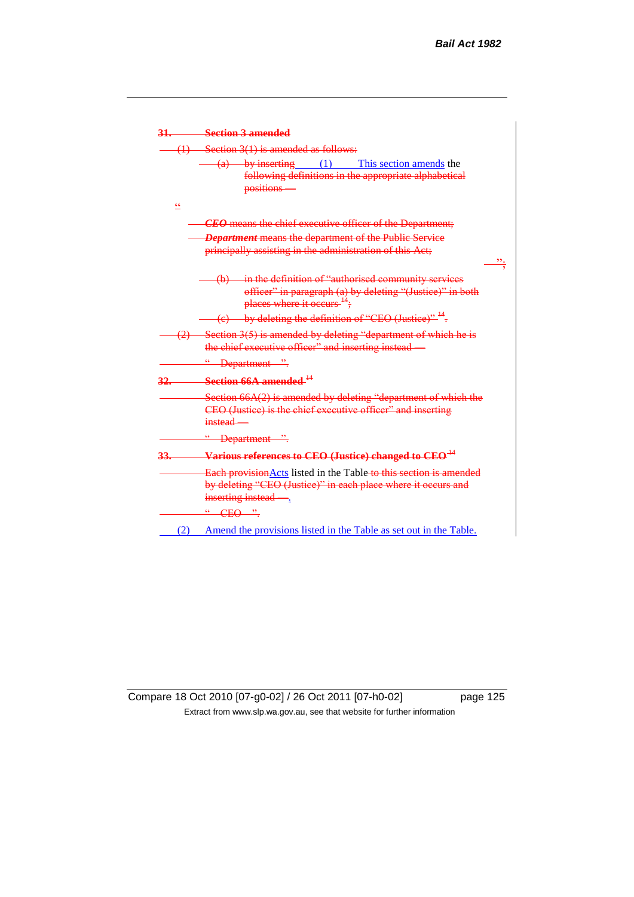

Compare 18 Oct 2010 [07-g0-02] / 26 Oct 2011 [07-h0-02] page 125 Extract from www.slp.wa.gov.au, see that website for further information